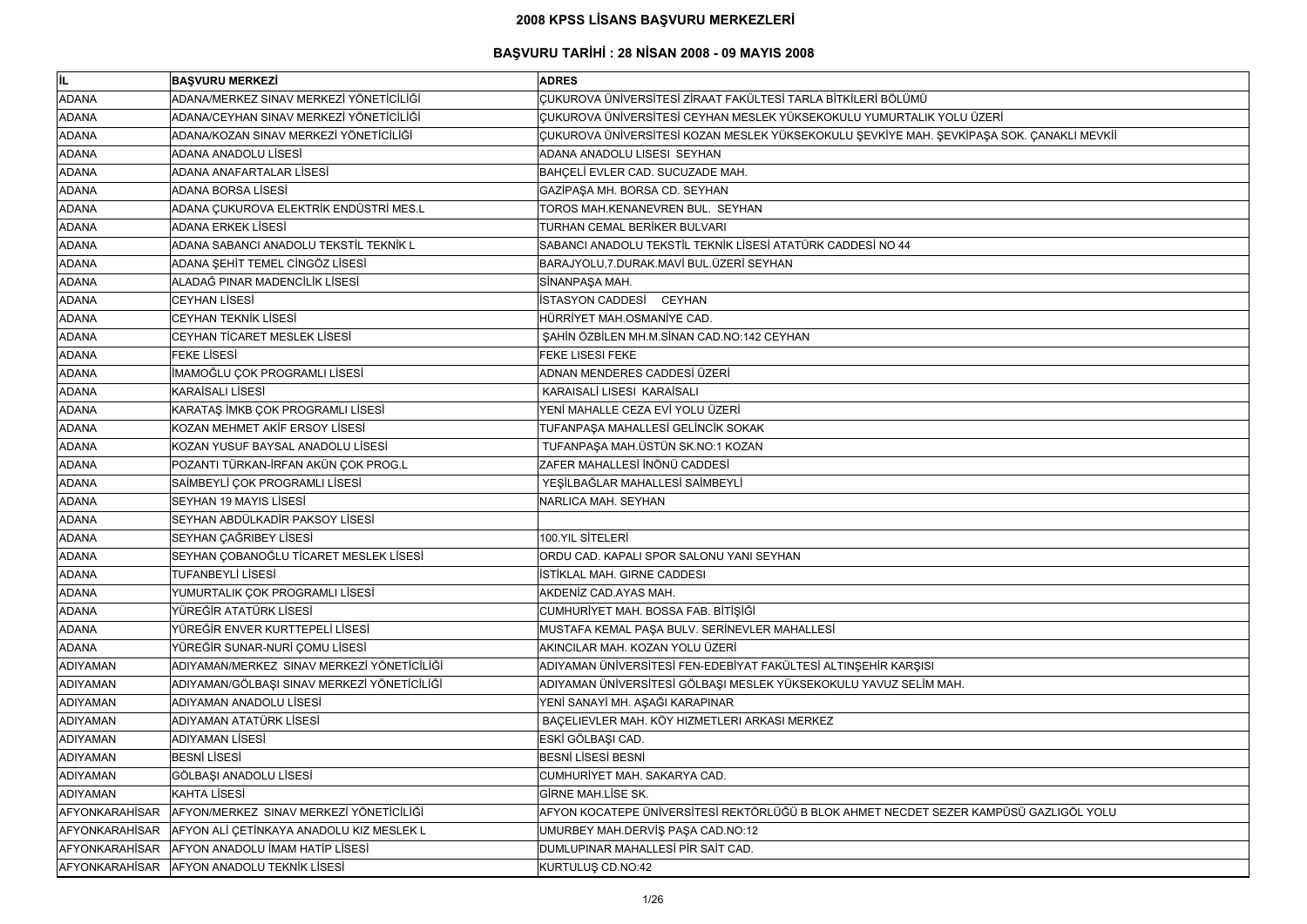| lil.            | <b>BAŞVURU MERKEZİ</b>                         | <b>ADRES</b>                                                                              |
|-----------------|------------------------------------------------|-------------------------------------------------------------------------------------------|
| <b>ADANA</b>    | ADANA/MERKEZ SINAV MERKEZİ YÖNETİCİLİĞİ        | CUKUROVA ÜNİVERSİTESİ ZİRAAT FAKÜLTESİ TARLA BİTKİLERİ BÖLÜMÜ                             |
| <b>ADANA</b>    | ADANA/CEYHAN SINAV MERKEZİ YÖNETİCİLİĞİ        | ÇUKUROVA ÜNİVERSİTESİ CEYHAN MESLEK YÜKSEKOKULU YUMURTALIK YOLU ÜZERİ                     |
| <b>ADANA</b>    | ADANA/KOZAN SINAV MERKEZİ YÖNETİCİLİĞİ         | ÇUKUROVA ÜNİVERSİTESİ KOZAN MESLEK YÜKSEKOKULU ŞEVKİYE MAH. ŞEVKİPAŞA SOK. ÇANAKLI MEVKİİ |
| <b>ADANA</b>    | <b>ADANA ANADOLU LISESI</b>                    | ADANA ANADOLU LISESI SEYHAN                                                               |
| <b>ADANA</b>    | ADANA ANAFARTALAR LİSESİ                       | BAHÇELİ EVLER CAD. SUCUZADE MAH.                                                          |
| <b>ADANA</b>    | ADANA BORSA LİSESİ                             | GAZİPAŞA MH. BORSA CD. SEYHAN                                                             |
| <b>ADANA</b>    | ADANA ÇUKUROVA ELEKTRİK ENDÜSTRİ MES.L         | TOROS MAH.KENANEVREN BUL. SEYHAN                                                          |
| <b>ADANA</b>    | <b>ADANA ERKEK LİSESİ</b>                      | <b>TURHAN CEMAL BERİKER BULVARI</b>                                                       |
| <b>ADANA</b>    | ADANA SABANCI ANADOLU TEKSTİL TEKNİK L         | SABANCI ANADOLU TEKSTİL TEKNİK LİSESİ ATATÜRK CADDESİ NO 44                               |
| <b>ADANA</b>    | ADANA ŞEHİT TEMEL CİNGÖZ LİSESİ                | BARAJYOLU, 7. DURAK. MAVİ BUL. ÜZERİ SEYHAN                                               |
| <b>ADANA</b>    | ALADAĞ PINAR MADENCİLİK LİSESİ                 | SİNANPAŞA MAH.                                                                            |
| <b>ADANA</b>    | <b>CEYHAN LİSESİ</b>                           | <b>İSTASYON CADDESİ CEYHAN</b>                                                            |
| <b>ADANA</b>    | <b>CEYHAN TEKNİK LİSESİ</b>                    | HÜRRİYET MAH.OSMANİYE CAD.                                                                |
| <b>ADANA</b>    | CEYHAN TİCARET MESLEK LİSESİ                   | ŞAHİN ÖZBİLEN MH.M.SİNAN CAD.NO:142 CEYHAN                                                |
| <b>ADANA</b>    | <b>FEKE LISESI</b>                             | FEKE LISESI FEKE                                                                          |
| <b>ADANA</b>    | İMAMOĞLU ÇOK PROGRAMLI LİSESİ                  | ADNAN MENDERES CADDESİ ÜZERİ                                                              |
| <b>ADANA</b>    | <b>KARAİSALI LİSESİ</b>                        | KARAISALİ LISESI KARAİSALI                                                                |
| <b>ADANA</b>    | KARATAŞ İMKB ÇOK PROGRAMLI LİSESİ              | YENİ MAHALLE CEZA EVİ YOLU ÜZERİ                                                          |
| <b>ADANA</b>    | KOZAN MEHMET AKİF ERSOY LİSESİ                 | TUFANPAŞA MAHALLESİ GELİNCİK SOKAK                                                        |
| <b>ADANA</b>    | KOZAN YUSUF BAYSAL ANADOLU LİSESİ              | TUFANPAŞA MAH.ÜSTÜN SK.NO:1 KOZAN                                                         |
| <b>ADANA</b>    | POZANTI TÜRKAN-İRFAN AKÜN ÇOK PROG.L           | ZAFER MAHALLESİ İNÖNÜ CADDESİ                                                             |
| <b>ADANA</b>    | SAİMBEYLİ ÇOK PROGRAMLI LİSESİ                 | YEŞİLBAĞLAR MAHALLESİ SAİMBEYLİ                                                           |
| <b>ADANA</b>    | SEYHAN 19 MAYIS LİSESİ                         | NARLICA MAH. SEYHAN                                                                       |
| <b>ADANA</b>    | SEYHAN ABDÜLKADİR PAKSOY LİSESİ                |                                                                                           |
| <b>ADANA</b>    | SEYHAN ÇAĞRIBEY LİSESİ                         | 100.YIL SİTELERİ                                                                          |
| <b>ADANA</b>    | SEYHAN ÇOBANOĞLU TİCARET MESLEK LİSESİ         | ORDU CAD. KAPALI SPOR SALONU YANI SEYHAN                                                  |
| <b>ADANA</b>    | <b>TUFANBEYLİ LİSESİ</b>                       | <b>İSTİKLAL MAH. GIRNE CADDESI</b>                                                        |
| <b>ADANA</b>    | YUMURTALIK ÇOK PROGRAMLI LİSESİ                | AKDENİZ CAD.AYAS MAH.                                                                     |
| <b>ADANA</b>    | YÜREĞİR ATATÜRK LİSESİ                         | CUMHURİYET MAH. BOSSA FAB. BİTİŞİĞİ                                                       |
| <b>ADANA</b>    | YÜREĞİR ENVER KURTTEPELİ LİSESİ                | MUSTAFA KEMAL PAŞA BULV. SERİNEVLER MAHALLESİ                                             |
| <b>ADANA</b>    | YÜREĞİR SUNAR-NURİ ÇOMU LİSESİ                 | AKINCILAR MAH. KOZAN YOLU ÜZERİ                                                           |
| <b>ADIYAMAN</b> | ADIYAMAN/MERKEZ SINAV MERKEZİ YÖNETİCİLİĞİ     | ADIYAMAN ÜNİVERSİTESİ FEN-EDEBİYAT FAKÜLTESİ ALTINŞEHİR KARŞISI                           |
| <b>ADIYAMAN</b> | ADIYAMAN/GÖLBAŞI SINAV MERKEZİ YÖNETİCİLİĞİ    | ADIYAMAN ÜNİVERSİTESİ GÖLBAŞI MESLEK YÜKSEKOKULU YAVUZ SELİM MAH.                         |
| <b>ADIYAMAN</b> | ADIYAMAN ANADOLU LİSESİ                        | YENİ SANAYİ MH. AŞAĞI KARAPINAR                                                           |
| <b>ADIYAMAN</b> | ADIYAMAN ATATÜRK LİSESİ                        | BAÇELIEVLER MAH. KÖY HIZMETLERI ARKASI MERKEZ                                             |
| <b>ADIYAMAN</b> | <b>ADIYAMAN LİSESİ</b>                         | ESKİ GÖLBAŞI CAD.                                                                         |
| <b>ADIYAMAN</b> | <b>BESNİ LİSESİ</b>                            | <b>BESNİ LİSESİ BESNİ</b>                                                                 |
| <b>ADIYAMAN</b> | GÖLBAŞI ANADOLU LİSESİ                         | CUMHURİYET MAH. SAKARYA CAD.                                                              |
| <b>ADIYAMAN</b> | <b>KAHTA LİSESİ</b>                            | <b>GİRNE MAH.LİSE SK.</b>                                                                 |
| AFYONKARAHISAR  | AFYON/MERKEZ SINAV MERKEZİ YÖNETİCİLİĞİ        | AFYON KOCATEPE ÜNİVERSİTESİ REKTÖRLÜĞÜ B BLOK AHMET NECDET SEZER KAMPÜSÜ GAZLIGÖL YOLU    |
| AFYONKARAHİSAR  | AFYON ALI ÇETİNKAYA ANADOLU KIZ MESLEK L       | UMURBEY MAH.DERVİŞ PAŞA CAD.NO:12                                                         |
|                 | AFYONKARAHISAR AFYON ANADOLU IMAM HATIP LISESI | DUMLUPINAR MAHALLESİ PİR SAİT CAD.                                                        |
|                 | AFYONKARAHISAR AFYON ANADOLU TEKNIK LISESI     | KURTULUŞ CD.NO:42                                                                         |

| ERİ                    |
|------------------------|
| ŞA SOK. ÇANAKLI MEVKİİ |
|                        |
|                        |
|                        |
|                        |
|                        |
|                        |
|                        |
|                        |
|                        |
|                        |
|                        |
|                        |
|                        |
|                        |
|                        |
|                        |
|                        |
|                        |
|                        |
|                        |
|                        |
|                        |
|                        |
|                        |
|                        |
|                        |
|                        |
|                        |
|                        |
|                        |
|                        |
|                        |
|                        |
|                        |
|                        |
|                        |
|                        |
|                        |
|                        |
|                        |
|                        |
|                        |
| MPÜSÜ GAZLIGÖL YOLU    |
|                        |
|                        |
|                        |
|                        |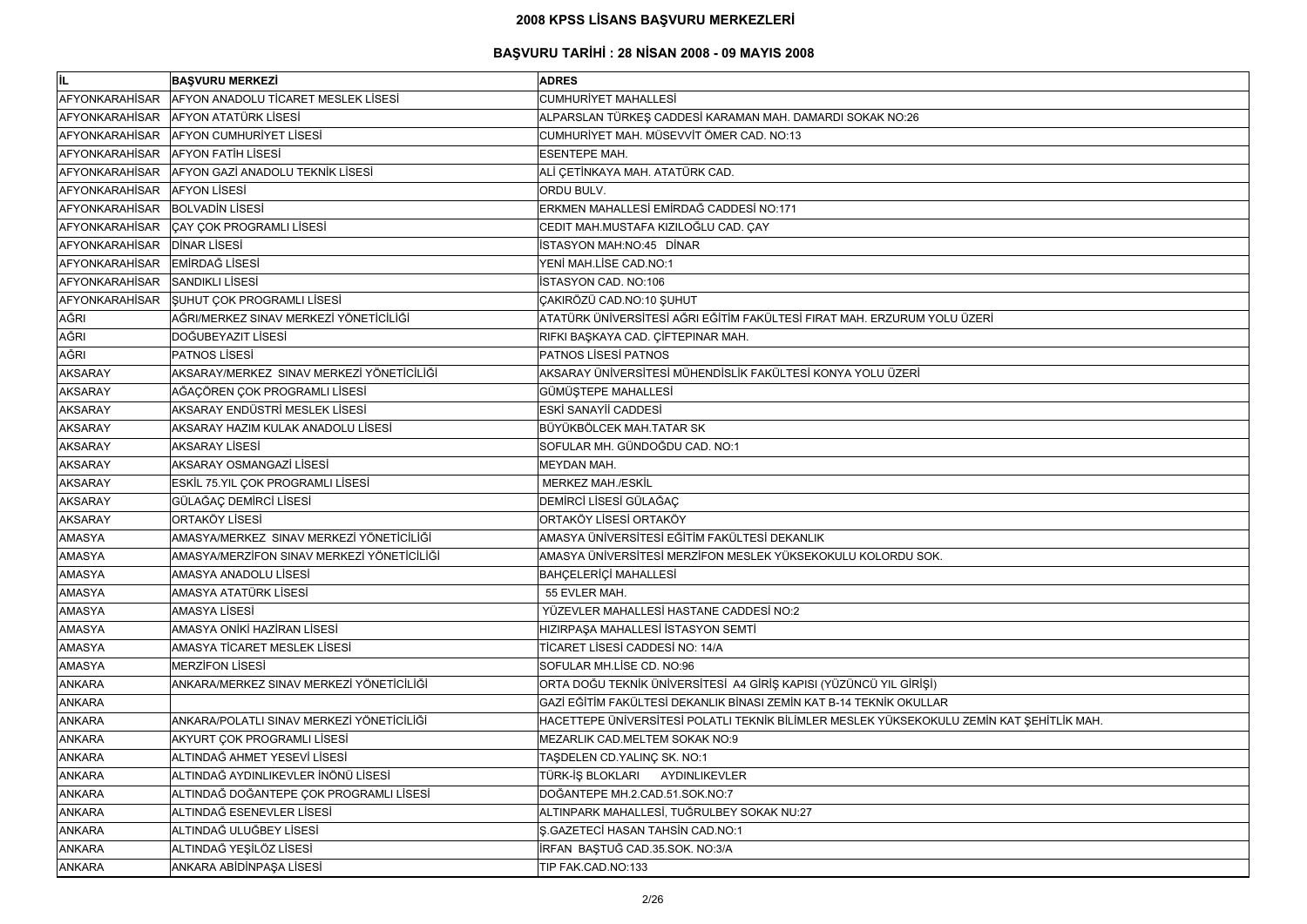| İL                             | <b>BAŞVURU MERKEZİ</b>                          | <b>ADRES</b>                                                                              |
|--------------------------------|-------------------------------------------------|-------------------------------------------------------------------------------------------|
| AFYONKARAHİSAR                 | AFYON ANADOLU TİCARET MESLEK LİSESİ             | <b>CUMHURİYET MAHALLESİ</b>                                                               |
|                                | AFYONKARAHİSAR AFYON ATATÜRK LİSESİ             | ALPARSLAN TÜRKEŞ CADDESİ KARAMAN MAH. DAMARDI SOKAK NO:26                                 |
|                                | AFYONKARAHİSAR AFYON CUMHURİYET LİSESİ          | CUMHURİYET MAH. MÜSEVVİT ÖMER CAD. NO:13                                                  |
|                                | AFYONKARAHİSAR AFYON FATİH LİSESİ               | <b>ESENTEPE MAH.</b>                                                                      |
|                                | AFYONKARAHİSAR AFYON GAZİ ANADOLU TEKNİK LİSESİ | ALİ ÇETİNKAYA MAH. ATATÜRK CAD.                                                           |
| AFYONKARAHISAR AFYON LISESI    |                                                 | ORDU BULV.                                                                                |
| AFYONKARAHİSAR BOLVADİN LİSESİ |                                                 | ERKMEN MAHALLESİ EMİRDAĞ CADDESİ NO:171                                                   |
|                                | AFYONKARAHİSAR ÇAY ÇOK PROGRAMLI LİSESİ         | CEDIT MAH.MUSTAFA KIZILOĞLU CAD. ÇAY                                                      |
| AFYONKARAHİSAR DİNAR LİSESİ    |                                                 | İSTASYON MAH:NO:45 DİNAR                                                                  |
| AFYONKARAHİSAR EMİRDAĞ LİSESİ  |                                                 | YENİ MAH.LİSE CAD.NO:1                                                                    |
| AFYONKARAHİSAR                 | <b>SANDIKLI LISESI</b>                          | İSTASYON CAD. NO:106                                                                      |
|                                | AFYONKARAHİSAR SUHUT ÇOK PROGRAMLI LİSESİ       | ÇAKIRÖZÜ CAD.NO:10 ŞUHUT                                                                  |
| <b>AĞRI</b>                    | AĞRI/MERKEZ SINAV MERKEZİ YÖNETİCİLİĞİ          | ATATÜRK ÜNİVERSİTESİ AĞRI EĞİTİM FAKÜLTESİ FIRAT MAH. ERZURUM YOLU ÜZERİ                  |
| <b>AĞRI</b>                    | DOĞUBEYAZIT LİSESİ                              | RIFKI BAŞKAYA CAD. ÇİFTEPINAR MAH.                                                        |
| <b>AĞRI</b>                    | <b>PATNOS LISESI</b>                            | <b>PATNOS LISESI PATNOS</b>                                                               |
| <b>AKSARAY</b>                 | AKSARAY/MERKEZ SINAV MERKEZİ YÖNETİCİLİĞİ       | AKSARAY ÜNİVERSİTESİ MÜHENDİSLİK FAKÜLTESİ KONYA YOLU ÜZERİ                               |
| <b>AKSARAY</b>                 | AĞAÇÖREN ÇOK PROGRAMLI LİSESİ                   | GÜMÜŞTEPE MAHALLESİ                                                                       |
| <b>AKSARAY</b>                 | AKSARAY ENDÜSTRİ MESLEK LİSESİ                  | ESKİ SANAYİİ CADDESİ                                                                      |
| <b>AKSARAY</b>                 | AKSARAY HAZIM KULAK ANADOLU LİSESİ              | BÜYÜKBÖLCEK MAH.TATAR SK                                                                  |
| <b>AKSARAY</b>                 | <b>AKSARAY LISESI</b>                           | SOFULAR MH. GÜNDOĞDU CAD. NO:1                                                            |
| <b>AKSARAY</b>                 | AKSARAY OSMANGAZİ LİSESİ                        | MEYDAN MAH.                                                                               |
| <b>AKSARAY</b>                 | ESKİL 75.YIL ÇOK PROGRAMLI LİSESİ               | <b>MERKEZ MAH./ESKİL</b>                                                                  |
| <b>AKSARAY</b>                 | GÜLAĞAÇ DEMİRCİ LİSESİ                          | DEMİRCİ LİSESİ GÜLAĞAÇ                                                                    |
| <b>AKSARAY</b>                 | <b>ORTAKÖY LİSESİ</b>                           | ORTAKÖY LİSESİ ORTAKÖY                                                                    |
| <b>AMASYA</b>                  | AMASYA/MERKEZ SINAV MERKEZİ YÖNETİCİLİĞİ        | AMASYA ÜNİVERSİTESİ EĞİTİM FAKÜLTESİ DEKANLIK                                             |
| <b>AMASYA</b>                  | AMASYA/MERZİFON SINAV MERKEZİ YÖNETİCİLİĞİ      | AMASYA ÜNİVERSİTESİ MERZİFON MESLEK YÜKSEKOKULU KOLORDU SOK.                              |
| <b>AMASYA</b>                  | AMASYA ANADOLU LİSESİ                           | <b>BAHCELERİÇİ MAHALLESİ</b>                                                              |
| <b>AMASYA</b>                  | AMASYA ATATÜRK LİSESİ                           | 55 EVLER MAH.                                                                             |
| <b>AMASYA</b>                  | <b>AMASYA LISESI</b>                            | YÜZEVLER MAHALLESİ HASTANE CADDESİ NO:2                                                   |
| <b>AMASYA</b>                  | AMASYA ONİKİ HAZİRAN LİSESİ                     | HIZIRPAŞA MAHALLESİ İSTASYON SEMTİ                                                        |
| <b>AMASYA</b>                  | AMASYA TİCARET MESLEK LİSESİ                    | TİCARET LİSESİ CADDESİ NO: 14/A                                                           |
| <b>AMASYA</b>                  | <b>MERZIFON LISESI</b>                          | SOFULAR MH.LİSE CD. NO:96                                                                 |
| <b>ANKARA</b>                  | ANKARA/MERKEZ SINAV MERKEZİ YÖNETİCİLİĞİ        | ORTA DOĞU TEKNİK ÜNİVERSİTESİ A4 GİRİŞ KAPISI (YÜZÜNCÜ YIL GİRİŞİ)                        |
| <b>ANKARA</b>                  |                                                 | GAZİ EĞİTİM FAKÜLTESİ DEKANLIK BİNASI ZEMİN KAT B-14 TEKNİK OKULLAR                       |
| <b>ANKARA</b>                  | ANKARA/POLATLI SINAV MERKEZİ YÖNETİCİLİĞİ       | HACETTEPE ÜNIVERSITESI POLATLI TEKNIK BILIMLER MESLEK YÜKSEKOKULU ZEMIN KAT ŞEHITLIK MAH. |
| <b>ANKARA</b>                  | AKYURT ÇOK PROGRAMLI LİSESİ                     | MEZARLIK CAD.MELTEM SOKAK NO:9                                                            |
| <b>ANKARA</b>                  | ALTINDAĞ AHMET YESEVİ LİSESİ                    | TAŞDELEN CD.YALINÇ SK. NO:1                                                               |
| <b>ANKARA</b>                  | ALTINDAĞ AYDINLIKEVLER İNÖNÜ LİSESİ             | TÜRK-İŞ BLOKLARI<br>AYDINLIKEVLER                                                         |
| <b>ANKARA</b>                  | ALTINDAĞ DOĞANTEPE ÇOK PROGRAMLI LİSESİ         | DOĞANTEPE MH.2.CAD.51.SOK.NO:7                                                            |
| <b>ANKARA</b>                  | ALTINDAĞ ESENEVLER LİSESİ                       | ALTINPARK MAHALLESİ, TUĞRULBEY SOKAK NU:27                                                |
| <b>ANKARA</b>                  | ALTINDAĞ ULUĞBEY LİSESİ                         | <b>S.GAZETECİ HASAN TAHSİN CAD.NO:1</b>                                                   |
| <b>ANKARA</b>                  | ALTINDAĞ YEŞİLÖZ LİSESİ                         | İRFAN BAŞTUĞ CAD.35.SOK. NO:3/A                                                           |
| <b>ANKARA</b>                  | ANKARA ABİDİNPAŞA LİSESİ                        | TIP FAK.CAD.NO:133                                                                        |
|                                |                                                 |                                                                                           |

| ξŚ                          |
|-----------------------------|
|                             |
|                             |
|                             |
|                             |
|                             |
|                             |
|                             |
|                             |
|                             |
|                             |
|                             |
|                             |
|                             |
|                             |
|                             |
|                             |
|                             |
|                             |
|                             |
|                             |
|                             |
|                             |
| <u>İN KAT ŞEHİTLİK MAH.</u> |
|                             |
|                             |
|                             |
|                             |
|                             |
|                             |
|                             |
|                             |
|                             |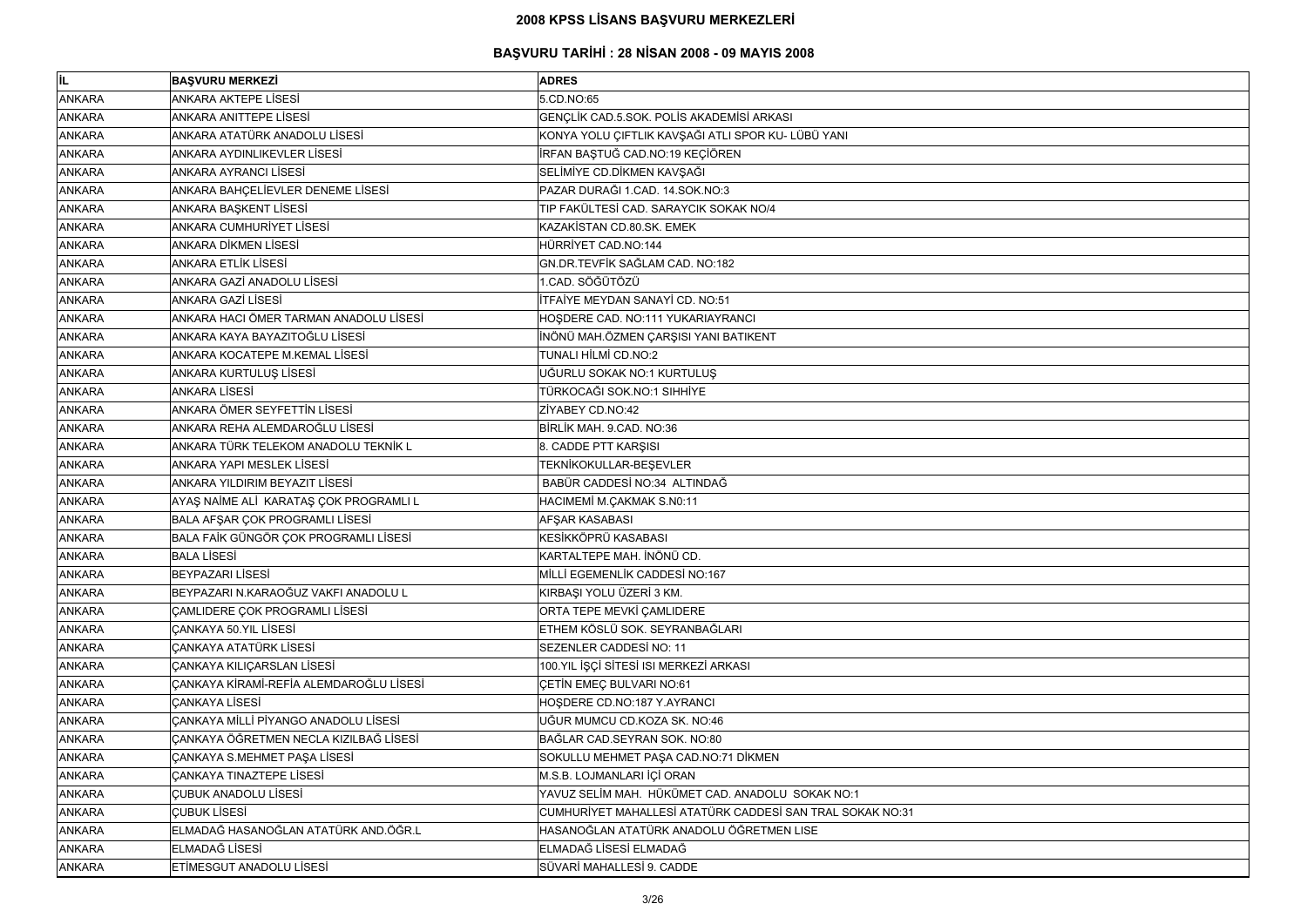| lil.          | <b>BAŞVURU MERKEZİ</b>                  | <b>ADRES</b>                                              |
|---------------|-----------------------------------------|-----------------------------------------------------------|
| <b>ANKARA</b> | <b>ANKARA AKTEPE LISESI</b>             | 5.CD.NO:65                                                |
| <b>ANKARA</b> | ANKARA ANITTEPE LİSESİ                  | GENÇLİK CAD.5.SOK. POLİS AKADEMİSİ ARKASI                 |
| <b>ANKARA</b> | ANKARA ATATÜRK ANADOLU LİSESİ           | KONYA YOLU ÇIFTLIK KAVŞAĞI ATLI SPOR KU- LÜBÜ YANI        |
| <b>ANKARA</b> | ANKARA AYDINLIKEVLER LİSESİ             | İRFAN BAŞTUĞ CAD.NO:19 KEÇİÖREN                           |
| <b>ANKARA</b> | <b>ANKARA AYRANCI LİSESİ</b>            | SELİMİYE CD.DİKMEN KAVŞAĞI                                |
| <b>ANKARA</b> | ANKARA BAHÇELİEVLER DENEME LİSESİ       | PAZAR DURAĞI 1.CAD. 14.SOK.NO:3                           |
| <b>ANKARA</b> | ANKARA BAŞKENT LİSESİ                   | TIP FAKÜLTESİ CAD. SARAYCIK SOKAK NO/4                    |
| <b>ANKARA</b> | <b>ANKARA CUMHURIYET LISESI</b>         | KAZAKİSTAN CD.80.SK. EMEK                                 |
| <b>ANKARA</b> | <b>ANKARA DİKMEN LİSESİ</b>             | HÜRRİYET CAD.NO:144                                       |
| <b>ANKARA</b> | <b>ANKARA ETLİK LİSESİ</b>              | GN.DR.TEVFİK SAĞLAM CAD. NO:182                           |
| <b>ANKARA</b> | ANKARA GAZİ ANADOLU LİSESİ              | 1.CAD. SÖĞÜTÖZÜ                                           |
| <b>ANKARA</b> | <b>ANKARA GAZİ LİSESİ</b>               | İTFAİYE MEYDAN SANAYİ CD. NO:51                           |
| <b>ANKARA</b> | ANKARA HACI ÖMER TARMAN ANADOLU LİSESİ  | HOŞDERE CAD. NO:111 YUKARIAYRANCI                         |
| <b>ANKARA</b> | ANKARA KAYA BAYAZITOĞLU LİSESİ          | İNÖNÜ MAH.ÖZMEN ÇARŞISI YANI BATIKENT                     |
| <b>ANKARA</b> | ANKARA KOCATEPE M.KEMAL LİSESİ          | <b>TUNALI HİLMİ CD.NO:2</b>                               |
| <b>ANKARA</b> | ANKARA KURTULUŞ LİSESİ                  | UĞURLU SOKAK NO:1 KURTULUŞ                                |
| <b>ANKARA</b> | <b>ANKARA LİSESİ</b>                    | TÜRKOCAĞI SOK.NO:1 SIHHİYE                                |
| <b>ANKARA</b> | ANKARA ÖMER SEYFETTİN LİSESİ            | ZİYABEY CD.NO:42                                          |
| <b>ANKARA</b> | ANKARA REHA ALEMDAROĞLU LİSESİ          | BİRLİK MAH. 9.CAD. NO:36                                  |
| <b>ANKARA</b> | ANKARA TÜRK TELEKOM ANADOLU TEKNİK L    | 8. CADDE PTT KARŞISI                                      |
| <b>ANKARA</b> | <b>ANKARA YAPI MESLEK LİSESİ</b>        | TEKNİKOKULLAR-BEŞEVLER                                    |
| <b>ANKARA</b> | ANKARA YILDIRIM BEYAZIT LİSESİ          | BABÜR CADDESİ NO:34 ALTINDAĞ                              |
| <b>ANKARA</b> | AYAŞ NAİME ALİ KARATAŞ ÇOK PROGRAMLI L  | HACIMEMİ M.ÇAKMAK S.N0:11                                 |
| <b>ANKARA</b> | BALA AFŞAR ÇOK PROGRAMLI LİSESİ         | AFŞAR KASABASI                                            |
| <b>ANKARA</b> | BALA FAİK GÜNGÖR ÇOK PROGRAMLI LİSESİ   | KESİKKÖPRÜ KASABASI                                       |
| <b>ANKARA</b> | <b>BALA LİSESİ</b>                      | KARTALTEPE MAH. İNÖNÜ CD.                                 |
| <b>ANKARA</b> | <b>BEYPAZARI LİSESİ</b>                 | MİLLİ EGEMENLİK CADDESİ NO:167                            |
| <b>ANKARA</b> | BEYPAZARI N.KARAOĞUZ VAKFI ANADOLU L    | KIRBAŞI YOLU ÜZERİ 3 KM.                                  |
| <b>ANKARA</b> | ÇAMLIDERE ÇOK PROGRAMLI LİSESİ          | ORTA TEPE MEVKİ ÇAMLIDERE                                 |
| <b>ANKARA</b> | <b>CANKAYA 50.YIL LİSESİ</b>            | ETHEM KÖSLÜ SOK. SEYRANBAĞLARI                            |
| <b>ANKARA</b> | <b>ÇANKAYA ATATÜRK LİSESİ</b>           | SEZENLER CADDESİ NO: 11                                   |
| <b>ANKARA</b> | <b>CANKAYA KILICARSLAN LİSESİ</b>       | 100.YIL İŞÇİ SİTESİ ISI MERKEZİ ARKASI                    |
| <b>ANKARA</b> | ÇANKAYA KİRAMİ-REFİA ALEMDAROĞLU LİSESİ | ÇETİN EMEÇ BULVARI NO:61                                  |
| <b>ANKARA</b> | <b>CANKAYA LISESI</b>                   | HOSDERE CD.NO:187 Y.AYRANCI                               |
| <b>ANKARA</b> | ÇANKAYA MİLLİ PİYANGO ANADOLU LİSESİ    | UĞUR MUMCU CD.KOZA SK. NO:46                              |
| <b>ANKARA</b> | ÇANKAYA ÖĞRETMEN NECLA KIZILBAĞ LİSESİ  | BAĞLAR CAD.SEYRAN SOK. NO:80                              |
| <b>ANKARA</b> | ÇANKAYA S.MEHMET PAŞA LİSESİ            | SOKULLU MEHMET PAŞA CAD.NO:71 DİKMEN                      |
| <b>ANKARA</b> | <b>CANKAYA TINAZTEPE LİSESİ</b>         | M.S.B. LOJMANLARI İÇİ ORAN                                |
| <b>ANKARA</b> | <b>ÇUBUK ANADOLU LİSESİ</b>             | YAVUZ SELİM MAH. HÜKÜMET CAD. ANADOLU SOKAK NO:1          |
| <b>ANKARA</b> | <b>CUBUK LISESI</b>                     | CUMHURİYET MAHALLESİ ATATÜRK CADDESİ SAN TRAL SOKAK NO:31 |
| <b>ANKARA</b> | ELMADAĞ HASANOĞLAN ATATÜRK AND.ÖĞR.L    | HASANOĞLAN ATATÜRK ANADOLU ÖĞRETMEN LISE                  |
| <b>ANKARA</b> | <b>ELMADAĞ LİSESİ</b>                   | ELMADAĞ LİSESİ ELMADAĞ                                    |
| <b>ANKARA</b> | ETIMESGUT ANADOLU LISESI                | SÜVARİ MAHALLESİ 9. CADDE                                 |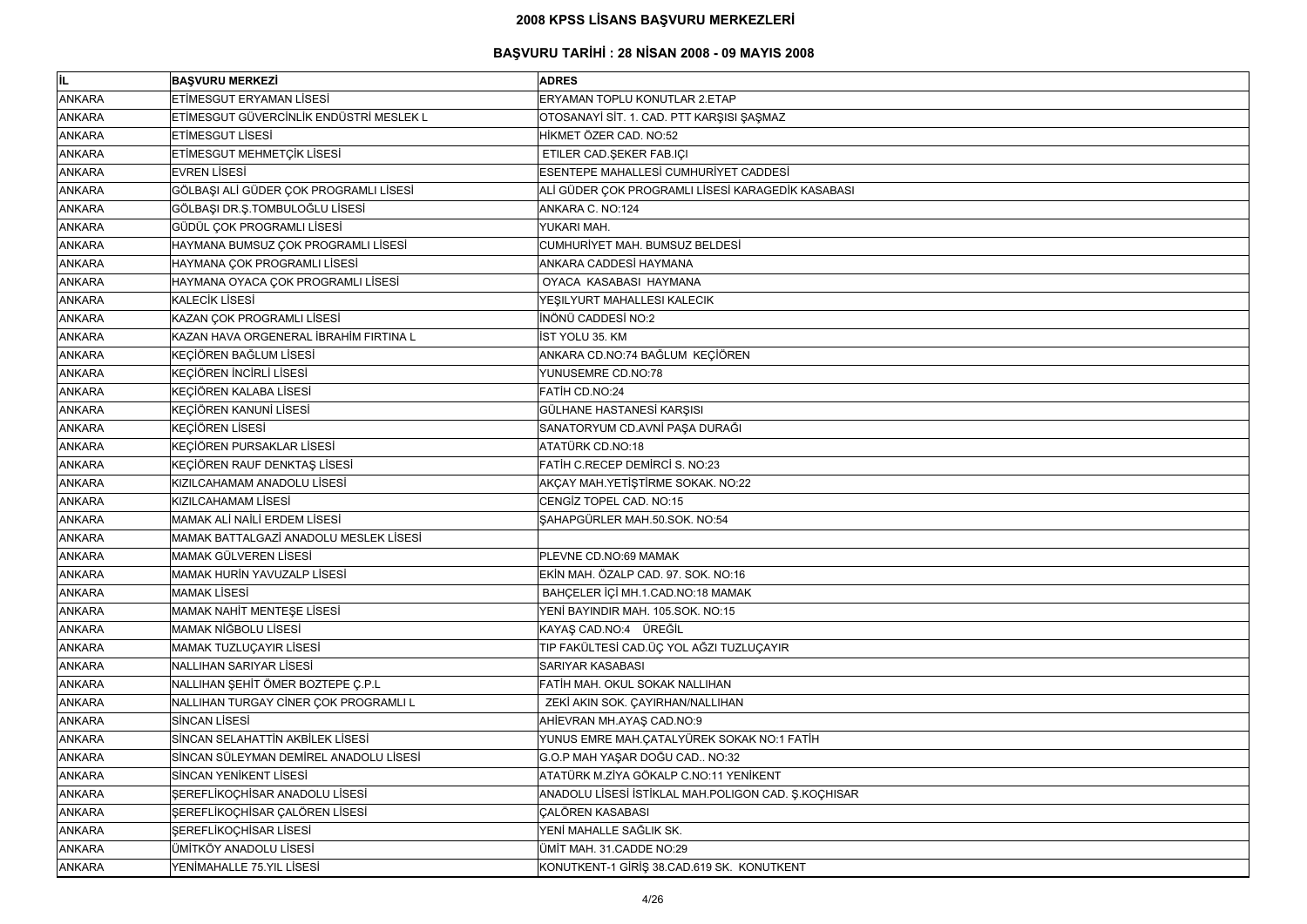| ∣i∟           | <b>BASVURU MERKEZİ</b>                  | <b>ADRES</b>                                        |
|---------------|-----------------------------------------|-----------------------------------------------------|
| <b>ANKARA</b> | ETİMESGUT ERYAMAN LİSESİ                | <b>ERYAMAN TOPLU KONUTLAR 2.ETAP</b>                |
| <b>ANKARA</b> | ETİMESGUT GÜVERCİNLİK ENDÜSTRİ MESLEK L | OTOSANAYİ SİT. 1. CAD. PTT KARŞISI ŞAŞMAZ           |
| <b>ANKARA</b> | ETİMESGUT LİSESİ                        | HİKMET ÖZER CAD, NO:52                              |
| <b>ANKARA</b> | ETİMESGUT MEHMETÇİK LİSESİ              | ETILER CAD.ŞEKER FAB.IÇI                            |
| <b>ANKARA</b> | <b>EVREN LİSESİ</b>                     | ESENTEPE MAHALLESİ CUMHURİYET CADDESİ               |
| <b>ANKARA</b> | GÖLBAŞI ALİ GÜDER ÇOK PROGRAMLI LİSESİ  | ALİ GÜDER ÇOK PROGRAMLI LİSESİ KARAGEDİK KASABASI   |
| <b>ANKARA</b> | GÖLBAŞI DR.Ş.TOMBULOĞLU LİSESİ          | ANKARA C. NO:124                                    |
| <b>ANKARA</b> | GÜDÜL ÇOK PROGRAMLI LİSESİ              | YUKARI MAH.                                         |
| <b>ANKARA</b> | HAYMANA BUMSUZ ÇOK PROGRAMLI LİSESİ     | CUMHURİYET MAH. BUMSUZ BELDESİ                      |
| <b>ANKARA</b> | HAYMANA ÇOK PROGRAMLI LİSESİ            | ANKARA CADDESİ HAYMANA                              |
| <b>ANKARA</b> | HAYMANA OYACA ÇOK PROGRAMLI LİSESİ      | OYACA KASABASI HAYMANA                              |
| <b>ANKARA</b> | <b>KALECİK LİSESİ</b>                   | YEŞILYURT MAHALLESI KALECIK                         |
| <b>ANKARA</b> | KAZAN ÇOK PROGRAMLI LİSESİ              | <b>INÖNÜ CADDESİ NO:2</b>                           |
| <b>ANKARA</b> | KAZAN HAVA ORGENERAL İBRAHİM FIRTINA L  | <b>İST YOLU 35. KM</b>                              |
| <b>ANKARA</b> | KEÇİÖREN BAĞLUM LİSESİ                  | ANKARA CD.NO:74 BAĞLUM KEÇİÖREN                     |
| <b>ANKARA</b> | KEÇİÖREN İNCİRLİ LİSESİ                 | YUNUSEMRE CD.NO:78                                  |
| <b>ANKARA</b> | KEÇİÖREN KALABA LİSESİ                  | FATİH CD.NO:24                                      |
| <b>ANKARA</b> | KEÇİÖREN KANUNİ LİSESİ                  | GÜLHANE HASTANESİ KARŞISI                           |
| <b>ANKARA</b> | <b>KEÇİÖREN LİSESİ</b>                  | SANATORYUM CD.AVNİ PAŞA DURAĞI                      |
| <b>ANKARA</b> | KEÇİÖREN PURSAKLAR LİSESİ               | ATATÜRK CD.NO:18                                    |
| <b>ANKARA</b> | KEÇİÖREN RAUF DENKTAŞ LİSESİ            | FATIH C.RECEP DEMIRCI S. NO:23                      |
| <b>ANKARA</b> | KIZILCAHAMAM ANADOLU LİSESİ             | AKÇAY MAH.YETİŞTİRME SOKAK. NO:22                   |
| <b>ANKARA</b> | KIZILCAHAMAM LİSESİ                     | CENGIZ TOPEL CAD. NO:15                             |
| <b>ANKARA</b> | <b>MAMAK ALI NAILI ERDEM LISESI</b>     | SAHAPGÜRLER MAH.50.SOK. NO:54                       |
| <b>ANKARA</b> | MAMAK BATTALGAZİ ANADOLU MESLEK LİSESİ  |                                                     |
| <b>ANKARA</b> | MAMAK GÜLVEREN LİSESİ                   | PLEVNE CD.NO:69 MAMAK                               |
| <b>ANKARA</b> | <b>MAMAK HURİN YAVUZALP LİSESİ</b>      | EKİN MAH. ÖZALP CAD. 97. SOK. NO:16                 |
| <b>ANKARA</b> | <b>MAMAK LISESI</b>                     | BAHÇELER İÇİ MH.1.CAD.NO:18 MAMAK                   |
| <b>ANKARA</b> | MAMAK NAHİT MENTEŞE LİSESİ              | YENİ BAYINDIR MAH. 105.SOK. NO:15                   |
| <b>ANKARA</b> | <b>MAMAK NİĞBOLU LİSESİ</b>             | KAYAŞ CAD.NO:4 ÜREĞİL                               |
| <b>ANKARA</b> | MAMAK TUZLUÇAYIR LİSESİ                 | TIP FAKÜLTESİ CAD.ÜÇ YOL AĞZI TUZLUÇAYIR            |
| <b>ANKARA</b> | <b>NALLIHAN SARIYAR LİSESİ</b>          | SARIYAR KASABASI                                    |
| <b>ANKARA</b> | NALLIHAN ŞEHİT ÖMER BOZTEPE Ç.P.L       | FATIH MAH. OKUL SOKAK NALLIHAN                      |
| <b>ANKARA</b> | NALLIHAN TURGAY CİNER ÇOK PROGRAMLI L   | ZEKİ AKIN SOK. ÇAYIRHAN/NALLIHAN                    |
| <b>ANKARA</b> | <b>SİNCAN LİSESİ</b>                    | AHİEVRAN MH.AYAŞ CAD.NO:9                           |
| <b>ANKARA</b> | SİNCAN SELAHATTİN AKBİLEK LİSESİ        | YUNUS EMRE MAH.ÇATALYÜREK SOKAK NO:1 FATİH          |
| <b>ANKARA</b> | SİNCAN SÜLEYMAN DEMİREL ANADOLU LİSESİ  | G.O.P MAH YAŞAR DOĞU CAD NO:32                      |
| <b>ANKARA</b> | SİNCAN YENİKENT LİSESİ                  | ATATÜRK M.ZİYA GÖKALP C.NO:11 YENİKENT              |
| <b>ANKARA</b> | ŞEREFLİKOÇHİSAR ANADOLU LİSESİ          | ANADOLU LİSESİ İSTİKLAL MAH.POLIGON CAD. Ş.KOÇHISAR |
| <b>ANKARA</b> | ŞEREFLİKOÇHİSAR ÇALÖREN LİSESİ          | <b>CALÖREN KASABASI</b>                             |
| <b>ANKARA</b> | ŞEREFLİKOÇHİSAR LİSESİ                  | YENİ MAHALLE SAĞLIK SK.                             |
| <b>ANKARA</b> | ÜMİTKÖY ANADOLU LİSESİ                  | ÜMİT MAH. 31. CADDE NO:29                           |
| <b>ANKARA</b> | YENİMAHALLE 75.YIL LİSESİ               | KONUTKENT-1 GİRİŞ 38.CAD.619 SK. KONUTKENT          |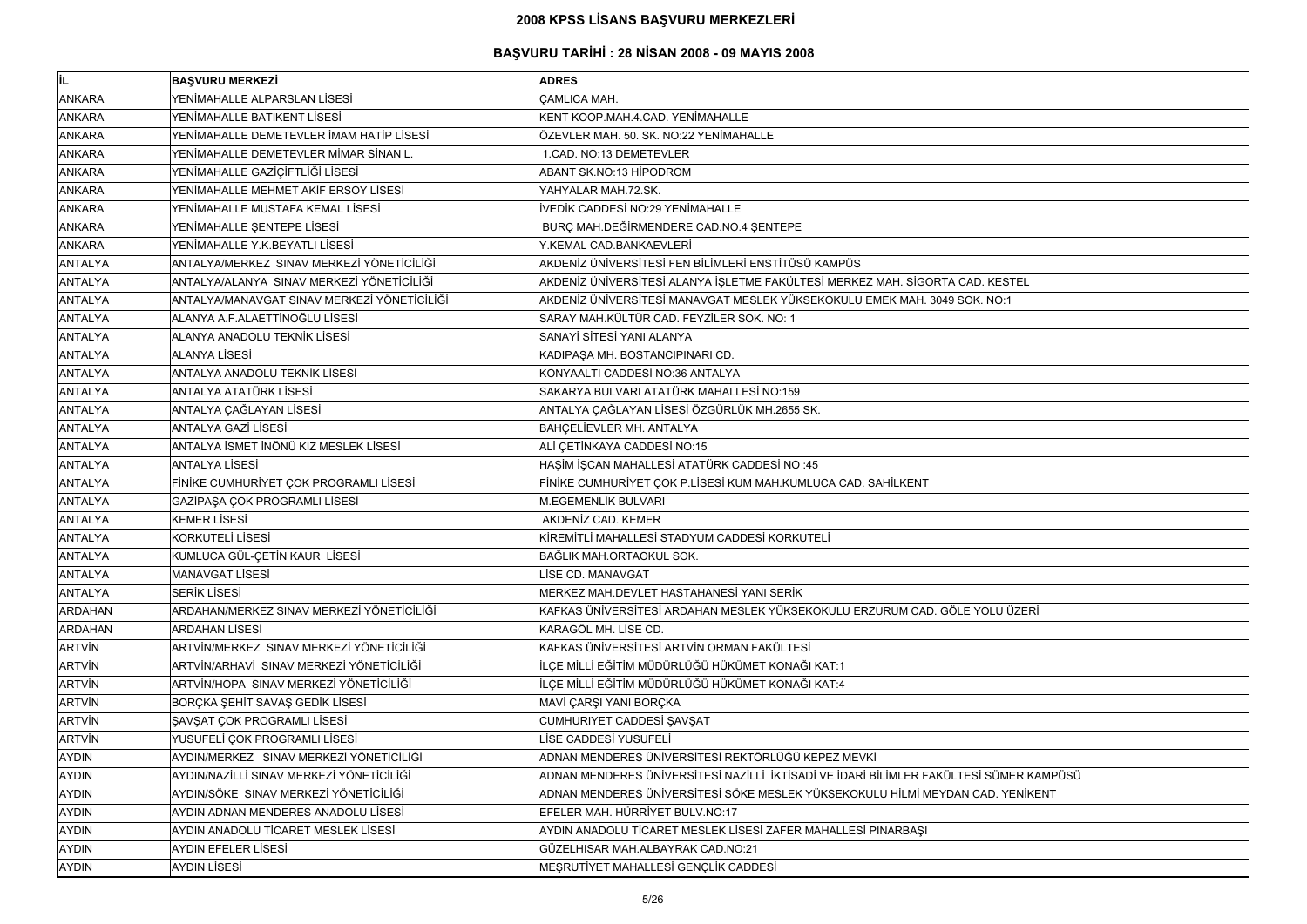| lil.           | <b>BAŞVURU MERKEZİ</b>                      | <b>ADRES</b>                                                                           |
|----------------|---------------------------------------------|----------------------------------------------------------------------------------------|
| <b>ANKARA</b>  | YENİMAHALLE ALPARSLAN LİSESİ                | <b>ÇAMLICA MAH.</b>                                                                    |
| <b>ANKARA</b>  | YENİMAHALLE BATIKENT LİSESİ                 | KENT KOOP.MAH.4.CAD. YENİMAHALLE                                                       |
| <b>ANKARA</b>  | YENİMAHALLE DEMETEVLER İMAM HATİP LİSESİ    | ÖZEVLER MAH. 50. SK. NO:22 YENİMAHALLE                                                 |
| <b>ANKARA</b>  | YENİMAHALLE DEMETEVLER MİMAR SİNAN L.       | 1.CAD. NO:13 DEMETEVLER                                                                |
| <b>ANKARA</b>  | YENİMAHALLE GAZİÇİFTLİĞİ LİSESİ             | ABANT SK.NO:13 HİPODROM                                                                |
| <b>ANKARA</b>  | YENİMAHALLE MEHMET AKİF ERSOY LİSESİ        | YAHYALAR MAH.72.SK.                                                                    |
| <b>ANKARA</b>  | YENİMAHALLE MUSTAFA KEMAL LİSESİ            | İVEDİK CADDESİ NO:29 YENİMAHALLE                                                       |
| <b>ANKARA</b>  | YENİMAHALLE ŞENTEPE LİSESİ                  | BURÇ MAH.DEĞİRMENDERE CAD.NO.4 ŞENTEPE                                                 |
| <b>ANKARA</b>  | YENİMAHALLE Y.K.BEYATLI LİSESİ              | Y.KEMAL CAD.BANKAEVLERİ                                                                |
| <b>ANTALYA</b> | ANTALYA/MERKEZ SINAV MERKEZİ YÖNETİCİLİĞİ   | AKDENİZ ÜNİVERSİTESİ FEN BİLİMLERİ ENSTİTÜSÜ KAMPÜS                                    |
| <b>ANTALYA</b> | ANTALYA/ALANYA SINAV MERKEZİ YÖNETİCİLİĞİ   | AKDENİZ ÜNİVERSİTESİ ALANYA İŞLETME FAKÜLTESİ MERKEZ MAH. SİGORTA CAD. KESTEL          |
| <b>ANTALYA</b> | ANTALYA/MANAVGAT SINAV MERKEZİ YÖNETİCİLİĞİ | AKDENİZ ÜNİVERSİTESİ MANAVGAT MESLEK YÜKSEKOKULU EMEK MAH. 3049 SOK. NO:1              |
| <b>ANTALYA</b> | ALANYA A.F.ALAETTİNOĞLU LİSESİ              | SARAY MAH.KÜLTÜR CAD. FEYZİLER SOK. NO: 1                                              |
| <b>ANTALYA</b> | ALANYA ANADOLU TEKNİK LİSESİ                | SANAYİ SİTESİ YANI ALANYA                                                              |
| <b>ANTALYA</b> | <b>ALANYA LİSESİ</b>                        | KADIPAŞA MH. BOSTANCIPINARI CD.                                                        |
| <b>ANTALYA</b> | <b>ANTALYA ANADOLU TEKNİK LİSESİ</b>        | KONYAALTI CADDESİ NO:36 ANTALYA                                                        |
| <b>ANTALYA</b> | <b>ANTALYA ATATÜRK LİSESİ</b>               | SAKARYA BULVARI ATATÜRK MAHALLESİ NO:159                                               |
| <b>ANTALYA</b> | ANTALYA ÇAĞLAYAN LİSESİ                     | ANTALYA ÇAĞLAYAN LİSESİ ÖZGÜRLÜK MH.2655 SK.                                           |
| <b>ANTALYA</b> | <b>ANTALYA GAZİ LİSESİ</b>                  | BAHÇELİEVLER MH. ANTALYA                                                               |
| <b>ANTALYA</b> | ANTALYA İSMET İNÖNÜ KIZ MESLEK LİSESİ       | ALİ ÇETİNKAYA CADDESİ NO:15                                                            |
| <b>ANTALYA</b> | <b>ANTALYA LİSESİ</b>                       | HAŞİM İŞCAN MAHALLESİ ATATÜRK CADDESİ NO:45                                            |
| <b>ANTALYA</b> | FINIKE CUMHURIYET ÇOK PROGRAMLI LISESI      | FİNİKE CUMHURİYET ÇOK P.LİSESİ KUM MAH.KUMLUCA CAD. SAHİLKENT                          |
| <b>ANTALYA</b> | GAZİPAŞA ÇOK PROGRAMLI LİSESİ               | <b>M.EGEMENLİK BULVARI</b>                                                             |
| <b>ANTALYA</b> | <b>KEMER LİSESİ</b>                         | AKDENİZ CAD. KEMER                                                                     |
| <b>ANTALYA</b> | <b>KORKUTELİ LİSESİ</b>                     | KİREMİTLİ MAHALLESİ STADYUM CADDESİ KORKUTELİ                                          |
| <b>ANTALYA</b> | KUMLUCA GÜL-ÇETİN KAUR LİSESİ               | BAĞLIK MAH.ORTAOKUL SOK.                                                               |
| <b>ANTALYA</b> | <b>MANAVGAT LİSESİ</b>                      | LİSE CD. MANAVGAT                                                                      |
| <b>ANTALYA</b> | <b>SERİK LİSESİ</b>                         | MERKEZ MAH.DEVLET HASTAHANESİ YANI SERİK                                               |
| <b>ARDAHAN</b> | ARDAHAN/MERKEZ SINAV MERKEZİ YÖNETİCİLİĞİ   | KAFKAS ÜNIVERSITESI ARDAHAN MESLEK YÜKSEKOKULU ERZURUM CAD. GÖLE YOLU ÜZERİ            |
| <b>ARDAHAN</b> | <b>ARDAHAN LISESI</b>                       | KARAGÖL MH. LİSE CD.                                                                   |
| <b>ARTVIN</b>  | ARTVİN/MERKEZ SINAV MERKEZİ YÖNETİCİLİĞİ    | KAFKAS ÜNİVERSİTESİ ARTVİN ORMAN FAKÜLTESİ                                             |
| <b>ARTVIN</b>  | ARTVİN/ARHAVİ SINAV MERKEZİ YÖNETİCİLİĞİ    | İLÇE MİLLİ EĞİTİM MÜDÜRLÜĞÜ HÜKÜMET KONAĞI KAT:1                                       |
| <b>ARTVIN</b>  | ARTVİN/HOPA SINAV MERKEZİ YÖNETİCİLİĞİ      | İLÇE MİLLİ EĞİTİM MÜDÜRLÜĞÜ HÜKÜMET KONAĞI KAT:4                                       |
| <b>ARTVIN</b>  | BORÇKA ŞEHİT SAVAŞ GEDİK LİSESİ             | MAVİ ÇARŞI YANI BORÇKA                                                                 |
| <b>ARTVIN</b>  | ŞAVŞAT ÇOK PROGRAMLI LİSESİ                 | CUMHURIYET CADDESİ ŞAVŞAT                                                              |
| <b>ARTVIN</b>  | YUSUFELİ ÇOK PROGRAMLI LİSESİ               | LİSE CADDESİ YUSUFELİ                                                                  |
| <b>AYDIN</b>   | AYDIN/MERKEZ SINAV MERKEZİ YÖNETİCİLİĞİ     | ADNAN MENDERES ÜNİVERSİTESİ REKTÖRLÜĞÜ KEPEZ MEVKİ                                     |
| <b>AYDIN</b>   | AYDIN/NAZİLLİ SINAV MERKEZİ YÖNETİCİLİĞİ    | ADNAN MENDERES ÜNİVERSİTESİ NAZİLLİ İKTİSADİ VE İDARİ BİLİMLER FAKÜLTESİ SÜMER KAMPÜSÜ |
| <b>AYDIN</b>   | AYDIN/SÖKE SINAV MERKEZİ YÖNETİCİLİĞİ       | ADNAN MENDERES ÜNİVERSİTESİ SÖKE MESLEK YÜKSEKOKULU HİLMİ MEYDAN CAD. YENİKENT         |
| <b>AYDIN</b>   | AYDIN ADNAN MENDERES ANADOLU LİSESİ         | EFELER MAH. HÜRRİYET BULV.NO:17                                                        |
| <b>AYDIN</b>   | AYDIN ANADOLU TİCARET MESLEK LİSESİ         | AYDIN ANADOLU TİCARET MESLEK LİSESİ ZAFER MAHALLESİ PINARBAŞI                          |
| <b>AYDIN</b>   | <b>AYDIN EFELER LİSESİ</b>                  | GÜZELHISAR MAH.ALBAYRAK CAD.NO:21                                                      |
| <b>AYDIN</b>   | <b>AYDIN LİSESİ</b>                         | MEŞRUTİYET MAHALLESİ GENÇLİK CADDESİ                                                   |

| KESTEL        |
|---------------|
| NO:1          |
|               |
|               |
|               |
|               |
|               |
|               |
|               |
|               |
|               |
|               |
|               |
|               |
|               |
|               |
|               |
|               |
|               |
|               |
| ILU ÜZERİ     |
|               |
|               |
|               |
|               |
|               |
|               |
|               |
|               |
|               |
|               |
| SÜMER KAMPÜSÜ |
| D. YENİKENT   |
|               |
|               |
|               |
|               |
|               |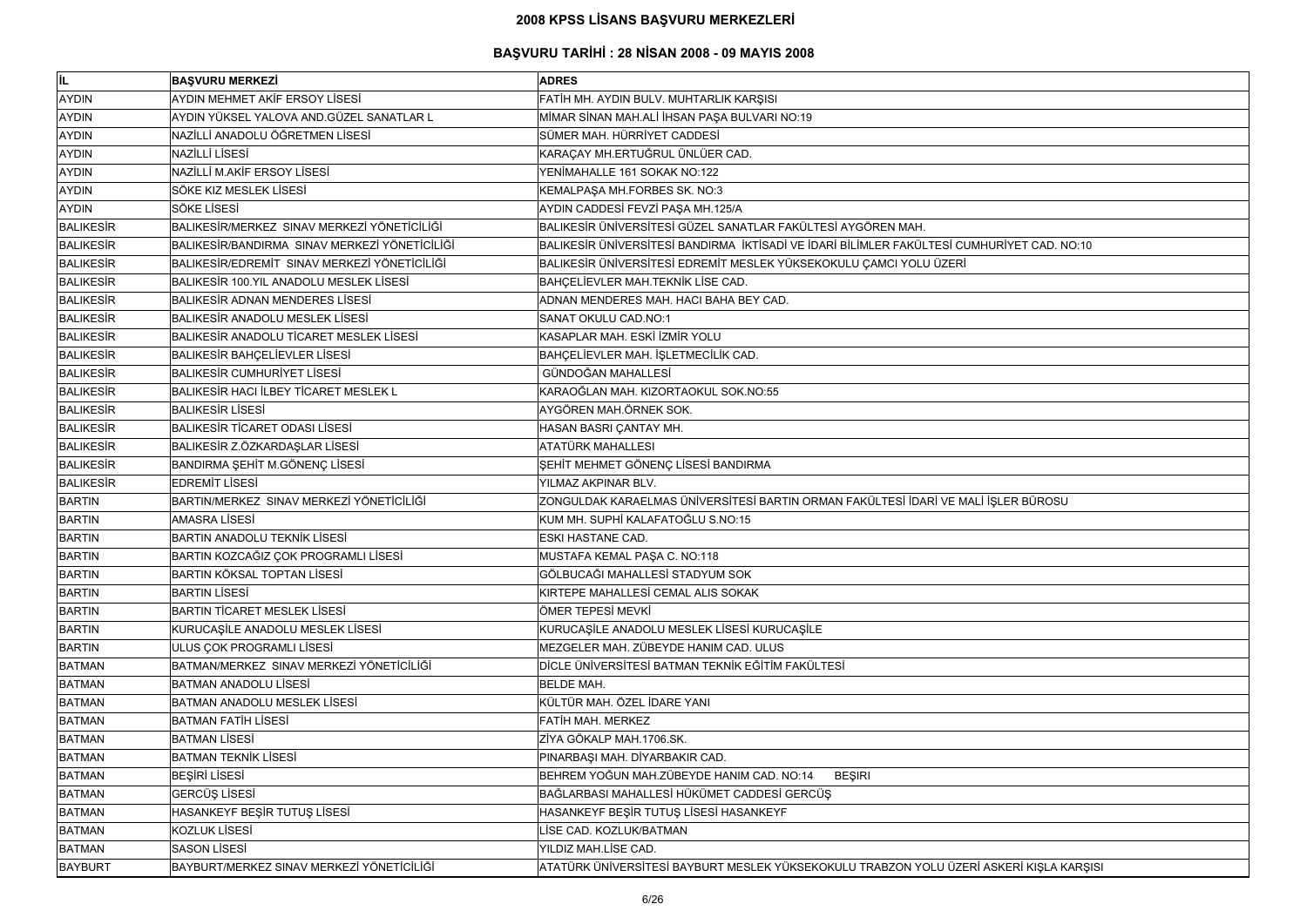| IL.              | <b>BAŞVURU MERKEZİ</b>                         | <b>ADRES</b>                                                                               |
|------------------|------------------------------------------------|--------------------------------------------------------------------------------------------|
| <b>AYDIN</b>     | <b>AYDIN MEHMET AKİF ERSOY LİSESİ</b>          | FATİH MH. AYDIN BULV. MUHTARLIK KARŞISI                                                    |
| <b>AYDIN</b>     | AYDIN YÜKSEL YALOVA AND.GÜZEL SANATLAR L       | MİMAR SİNAN MAH.ALİ İHSAN PAŞA BULVARI NO:19                                               |
| <b>AYDIN</b>     | NAZİLLİ ANADOLU ÖĞRETMEN LİSESİ                | SÜMER MAH. HÜRRİYET CADDESİ                                                                |
| <b>AYDIN</b>     | <b>NAZİLLİ LİSESİ</b>                          | KARAÇAY MH.ERTUĞRUL ÜNLÜER CAD.                                                            |
| <b>AYDIN</b>     | NAZİLLİ M.AKİF ERSOY LİSESİ                    | YENİMAHALLE 161 SOKAK NO:122                                                               |
| <b>AYDIN</b>     | SÖKE KIZ MESLEK LİSESİ                         | KEMALPAŞA MH.FORBES SK. NO:3                                                               |
| <b>AYDIN</b>     | <b>SÖKE LISESİ</b>                             | AYDIN CADDESİ FEVZİ PAŞA MH.125/A                                                          |
| <b>BALIKESIR</b> | BALIKESİR/MERKEZ SINAV MERKEZİ YÖNETİCİLİĞİ    | BALIKESİR ÜNİVERSİTESİ GÜZEL SANATLAR FAKÜLTESİ AYGÖREN MAH.                               |
| <b>BALIKESIR</b> | BALIKESİR/BANDIRMA SINAV MERKEZİ YÖNETİCİLİĞİ  | BALIKESİR ÜNİVERSİTESİ BANDIRMA İKTİSADİ VE İDARİ BİLİMLER FAKÜLTESİ CUMHURİYET CAD. NO:10 |
| <b>BALIKESIR</b> | BALIKESİR/EDREMİT SINAV MERKEZİ YÖNETİCİLİĞİ   | BALIKESİR ÜNİVERSİTESİ EDREMİT MESLEK YÜKSEKOKULU ÇAMCI YOLU ÜZERİ                         |
| <b>BALIKESIR</b> | BALIKESİR 100.YIL ANADOLU MESLEK LİSESİ        | BAHÇELİEVLER MAH.TEKNİK LİSE CAD.                                                          |
| <b>BALIKESIR</b> | <b>BALIKESIR ADNAN MENDERES LISESI</b>         | ADNAN MENDERES MAH. HACI BAHA BEY CAD.                                                     |
| <b>BALIKESIR</b> | <b>BALIKESIR ANADOLU MESLEK LISESI</b>         | SANAT OKULU CAD.NO:1                                                                       |
| <b>BALIKESIR</b> | <b>BALIKESIR ANADOLU TICARET MESLEK LISESI</b> | KASAPLAR MAH. ESKİ İZMİR YOLU                                                              |
| <b>BALIKESIR</b> | <b>BALIKESIR BAHÇELİEVLER LİSESİ</b>           | BAHÇELİEVLER MAH. İŞLETMECİLİK CAD.                                                        |
| <b>BALIKESIR</b> | <b>BALIKESIR CUMHURIYET LISESI</b>             | <b>GÜNDOĞAN MAHALLESİ</b>                                                                  |
| <b>BALIKESIR</b> | BALIKESIR HACI İLBEY TİCARET MESLEK L          | KARAOĞLAN MAH. KIZORTAOKUL SOK.NO:55                                                       |
| <b>BALIKESIR</b> | <b>BALIKESIR LISESI</b>                        | AYGÖREN MAH.ÖRNEK SOK.                                                                     |
| <b>BALIKESIR</b> | <b>BALIKESIR TICARET ODASI LISESI</b>          | HASAN BASRI ÇANTAY MH.                                                                     |
| <b>BALIKESIR</b> | BALIKESİR Z.ÖZKARDAŞLAR LİSESİ                 | ATATÜRK MAHALLESI                                                                          |
| <b>BALIKESIR</b> | BANDIRMA ŞEHİT M.GÖNENÇ LİSESİ                 | ŞEHİT MEHMET GÖNENÇ LİSESİ BANDIRMA                                                        |
| <b>BALIKESIR</b> | <b>EDREMIT LISESI</b>                          | YILMAZ AKPINAR BLV.                                                                        |
| <b>BARTIN</b>    | BARTIN/MERKEZ SINAV MERKEZİ YÖNETİCİLİĞİ       | ZONGULDAK KARAELMAS ÜNİVERSİTESİ BARTIN ORMAN FAKÜLTESİ İDARİ VE MALİ İŞLER BÜROSU         |
| <b>BARTIN</b>    | <b>AMASRA LISESI</b>                           | KUM MH. SUPHİ KALAFATOĞLU S.NO:15                                                          |
| <b>BARTIN</b>    | <b>BARTIN ANADOLU TEKNIK LISESI</b>            | ESKI HASTANE CAD.                                                                          |
| <b>BARTIN</b>    | BARTIN KOZCAĞIZ ÇOK PROGRAMLI LİSESİ           | MUSTAFA KEMAL PAŞA C. NO:118                                                               |
| <b>BARTIN</b>    | <b>BARTIN KÖKSAL TOPTAN LİSESİ</b>             | GÖLBUCAĞI MAHALLESİ STADYUM SOK                                                            |
| <b>BARTIN</b>    | <b>BARTIN LISESI</b>                           | KIRTEPE MAHALLESİ CEMAL ALIS SOKAK                                                         |
| <b>BARTIN</b>    | BARTIN TİCARET MESLEK LİSESİ                   | ÖMER TEPESİ MEVKİ                                                                          |
| <b>BARTIN</b>    | KURUCAȘILE ANADOLU MESLEK LISESI               | KURUCAȘİLE ANADOLU MESLEK LİSESİ KURUCAŞİLE                                                |
| <b>BARTIN</b>    | ULUS ÇOK PROGRAMLI LİSESİ                      | MEZGELER MAH. ZÜBEYDE HANIM CAD. ULUS                                                      |
| <b>BATMAN</b>    | BATMAN/MERKEZ SINAV MERKEZİ YÖNETİCİLİĞİ       | DİCLE ÜNİVERSİTESİ BATMAN TEKNİK EĞİTİM FAKÜLTESİ                                          |
| <b>BATMAN</b>    | <b>BATMAN ANADOLU LISESI</b>                   | <b>BELDE MAH.</b>                                                                          |
| <b>BATMAN</b>    | BATMAN ANADOLU MESLEK LİSESİ                   | KÜLTÜR MAH. ÖZEL İDARE YANI                                                                |
| <b>BATMAN</b>    | <b>BATMAN FATIH LISESI</b>                     | FATİH MAH. MERKEZ                                                                          |
| <b>BATMAN</b>    | <b>BATMAN LİSESİ</b>                           | ZİYA GÖKALP MAH.1706.SK.                                                                   |
| <b>BATMAN</b>    | <b>BATMAN TEKNİK LİSESİ</b>                    | PINARBAŞI MAH. DİYARBAKIR CAD.                                                             |
| <b>BATMAN</b>    | <b>BEŞİRİ LİSESİ</b>                           | BEHREM YOĞUN MAH.ZÜBEYDE HANIM CAD. NO:14<br><b>BEŞIRI</b>                                 |
| <b>BATMAN</b>    | GERCÜŞ LİSESİ                                  | BAĞLARBASI MAHALLESİ HÜKÜMET CADDESİ GERCÜŞ                                                |
| <b>BATMAN</b>    | HASANKEYF BEŞİR TUTUŞ LİSESİ                   | HASANKEYF BEŞİR TUTUŞ LİSESİ HASANKEYF                                                     |
| <b>BATMAN</b>    | <b>KOZLUK LİSESİ</b>                           | LİSE CAD. KOZLUK/BATMAN                                                                    |
| <b>BATMAN</b>    | <b>SASON LISESI</b>                            | YILDIZ MAH.LİSE CAD.                                                                       |
| <b>BAYBURT</b>   | BAYBURT/MERKEZ SINAV MERKEZİ YÖNETİCİLİĞİ      | ATATÜRK ÜNİVERSİTESİ BAYBURT MESLEK YÜKSEKOKULU TRABZON YOLU ÜZERİ ASKERİ KIŞLA KARŞISI    |

| URİYET CAD. NO:10    |  |
|----------------------|--|
|                      |  |
|                      |  |
|                      |  |
|                      |  |
|                      |  |
|                      |  |
|                      |  |
|                      |  |
|                      |  |
|                      |  |
|                      |  |
|                      |  |
|                      |  |
|                      |  |
|                      |  |
|                      |  |
|                      |  |
|                      |  |
|                      |  |
|                      |  |
|                      |  |
|                      |  |
|                      |  |
| İŞLER BÜROSU         |  |
|                      |  |
|                      |  |
|                      |  |
|                      |  |
|                      |  |
|                      |  |
|                      |  |
|                      |  |
|                      |  |
|                      |  |
|                      |  |
|                      |  |
|                      |  |
|                      |  |
|                      |  |
|                      |  |
|                      |  |
|                      |  |
|                      |  |
|                      |  |
|                      |  |
|                      |  |
|                      |  |
|                      |  |
|                      |  |
|                      |  |
|                      |  |
|                      |  |
|                      |  |
|                      |  |
|                      |  |
| ISKERİ KIŞLA KARŞISI |  |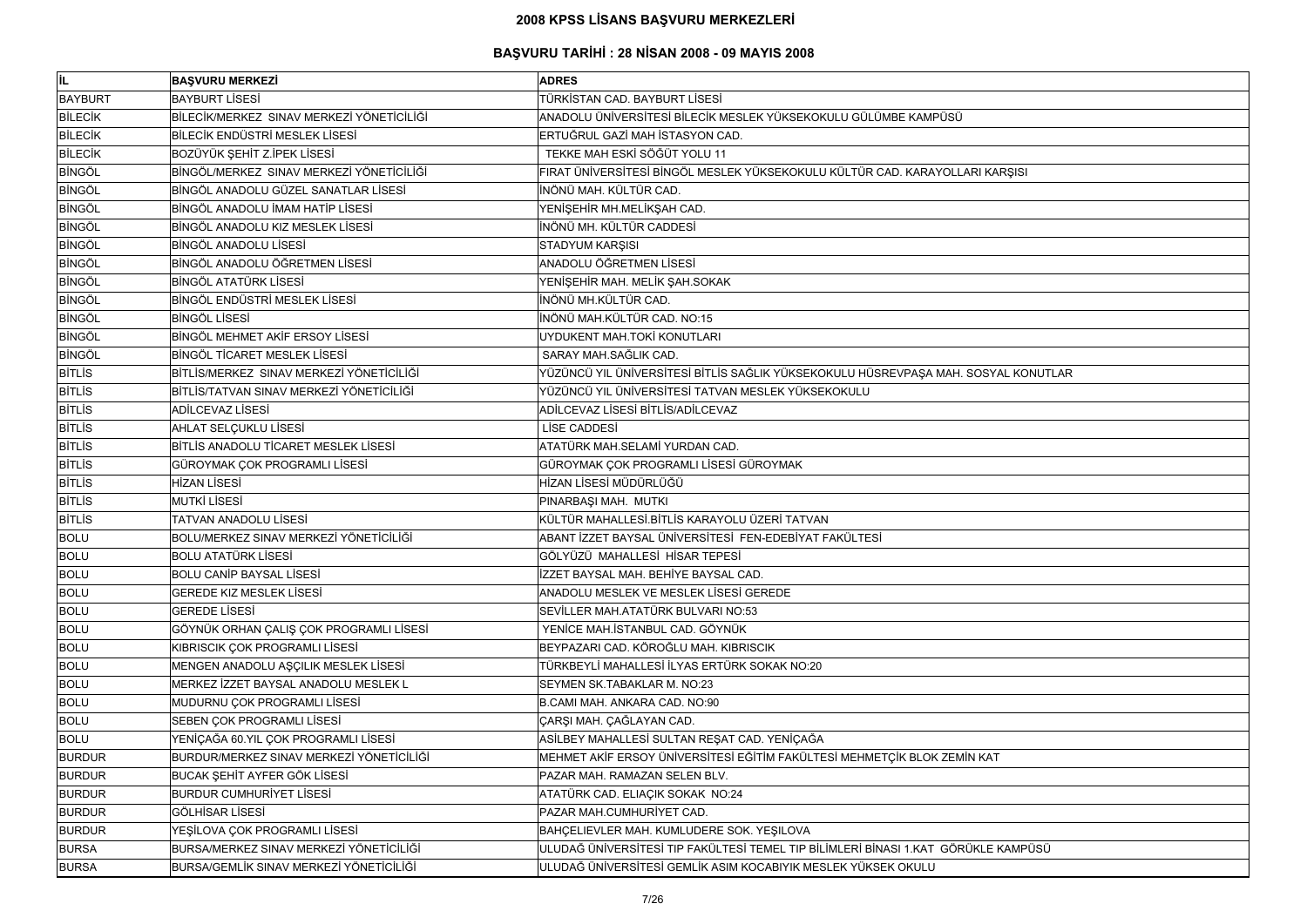| lil.           | <b>BAŞVURU MERKEZİ</b>                    | <b>ADRES</b>                                                                       |
|----------------|-------------------------------------------|------------------------------------------------------------------------------------|
| <b>BAYBURT</b> | <b>BAYBURT LİSESİ</b>                     | TÜRKİSTAN CAD. BAYBURT LİSESİ                                                      |
| <b>BILECIK</b> | BİLECİK/MERKEZ SINAV MERKEZİ YÖNETİCİLİĞİ | ANADOLU ÜNİVERSİTESİ BİLECİK MESLEK YÜKSEKOKULU GÜLÜMBE KAMPÜSÜ                    |
| <b>BİLECİK</b> | BİLECİK ENDÜSTRİ MESLEK LİSESİ            | ERTUĞRUL GAZİ MAH İSTASYON CAD.                                                    |
| <b>BİLECİK</b> | BOZÜYÜK ŞEHİT Z.İPEK LİSESİ               | TEKKE MAH ESKİ SÖĞÜT YOLU 11                                                       |
| <b>BİNGÖL</b>  | BİNGÖL/MERKEZ SINAV MERKEZİ YÖNETİCİLİĞİ  | FIRAT ÜNIVERSITESI BINGÖL MESLEK YÜKSEKOKULU KÜLTÜR CAD. KARAYOLLARI KARŞISI       |
| <b>BINGÖL</b>  | BİNGÖL ANADOLU GÜZEL SANATLAR LİSESİ      | İNÖNÜ MAH. KÜLTÜR CAD.                                                             |
| <b>BINGÖL</b>  | BİNGÖL ANADOLU İMAM HATİP LİSESİ          | YENİŞEHİR MH.MELİKŞAH CAD.                                                         |
| <b>BİNGÖL</b>  | <b>BINGÖL ANADOLU KIZ MESLEK LISESİ</b>   | İNÖNÜ MH. KÜLTÜR CADDESİ                                                           |
| <b>BİNGÖL</b>  | <b>BİNGÖL ANADOLU LİSESİ</b>              | STADYUM KARŞISI                                                                    |
| <b>BİNGÖL</b>  | BİNGÖL ANADOLU ÖĞRETMEN LİSESİ            | ANADOLU ÖĞRETMEN LİSESİ                                                            |
| <b>BİNGÖL</b>  | <b>BİNGÖL ATATÜRK LİSESİ</b>              | YENİŞEHİR MAH. MELİK ŞAH.SOKAK                                                     |
| <b>BİNGÖL</b>  | <b>BİNGÖL ENDÜSTRİ MESLEK LİSESİ</b>      | İNÖNÜ MH.KÜLTÜR CAD.                                                               |
| <b>BİNGÖL</b>  | <b>BINGÖL LISESİ</b>                      | İNÖNÜ MAH.KÜLTÜR CAD. NO:15                                                        |
| <b>BINGÖL</b>  | BİNGÖL MEHMET AKİF ERSOY LİSESİ           | UYDUKENT MAH.TOKİ KONUTLARI                                                        |
| <b>BİNGÖL</b>  | BİNGÖL TİCARET MESLEK LİSESİ              | SARAY MAH.SAĞLIK CAD.                                                              |
| <b>BITLIS</b>  | BİTLİS/MERKEZ SINAV MERKEZİ YÖNETİCİLİĞİ  | YÜZÜNCÜ YIL ÜNİVERSİTESİ BİTLİS SAĞLIK YÜKSEKOKULU HÜSREVPAŞA MAH. SOSYAL KONUTLAR |
| <b>BITLIS</b>  | BİTLİS/TATVAN SINAV MERKEZİ YÖNETİCİLİĞİ  | YÜZÜNCÜ YIL ÜNİVERSİTESİ TATVAN MESLEK YÜKSEKOKULU                                 |
| <b>BITLIS</b>  | ADİLCEVAZ LİSESİ                          | ADİLCEVAZ LİSESİ BİTLİS/ADİLCEVAZ                                                  |
| <b>BITLIS</b>  | AHLAT SELÇUKLU LİSESİ                     | LİSE CADDESİ                                                                       |
| <b>BITLIS</b>  | BİTLİS ANADOLU TİCARET MESLEK LİSESİ      | ATATÜRK MAH.SELAMİ YURDAN CAD.                                                     |
| <b>BITLIS</b>  | GÜROYMAK ÇOK PROGRAMLI LİSESİ             | GÜROYMAK ÇOK PROGRAMLI LİSESİ GÜROYMAK                                             |
| <b>BITLIS</b>  | <b>HİZAN LİSESİ</b>                       | HİZAN LİSESİ MÜDÜRLÜĞÜ                                                             |
| <b>BITLIS</b>  | <b>MUTKİ LİSESİ</b>                       | PINARBAŞI MAH. MUTKI                                                               |
| <b>BITLIS</b>  | <b>TATVAN ANADOLU LİSESİ</b>              | KÜLTÜR MAHALLESİ.BİTLİS KARAYOLU ÜZERİ TATVAN                                      |
| <b>BOLU</b>    | BOLU/MERKEZ SINAV MERKEZİ YÖNETİCİLİĞİ    | ABANT İZZET BAYSAL ÜNİVERSİTESİ FEN-EDEBİYAT FAKÜLTESİ                             |
| <b>BOLU</b>    | <b>BOLU ATATÜRK LİSESİ</b>                | GÖLYÜZÜ MAHALLESİ HİSAR TEPESİ                                                     |
| <b>BOLU</b>    | <b>BOLU CANIP BAYSAL LISESI</b>           | İZZET BAYSAL MAH. BEHİYE BAYSAL CAD.                                               |
| <b>BOLU</b>    | <b>GEREDE KIZ MESLEK LİSESİ</b>           | ANADOLU MESLEK VE MESLEK LİSESİ GEREDE                                             |
| <b>BOLU</b>    | <b>GEREDE LISESI</b>                      | SEVİLLER MAH.ATATÜRK BULVARI NO:53                                                 |
| <b>BOLU</b>    | GÖYNÜK ORHAN ÇALIŞ ÇOK PROGRAMLI LİSESİ   | YENİCE MAH.İSTANBUL CAD. GÖYNÜK                                                    |
| <b>BOLU</b>    | KIBRISCIK ÇOK PROGRAMLI LİSESİ            | BEYPAZARI CAD. KÖROĞLU MAH. KIBRISCIK                                              |
| <b>BOLU</b>    | MENGEN ANADOLU AŞÇILIK MESLEK LİSESİ      | TÜRKBEYLİ MAHALLESİ İLYAS ERTÜRK SOKAK NO:20                                       |
| <b>BOLU</b>    | MERKEZ İZZET BAYSAL ANADOLU MESLEK L      | SEYMEN SK.TABAKLAR M. NO:23                                                        |
| <b>BOLU</b>    | MUDURNU ÇOK PROGRAMLI LİSESİ              | B.CAMI MAH. ANKARA CAD. NO:90                                                      |
| <b>BOLU</b>    | SEBEN ÇOK PROGRAMLI LİSESİ                | ÇARŞI MAH. ÇAĞLAYAN CAD.                                                           |
| <b>BOLU</b>    | YENİÇAĞA 60.YIL ÇOK PROGRAMLI LİSESİ      | ASİLBEY MAHALLESİ SULTAN REŞAT CAD. YENİÇAĞA                                       |
| <b>BURDUR</b>  | BURDUR/MERKEZ SINAV MERKEZİ YÖNETİCİLİĞİ  | MEHMET AKİF ERSOY ÜNİVERSİTESİ EĞİTİM FAKÜLTESİ MEHMETÇİK BLOK ZEMİN KAT           |
| <b>BURDUR</b>  | BUCAK ŞEHİT AYFER GÖK LİSESİ              | PAZAR MAH. RAMAZAN SELEN BLV.                                                      |
| <b>BURDUR</b>  | <b>BURDUR CUMHURİYET LİSESİ</b>           | ATATÜRK CAD. ELIAÇIK SOKAK NO:24                                                   |
| <b>BURDUR</b>  | <b>GÖLHİSAR LİSESİ</b>                    | PAZAR MAH.CUMHURİYET CAD.                                                          |
| <b>BURDUR</b>  | YEŞİLOVA ÇOK PROGRAMLI LİSESİ             | BAHÇELIEVLER MAH. KUMLUDERE SOK. YEŞILOVA                                          |
| <b>BURSA</b>   | BURSA/MERKEZ SINAV MERKEZİ YÖNETİCİLİĞİ   | ULUDAĞ ÜNİVERSİTESİ TIP FAKÜLTESİ TEMEL TIP BİLİMLERİ BİNASI 1.KAT GÖRÜKLE KAMPÜSÜ |
| <b>BURSA</b>   | BURSA/GEMLİK SINAV MERKEZİ YÖNETİCİLİĞİ   | ULUDAĞ ÜNİVERSİTESİ GEMLİK ASIM KOCABIYIK MESLEK YÜKSEK OKULU                      |

| <b>ARŞISI</b> |  |
|---------------|--|
|               |  |
|               |  |
|               |  |
|               |  |
|               |  |
|               |  |
|               |  |
|               |  |
|               |  |
|               |  |
|               |  |
| YAL KONUTLAR  |  |
|               |  |
|               |  |
|               |  |
|               |  |
|               |  |
|               |  |
|               |  |
|               |  |
|               |  |
|               |  |
|               |  |
|               |  |
|               |  |
|               |  |
|               |  |
|               |  |
|               |  |
|               |  |
|               |  |
|               |  |
|               |  |
|               |  |
|               |  |
| ١T            |  |
|               |  |
|               |  |
|               |  |
|               |  |
|               |  |
| E KAMPÜSÜ     |  |
|               |  |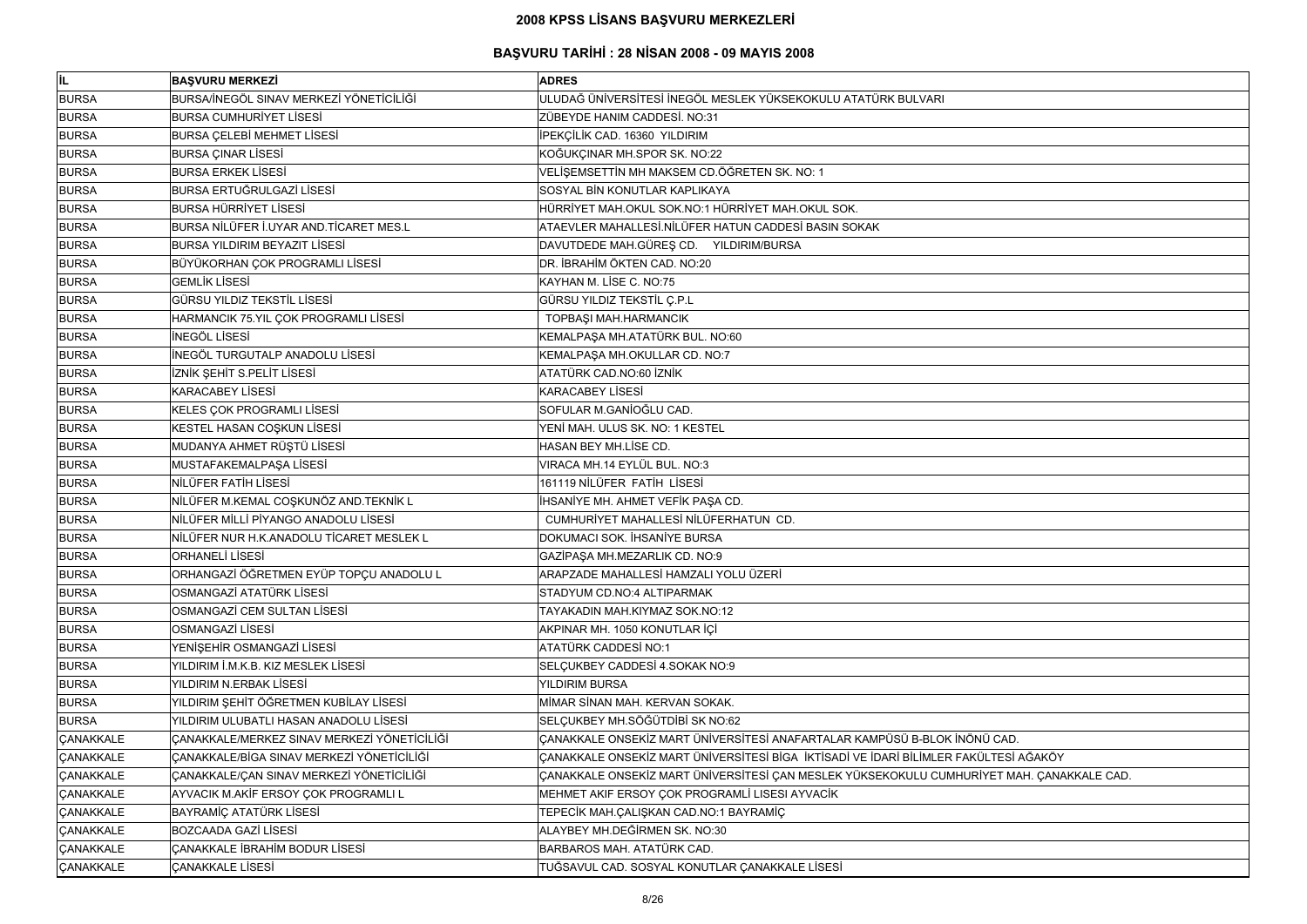| <b>IIL</b>       | <b>BAŞVURU MERKEZİ</b>                      | <b>ADRES</b>                                                                              |
|------------------|---------------------------------------------|-------------------------------------------------------------------------------------------|
| <b>BURSA</b>     | BURSA/İNEGÖL SINAV MERKEZİ YÖNETİCİLİĞİ     | ULUDAĞ ÜNİVERSİTESİ İNEGÖL MESLEK YÜKSEKOKULU ATATÜRK BULVARI                             |
| <b>BURSA</b>     | <b>BURSA CUMHURİYET LİSESİ</b>              | ZÜBEYDE HANIM CADDESİ. NO:31                                                              |
| <b>BURSA</b>     | <b>BURSA ÇELEBİ MEHMET LİSESİ</b>           | İPEKÇİLİK CAD. 16360 YILDIRIM                                                             |
| <b>BURSA</b>     | <b>BURSA ÇINAR LİSESİ</b>                   | KOĞUKÇINAR MH.SPOR SK. NO:22                                                              |
| <b>BURSA</b>     | <b>BURSA ERKEK LİSESİ</b>                   | VELİŞEMSETTİN MH MAKSEM CD.ÖĞRETEN SK. NO: 1                                              |
| <b>BURSA</b>     | <b>BURSA ERTUĞRULGAZİ LİSESİ</b>            | SOSYAL BİN KONUTLAR KAPLIKAYA                                                             |
| <b>BURSA</b>     | <b>BURSA HÜRRİYET LİSESİ</b>                | HÜRRİYET MAH.OKUL SOK.NO:1 HÜRRİYET MAH.OKUL SOK.                                         |
| <b>BURSA</b>     | BURSA NİLÜFER İ.UYAR AND.TİCARET MES.L      | ATAEVLER MAHALLESİ.NİLÜFER HATUN CADDESİ BASIN SOKAK                                      |
| <b>BURSA</b>     | <b>BURSA YILDIRIM BEYAZIT LİSESİ</b>        | DAVUTDEDE MAH.GÜREŞ CD. YILDIRIM/BURSA                                                    |
| <b>BURSA</b>     | BÜYÜKORHAN ÇOK PROGRAMLI LİSESİ             | DR. İBRAHİM ÖKTEN CAD. NO:20                                                              |
| <b>BURSA</b>     | <b>GEMLİK LİSESİ</b>                        | KAYHAN M. LİSE C. NO:75                                                                   |
| <b>BURSA</b>     | <b>GÜRSU YILDIZ TEKSTİL LİSESİ</b>          | GÜRSU YILDIZ TEKSTİL Ç.P.L                                                                |
| <b>BURSA</b>     | HARMANCIK 75.YIL ÇOK PROGRAMLI LİSESİ       | TOPBAŞI MAH.HARMANCIK                                                                     |
| <b>BURSA</b>     | İNEGÖL LİSESİ                               | KEMALPAŞA MH.ATATÜRK BUL. NO:60                                                           |
| <b>BURSA</b>     | İNEGÖL TURGUTALP ANADOLU LİSESİ             | KEMALPAŞA MH.OKULLAR CD. NO:7                                                             |
| <b>BURSA</b>     | İZNİK ŞEHİT S.PELİT LİSESİ                  | ATATÜRK CAD.NO:60 İZNİK                                                                   |
| <b>BURSA</b>     | <b>KARACABEY LİSESİ</b>                     | <b>KARACABEY LİSESİ</b>                                                                   |
| <b>BURSA</b>     | KELES ÇOK PROGRAMLI LİSESİ                  | SOFULAR M.GANÍOĞLU CAD.                                                                   |
| <b>BURSA</b>     | KESTEL HASAN COŞKUN LİSESİ                  | YENİ MAH. ULUS SK. NO: 1 KESTEL                                                           |
| <b>BURSA</b>     | MUDANYA AHMET RÜŞTÜ LİSESİ                  | HASAN BEY MH.LISE CD.                                                                     |
| <b>BURSA</b>     | MUSTAFAKEMALPAŞA LİSESİ                     | VIRACA MH.14 EYLÜL BUL. NO:3                                                              |
| <b>BURSA</b>     | NİLÜFER FATİH LİSESİ                        | 161119 NİLÜFER FATİH LİSESİ                                                               |
| <b>BURSA</b>     | NİLÜFER M.KEMAL COŞKUNÖZ AND.TEKNİK L       | İHSANİYE MH. AHMET VEFİK PAŞA CD.                                                         |
| <b>BURSA</b>     | NİLÜFER MİLLİ PİYANGO ANADOLU LİSESİ        | CUMHURİYET MAHALLESİ NİLÜFERHATUN CD.                                                     |
| <b>BURSA</b>     | NİLÜFER NUR H.K.ANADOLU TİCARET MESLEK L    | DOKUMACI SOK. İHSANİYE BURSA                                                              |
| <b>BURSA</b>     | <b>ORHANELİ LİSESİ</b>                      | GAZİPAŞA MH.MEZARLIK CD. NO:9                                                             |
| <b>BURSA</b>     | ORHANGAZİ ÖĞRETMEN EYÜP TOPÇU ANADOLU L     | ARAPZADE MAHALLESİ HAMZALI YOLU ÜZERİ                                                     |
| <b>BURSA</b>     | OSMANGAZİ ATATÜRK LİSESİ                    | STADYUM CD.NO:4 ALTIPARMAK                                                                |
| <b>BURSA</b>     | OSMANGAZİ CEM SULTAN LİSESİ                 | TAYAKADIN MAH.KIYMAZ SOK.NO:12                                                            |
| <b>BURSA</b>     | <b>OSMANGAZİ LİSESİ</b>                     | AKPINAR MH. 1050 KONUTLAR İÇİ                                                             |
| <b>BURSA</b>     | YENİŞEHİR OSMANGAZİ LİSESİ                  | ATATÜRK CADDESİ NO:1                                                                      |
| <b>BURSA</b>     | YILDIRIM İ.M.K.B. KIZ MESLEK LİSESİ         | SELÇUKBEY CADDESİ 4.SOKAK NO:9                                                            |
| <b>BURSA</b>     | YILDIRIM N.ERBAK LİSESİ                     | YILDIRIM BURSA                                                                            |
| <b>BURSA</b>     | YILDIRIM ŞEHİT ÖĞRETMEN KUBİLAY LİSESİ      | MİMAR SİNAN MAH. KERVAN SOKAK.                                                            |
| <b>BURSA</b>     | YILDIRIM ULUBATLI HASAN ANADOLU LİSESİ      | SELÇUKBEY MH.SÖĞÜTDİBİ SK NO:62                                                           |
| <b>ÇANAKKALE</b> | ÇANAKKALE/MERKEZ SINAV MERKEZİ YÖNETİCİLİĞİ | ÇANAKKALE ONSEKİZ MART ÜNİVERSİTESİ ANAFARTALAR KAMPÜSÜ B-BLOK İNÖNÜ CAD.                 |
| <b>ÇANAKKALE</b> | ÇANAKKALE/BİGA SINAV MERKEZİ YÖNETİCİLİĞİ   | ÇANAKKALE ONSEKİZ MART ÜNİVERSİTESİ BİGA İKTİSADİ VE İDARİ BİLİMLER FAKÜLTESİ AĞAKÖY      |
| <b>ÇANAKKALE</b> | ÇANAKKALE/ÇAN SINAV MERKEZİ YÖNETİCİLİĞİ    | ÇANAKKALE ONSEKİZ MART ÜNİVERSİTESİ ÇAN MESLEK YÜKSEKOKULU CUMHURİYET MAH. ÇANAKKALE CAD. |
| <b>ÇANAKKALE</b> | AYVACIK M.AKİF ERSOY ÇOK PROGRAMLI L        | MEHMET AKIF ERSOY ÇOK PROGRAMLİ LISESI AYVACİK                                            |
| <b>ÇANAKKALE</b> | <b>BAYRAMİÇ ATATÜRK LİSESİ</b>              | TEPECİK MAH.ÇALIŞKAN CAD.NO:1 BAYRAMİÇ                                                    |
| <b>ÇANAKKALE</b> | <b>BOZCAADA GAZİ LİSESİ</b>                 | ALAYBEY MH.DEĞİRMEN SK. NO:30                                                             |
| <b>ÇANAKKALE</b> | ÇANAKKALE İBRAHİM BODUR LİSESİ              | BARBAROS MAH. ATATÜRK CAD.                                                                |
| <b>ÇANAKKALE</b> | <b>ÇANAKKALE LİSESİ</b>                     | TUĞSAVUL CAD. SOSYAL KONUTLAR ÇANAKKALE LİSESİ                                            |

| CAD.                   |
|------------------------|
|                        |
| TESİ AĞAKÖY            |
| ET MAH. ÇANAKKALE CAD. |
|                        |
|                        |
|                        |
|                        |
|                        |
|                        |
|                        |
|                        |
|                        |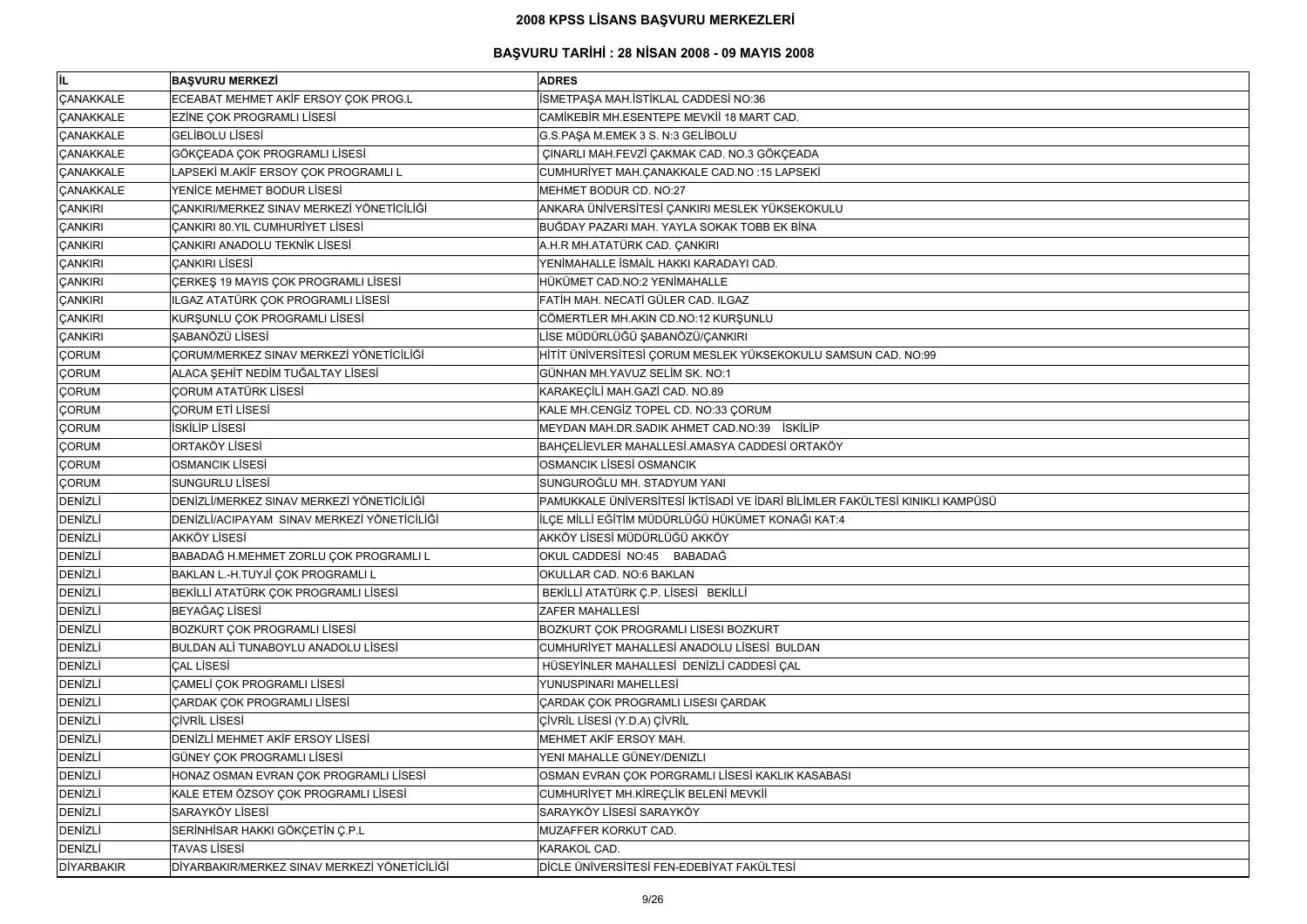| lil.              | <b>BAŞVURU MERKEZİ</b>                       | <b>ADRES</b>                                                                |
|-------------------|----------------------------------------------|-----------------------------------------------------------------------------|
| <b>CANAKKALE</b>  | ECEABAT MEHMET AKİF ERSOY ÇOK PROG.L         | İSMETPAŞA MAH.İSTİKLAL CADDESİ NO:36                                        |
| <b>ÇANAKKALE</b>  | EZİNE ÇOK PROGRAMLI LİSESİ                   | CAMİKEBİR MH.ESENTEPE MEVKİİ 18 MART CAD.                                   |
| <b>ÇANAKKALE</b>  | <b>GELIBOLU LISESI</b>                       | G.S.PAŞA M.EMEK 3 S. N:3 GELİBOLU                                           |
| <b>ÇANAKKALE</b>  | GÖKÇEADA ÇOK PROGRAMLI LİSESİ                | ÇINARLI MAH.FEVZİ ÇAKMAK CAD. NO.3 GÖKÇEADA                                 |
| <b>ÇANAKKALE</b>  | LAPSEKİ M.AKİF ERSOY ÇOK PROGRAMLI L         | CUMHURİYET MAH.ÇANAKKALE CAD.NO :15 LAPSEKİ                                 |
| <b>CANAKKALE</b>  | YENICE MEHMET BODUR LISESI                   | MEHMET BODUR CD. NO:27                                                      |
| <b>ÇANKIRI</b>    | ÇANKIRI/MERKEZ SINAV MERKEZİ YÖNETİCİLİĞİ    | ANKARA ÜNİVERSİTESİ ÇANKIRI MESLEK YÜKSEKOKULU                              |
| <b>ÇANKIRI</b>    | CANKIRI 80. YIL CUMHURİYET LİSESİ            | BUĞDAY PAZARI MAH. YAYLA SOKAK TOBB EK BİNA                                 |
| ÇANKIRI           | <b>ÇANKIRI ANADOLU TEKNİK LİSESİ</b>         | A.H.R MH.ATATÜRK CAD. ÇANKIRI                                               |
| <b>CANKIRI</b>    | <b>ÇANKIRI LİSESİ</b>                        | YENİMAHALLE İSMAİL HAKKI KARADAYI CAD.                                      |
| <b>ÇANKIRI</b>    | ÇERKEŞ 19 MAYIS ÇOK PROGRAMLI LİSESİ         | HÜKÜMET CAD.NO:2 YENİMAHALLE                                                |
| <b>ÇANKIRI</b>    | ILGAZ ATATÜRK ÇOK PROGRAMLI LİSESİ           | FATİH MAH. NECATİ GÜLER CAD. ILGAZ                                          |
| <b>ÇANKIRI</b>    | KURŞUNLU ÇOK PROGRAMLI LİSESİ                | CÖMERTLER MH.AKIN CD.NO:12 KURŞUNLU                                         |
| <b>ÇANKIRI</b>    | SABANÖZÜ LİSESİ                              | LİSE MÜDÜRLÜĞÜ ŞABANÖZÜ/ÇANKIRI                                             |
| <b>ÇORUM</b>      | ÇORUM/MERKEZ SINAV MERKEZİ YÖNETİCİLİĞİ      | HİTİT ÜNİVERSİTESİ ÇORUM MESLEK YÜKSEKOKULU SAMSUN CAD. NO:99               |
| <b>ÇORUM</b>      | ALACA ŞEHİT NEDİM TUĞALTAY LİSESİ            | GÜNHAN MH.YAVUZ SELİM SK. NO:1                                              |
| <b>ÇORUM</b>      | <b>ÇORUM ATATÜRK LİSESİ</b>                  | KARAKEÇİLİ MAH.GAZİ CAD. NO.89                                              |
| <b>ÇORUM</b>      | <b>ÇORUM ETİ LİSESİ</b>                      | KALE MH.CENGİZ TOPEL CD. NO:33 ÇORUM                                        |
| <b>ÇORUM</b>      | İSKİLİP LİSESİ                               | MEYDAN MAH.DR.SADIK AHMET CAD.NO:39<br>İSKİLİP                              |
| <b>ÇORUM</b>      | ORTAKÖY LİSESİ                               | BAHÇELİEVLER MAHALLESİ.AMASYA CADDESİ ORTAKÖY                               |
| <b>ÇORUM</b>      | <b>OSMANCIK LİSESİ</b>                       | OSMANCIK LISESI OSMANCIK                                                    |
| <b>ÇORUM</b>      | <b>SUNGURLU LISESI</b>                       | SUNGUROĞLU MH. STADYUM YANI                                                 |
| <b>DENIZLI</b>    | DENİZLİ/MERKEZ SINAV MERKEZİ YÖNETİCİLİĞİ    | PAMUKKALE ÜNİVERSİTESİ İKTİSADİ VE İDARİ BİLİMLER FAKÜLTESİ KINIKLI KAMPÜSÜ |
| DENİZLİ           | DENİZLİ/ACIPAYAM SINAV MERKEZİ YÖNETİCİLİĞİ  | İLÇE MİLLİ EĞİTİM MÜDÜRLÜĞÜ HÜKÜMET KONAĞI KAT:4                            |
| DENİZLİ           | <b>AKKÖY LİSESİ</b>                          | AKKÖY LİSESİ MÜDÜRLÜĞÜ AKKÖY                                                |
| DENİZLİ           | BABADAĞ H.MEHMET ZORLU ÇOK PROGRAMLI L       | OKUL CADDESİ NO:45 BABADAĞ                                                  |
| <b>DENIZLI</b>    | BAKLAN L.-H.TUYJİ ÇOK PROGRAMLI L            | OKULLAR CAD. NO:6 BAKLAN                                                    |
| <b>DENİZLİ</b>    | BEKİLLİ ATATÜRK ÇOK PROGRAMLI LİSESİ         | BEKİLLİ ATATÜRK Ç.P. LİSESİ BEKİLLİ                                         |
| <b>DENİZLİ</b>    | BEYAĞAÇ LİSESİ                               | <b>ZAFER MAHALLESİ</b>                                                      |
| <b>DENİZLİ</b>    | BOZKURT ÇOK PROGRAMLI LİSESİ                 | BOZKURT ÇOK PROGRAMLI LISESI BOZKURT                                        |
| <b>DENIZLI</b>    | BULDAN ALI TUNABOYLU ANADOLU LISESI          | CUMHURİYET MAHALLESİ ANADOLU LİSESİ BULDAN                                  |
| <b>DENİZLİ</b>    | <b>ÇAL LİSESİ</b>                            | HÜSEYİNLER MAHALLESİ DENİZLİ CADDESİ ÇAL                                    |
| <b>DENİZLİ</b>    | ÇAMELİ ÇOK PROGRAMLI LİSESİ                  | YUNUSPINARI MAHELLESİ                                                       |
| <b>DENİZLİ</b>    | <b>ÇARDAK ÇOK PROGRAMLI LİSESİ</b>           | ÇARDAK ÇOK PROGRAMLI LISESI ÇARDAK                                          |
| DENİZLİ           | <b>ÇİVRİL LİSESİ</b>                         | ÇİVRİL LİSESİ (Y.D.A) ÇİVRİL                                                |
| <b>DENIZLI</b>    | DENIZLI MEHMET AKİF ERSOY LİSESİ             | MEHMET AKİF ERSOY MAH.                                                      |
| <b>DENIZLI</b>    | GÜNEY ÇOK PROGRAMLI LİSESİ                   | YENI MAHALLE GÜNEY/DENIZLI                                                  |
| <b>DENİZLİ</b>    | HONAZ OSMAN EVRAN ÇOK PROGRAMLI LİSESİ       | OSMAN EVRAN ÇOK PORGRAMLI LİSESİ KAKLIK KASABASI                            |
| <b>DENİZLİ</b>    | KALE ETEM ÖZSOY ÇOK PROGRAMLI LİSESİ         | CUMHURİYET MH.KİREÇLİK BELENİ MEVKİİ                                        |
| <b>DENİZLİ</b>    | SARAYKÖY LİSESİ                              | SARAYKÖY LİSESİ SARAYKÖY                                                    |
| <b>DENIZLI</b>    | SERİNHİSAR HAKKI GÖKÇETİN Ç.P.L              | MUZAFFER KORKUT CAD.                                                        |
| <b>DENIZLI</b>    | <b>TAVAS LİSESİ</b>                          | KARAKOL CAD.                                                                |
| <b>DİYARBAKIR</b> | DİYARBAKIR/MERKEZ SINAV MERKEZİ YÖNETİCİLİĞİ | DİCLE ÜNİVERSİTESİ FEN-EDEBİYAT FAKÜLTESİ                                   |

| Ü |  |
|---|--|
|   |  |
|   |  |
|   |  |
|   |  |
|   |  |
|   |  |
|   |  |
|   |  |
|   |  |
|   |  |
|   |  |
|   |  |
|   |  |
|   |  |
|   |  |
|   |  |
|   |  |
|   |  |
|   |  |
|   |  |
|   |  |
|   |  |
|   |  |
|   |  |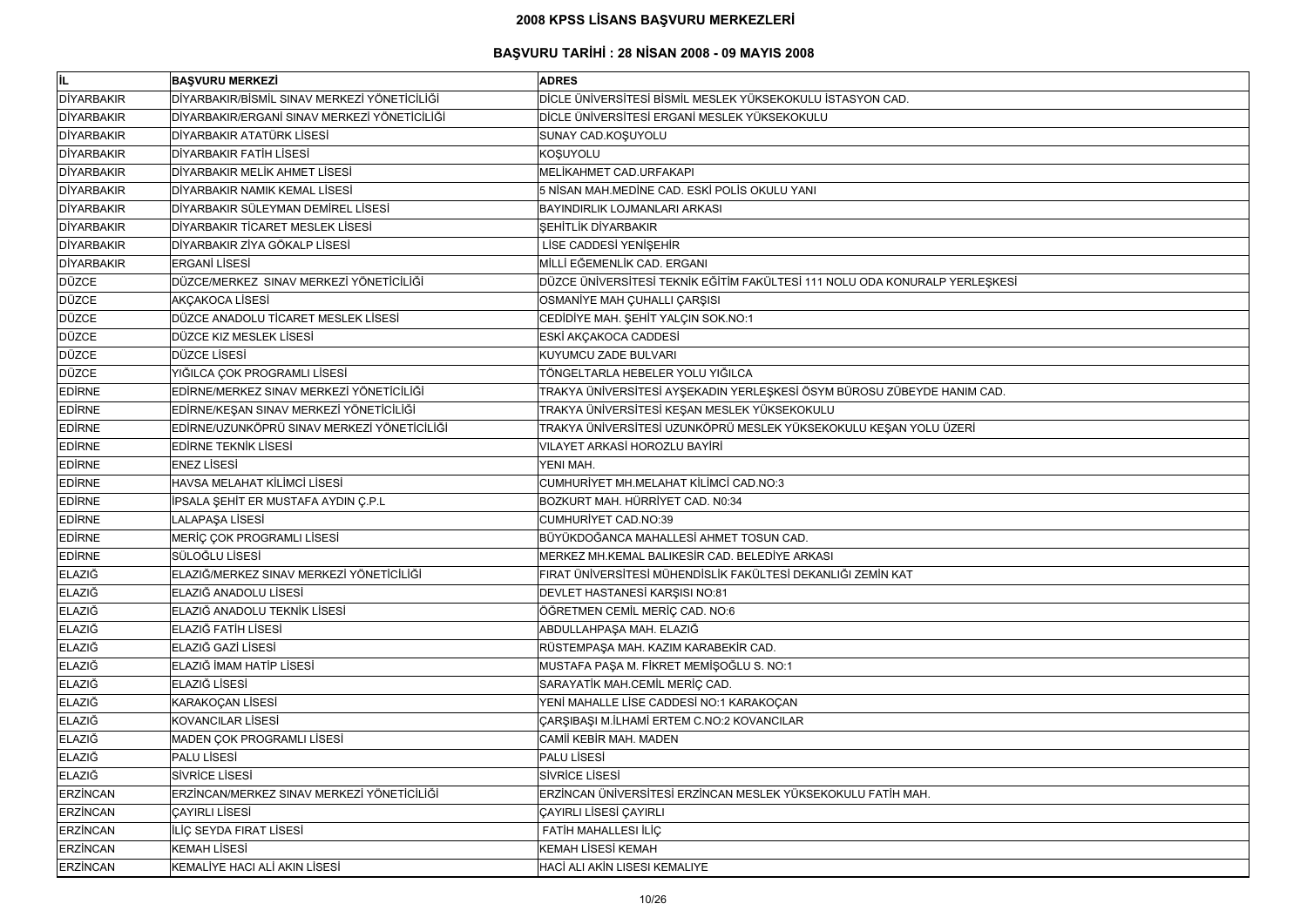| İL                | <b>BAŞVURU MERKEZİ</b>                       | <b>ADRES</b>                                                                |
|-------------------|----------------------------------------------|-----------------------------------------------------------------------------|
| <b>DİYARBAKIR</b> | DİYARBAKIR/BİSMİL SINAV MERKEZİ YÖNETİCİLİĞİ | DİCLE ÜNİVERSİTESİ BİSMİL MESLEK YÜKSEKOKULU İSTASYON CAD.                  |
| <b>DİYARBAKIR</b> | DİYARBAKIR/ERGANİ SINAV MERKEZİ YÖNETİCİLİĞİ | DİCLE ÜNİVERSİTESİ ERGANİ MESLEK YÜKSEKOKULU                                |
| <b>DİYARBAKIR</b> | DİYARBAKIR ATATÜRK LİSESİ                    | SUNAY CAD.KOŞUYOLU                                                          |
| <b>DİYARBAKIR</b> | DİYARBAKIR FATİH LİSESİ                      | KOŞUYOLU                                                                    |
| <b>DİYARBAKIR</b> | DİYARBAKIR MELİK AHMET LİSESİ                | MELİKAHMET CAD.URFAKAPI                                                     |
| <b>DİYARBAKIR</b> | DİYARBAKIR NAMIK KEMAL LİSESİ                | 5 NİSAN MAH.MEDİNE CAD. ESKİ POLİS OKULU YANI                               |
| <b>DİYARBAKIR</b> | DİYARBAKIR SÜLEYMAN DEMİREL LİSESİ           | BAYINDIRLIK LOJMANLARI ARKASI                                               |
| <b>DİYARBAKIR</b> | DİYARBAKIR TİCARET MESLEK LİSESİ             | <b>SEHİTLİK DİYARBAKIR</b>                                                  |
| <b>DİYARBAKIR</b> | DİYARBAKIR ZİYA GÖKALP LİSESİ                | LİSE CADDESİ YENİŞEHİR                                                      |
| <b>DİYARBAKIR</b> | <b>ERGANİ LİSESİ</b>                         | MİLLİ EĞEMENLİK CAD. ERGANI                                                 |
| <b>DÜZCE</b>      | DÜZCE/MERKEZ SINAV MERKEZİ YÖNETİCİLİĞİ      | DÜZCE ÜNİVERSİTESİ TEKNİK EĞİTİM FAKÜLTESİ 111 NOLU ODA KONURALP YERLEŞKESİ |
| <b>DÜZCE</b>      | AKÇAKOCA LİSESİ                              | OSMANİYE MAH ÇUHALLI ÇARŞISI                                                |
| <b>DÜZCE</b>      | DÜZCE ANADOLU TİCARET MESLEK LİSESİ          | CEDIDIYE MAH. ŞEHİT YALÇIN SOK.NO:1                                         |
| <b>DÜZCE</b>      | DÜZCE KIZ MESLEK LİSESİ                      | ESKİ AKÇAKOCA CADDESİ                                                       |
| <b>DÜZCE</b>      | DÜZCE LİSESİ                                 | KUYUMCU ZADE BULVARI                                                        |
| <b>DÜZCE</b>      | YIĞILCA ÇOK PROGRAMLI LİSESİ                 | TÖNGELTARLA HEBELER YOLU YIĞILCA                                            |
| <b>EDIRNE</b>     | EDİRNE/MERKEZ SINAV MERKEZİ YÖNETİCİLİĞİ     | TRAKYA ÜNİVERSİTESİ AYŞEKADIN YERLEŞKESİ ÖSYM BÜROSU ZÜBEYDE HANIM CAD.     |
| <b>EDIRNE</b>     | EDİRNE/KEŞAN SINAV MERKEZİ YÖNETİCİLİĞİ      | TRAKYA ÜNİVERSİTESİ KEŞAN MESLEK YÜKSEKOKULU                                |
| <b>EDIRNE</b>     | EDİRNE/UZUNKÖPRÜ SINAV MERKEZİ YÖNETİCİLİĞİ  | TRAKYA ÜNİVERSİTESİ UZUNKÖPRÜ MESLEK YÜKSEKOKULU KEŞAN YOLU ÜZERİ           |
| <b>EDIRNE</b>     | <b>EDIRNE TEKNIK LISESI</b>                  | VILAYET ARKASİ HOROZLU BAYİRİ                                               |
| <b>EDIRNE</b>     | <b>ENEZ LİSESİ</b>                           | YENI MAH.                                                                   |
| <b>EDIRNE</b>     | HAVSA MELAHAT KİLİMCİ LİSESİ                 | CUMHURİYET MH.MELAHAT KİLİMCİ CAD.NO:3                                      |
| <b>EDIRNE</b>     | İPSALA ŞEHİT ER MUSTAFA AYDIN Ç.P.L          | BOZKURT MAH. HÜRRİYET CAD. N0:34                                            |
| <b>EDIRNE</b>     | LALAPAŞA LİSESİ                              | <b>CUMHURİYET CAD.NO:39</b>                                                 |
| <b>EDIRNE</b>     | MERİÇ ÇOK PROGRAMLI LİSESİ                   | BÜYÜKDOĞANCA MAHALLESİ AHMET TOSUN CAD.                                     |
| <b>EDIRNE</b>     | SÜLOĞLU LİSESİ                               | MERKEZ MH.KEMAL BALIKESİR CAD. BELEDİYE ARKASI                              |
| <b>ELAZIĞ</b>     | ELAZIĞ/MERKEZ SINAV MERKEZİ YÖNETİCİLİĞİ     | FIRAT ÜNİVERSİTESİ MÜHENDİSLİK FAKÜLTESİ DEKANLIĞI ZEMİN KAT                |
| <b>ELAZIĞ</b>     | ELAZIĞ ANADOLU LİSESİ                        | DEVLET HASTANESİ KARŞISI NO:81                                              |
| <b>ELAZIĞ</b>     | ELAZIĞ ANADOLU TEKNİK LİSESİ                 | ÖĞRETMEN CEMİL MERİÇ CAD. NO:6                                              |
| ELAZIĞ            | ELAZIĞ FATİH LİSESİ                          | ABDULLAHPAŞA MAH. ELAZIĞ                                                    |
| <b>ELAZIĞ</b>     | ELAZIĞ GAZİ LİSESİ                           | RÜSTEMPAŞA MAH. KAZIM KARABEKİR CAD.                                        |
| <b>ELAZIĞ</b>     | ELAZIĞ İMAM HATİP LİSESİ                     | MUSTAFA PAŞA M. FİKRET MEMİŞOĞLU S. NO:1                                    |
| <b>ELAZIĞ</b>     | ELAZIĞ LİSESİ                                | SARAYATİK MAH.CEMİL MERİÇ CAD.                                              |
| <b>ELAZIĞ</b>     | KARAKOÇAN LİSESİ                             | YENİ MAHALLE LİSE CADDESİ NO:1 KARAKOÇAN                                    |
| ELAZIĞ            | <b>KOVANCILAR LİSESİ</b>                     | ÇARŞIBAŞI M.İLHAMİ ERTEM C.NO:2 KOVANCILAR                                  |
| <b>ELAZIĞ</b>     | MADEN ÇOK PROGRAMLI LİSESİ                   | CAMII KEBIR MAH. MADEN                                                      |
| ELAZIĞ            | PALU LİSESİ                                  | PALU LİSESİ                                                                 |
| <b>ELAZIĞ</b>     | <b>SİVRİCE LİSESİ</b>                        | <b>SİVRİCE LİSESİ</b>                                                       |
| <b>ERZİNCAN</b>   | ERZİNCAN/MERKEZ SINAV MERKEZİ YÖNETİCİLİĞİ   | ERZİNCAN ÜNİVERSİTESİ ERZİNCAN MESLEK YÜKSEKOKULU FATİH MAH.                |
| <b>ERZİNCAN</b>   | <b>ÇAYIRLI LİSESİ</b>                        | ÇAYIRLI LİSESİ ÇAYIRLI                                                      |
| <b>ERZİNCAN</b>   | İLİÇ SEYDA FIRAT LİSESİ                      | FATİH MAHALLESI İLİÇ                                                        |
| <b>ERZİNCAN</b>   | <b>KEMAH LİSESİ</b>                          | <b>KEMAH LİSESİ KEMAH</b>                                                   |
| <b>ERZİNCAN</b>   | KEMALİYE HACI ALİ AKIN LİSESİ                | HACİ ALI AKİN LISESI KEMALIYE                                               |

| ŞKESİ |  |
|-------|--|
|       |  |
|       |  |
|       |  |
|       |  |
|       |  |
|       |  |
|       |  |
|       |  |
| AD.   |  |
|       |  |
|       |  |
|       |  |
|       |  |
|       |  |
|       |  |
|       |  |
|       |  |
|       |  |
|       |  |
|       |  |
|       |  |
|       |  |
|       |  |
|       |  |
|       |  |
|       |  |
|       |  |
|       |  |
|       |  |
|       |  |
|       |  |
|       |  |
|       |  |
|       |  |
|       |  |
|       |  |
|       |  |
|       |  |
|       |  |
|       |  |
|       |  |
|       |  |
|       |  |
|       |  |
|       |  |
|       |  |
|       |  |
|       |  |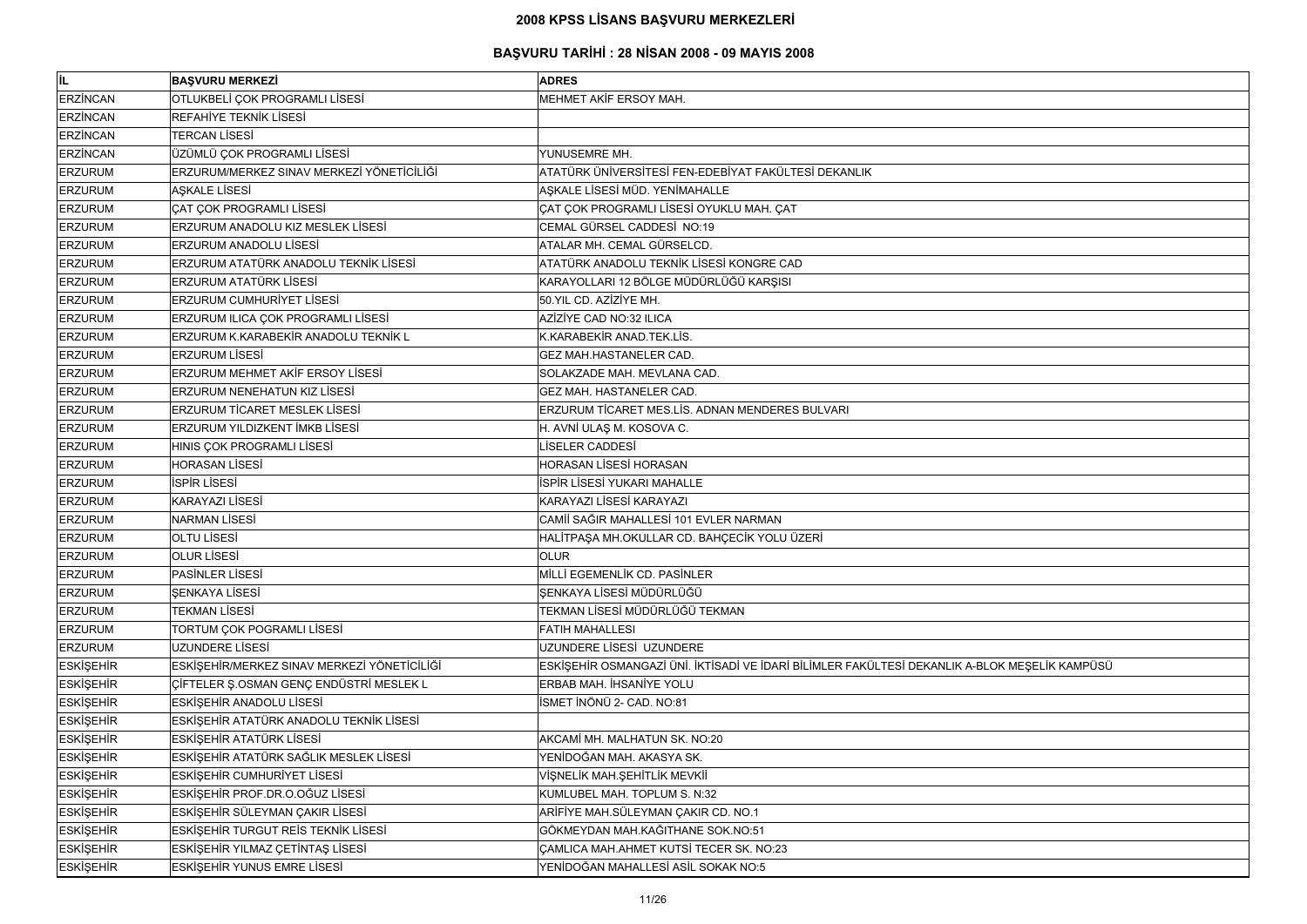| İL.              | <b>BAŞVURU MERKEZİ</b>                      | <b>ADRES</b>                                                                                  |
|------------------|---------------------------------------------|-----------------------------------------------------------------------------------------------|
| <b>ERZİNCAN</b>  | OTLUKBELİ ÇOK PROGRAMLI LİSESİ              | MEHMET AKİF ERSOY MAH.                                                                        |
| <b>ERZINCAN</b>  | REFAHİYE TEKNİK LİSESİ                      |                                                                                               |
| <b>ERZINCAN</b>  | <b>TERCAN LISESI</b>                        |                                                                                               |
| <b>ERZİNCAN</b>  | ÜZÜMLÜ ÇOK PROGRAMLI LİSESİ                 | YUNUSEMRE MH.                                                                                 |
| <b>ERZURUM</b>   | ERZURUM/MERKEZ SINAV MERKEZİ YÖNETİCİLİĞİ   | ATATÜRK ÜNİVERSİTESİ FEN-EDEBİYAT FAKÜLTESİ DEKANLIK                                          |
| <b>ERZURUM</b>   | <b>ASKALE LISESI</b>                        | AŞKALE LİSESİ MÜD. YENİMAHALLE                                                                |
| <b>ERZURUM</b>   | <b>ÇAT ÇOK PROGRAMLI LİSESİ</b>             | ÇAT ÇOK PROGRAMLI LİSESİ OYUKLU MAH. ÇAT                                                      |
| <b>ERZURUM</b>   | <b>ERZURUM ANADOLU KIZ MESLEK LİSESİ</b>    | CEMAL GÜRSEL CADDESİ NO:19                                                                    |
| <b>ERZURUM</b>   | ERZURUM ANADOLU LİSESİ                      | ATALAR MH. CEMAL GÜRSELCD.                                                                    |
| <b>ERZURUM</b>   | ERZURUM ATATÜRK ANADOLU TEKNİK LİSESİ       | ATATÜRK ANADOLU TEKNİK LİSESİ KONGRE CAD                                                      |
| <b>ERZURUM</b>   | <b>ERZURUM ATATÜRK LİSESİ</b>               | KARAYOLLARI 12 BÖLGE MÜDÜRLÜĞÜ KARŞISI                                                        |
| <b>ERZURUM</b>   | <b>ERZURUM CUMHURİYET LİSESİ</b>            | 50. YIL CD. AZİZİYE MH.                                                                       |
| <b>ERZURUM</b>   | ERZURUM ILICA ÇOK PROGRAMLI LİSESİ          | AZİZİYE CAD NO:32 ILICA                                                                       |
| <b>ERZURUM</b>   | ERZURUM K.KARABEKİR ANADOLU TEKNİK L        | K.KARABEKİR ANAD.TEK.LİS.                                                                     |
| <b>ERZURUM</b>   | <b>ERZURUM LİSESİ</b>                       | GEZ MAH.HASTANELER CAD.                                                                       |
| <b>ERZURUM</b>   | <b>ERZURUM MEHMET AKİF ERSOY LİSESİ</b>     | SOLAKZADE MAH. MEVLANA CAD.                                                                   |
| <b>ERZURUM</b>   | <b>ERZURUM NENEHATUN KIZ LİSESİ</b>         | <b>GEZ MAH. HASTANELER CAD.</b>                                                               |
| <b>ERZURUM</b>   | <b>ERZURUM TİCARET MESLEK LİSESİ</b>        | ERZURUM TİCARET MES.LİS. ADNAN MENDERES BULVARI                                               |
| <b>ERZURUM</b>   | <b>ERZURUM YILDIZKENT İMKB LİSESİ</b>       | H. AVNİ ULAŞ M. KOSOVA C.                                                                     |
| <b>ERZURUM</b>   | HINIS ÇOK PROGRAMLI LİSESİ                  | LİSELER CADDESİ                                                                               |
| <b>ERZURUM</b>   | <b>HORASAN LISESI</b>                       | HORASAN LİSESİ HORASAN                                                                        |
| <b>ERZURUM</b>   | <b>İSPİR LİSESİ</b>                         | İSPİR LİSESİ YUKARI MAHALLE                                                                   |
| <b>ERZURUM</b>   | <b>KARAYAZI LİSESİ</b>                      | KARAYAZI LİSESİ KARAYAZI                                                                      |
| <b>ERZURUM</b>   | <b>NARMAN LISESI</b>                        | CAMİİ SAĞIR MAHALLESİ 101 EVLER NARMAN                                                        |
| <b>ERZURUM</b>   | <b>OLTU LISESI</b>                          | HALİTPAŞA MH.OKULLAR CD. BAHÇECİK YOLU ÜZERİ                                                  |
| <b>ERZURUM</b>   | <b>OLUR LISESI</b>                          | <b>OLUR</b>                                                                                   |
| <b>ERZURUM</b>   | <b>PASINLER LISESI</b>                      | MİLLİ EGEMENLİK CD. PASİNLER                                                                  |
| <b>ERZURUM</b>   | ŞENKAYA LİSESİ                              | ŞENKAYA LİSESİ MÜDÜRLÜĞÜ                                                                      |
| <b>ERZURUM</b>   | <b>TEKMAN LİSESİ</b>                        | TEKMAN LİSESİ MÜDÜRLÜĞÜ TEKMAN                                                                |
| <b>ERZURUM</b>   | TORTUM ÇOK POGRAMLI LİSESİ                  | <b>FATIH MAHALLESI</b>                                                                        |
| <b>ERZURUM</b>   | UZUNDERE LİSESİ                             | UZUNDERE LİSESİ UZUNDERE                                                                      |
| <b>ESKİŞEHİR</b> | ESKİŞEHİR/MERKEZ SINAV MERKEZİ YÖNETİCİLİĞİ | ESKİŞEHİR OSMANGAZİ ÜNİ. İKTİSADİ VE İDARİ BİLİMLER FAKÜLTESİ DEKANLIK A-BLOK MEŞELİK KAMPÜSÜ |
| <b>ESKİŞEHİR</b> | CIFTELER Ş.OSMAN GENÇ ENDÜSTRİ MESLEK L     | ERBAB MAH, İHSANİYE YOLU                                                                      |
| <b>ESKİŞEHİR</b> | <b>ESKİŞEHİR ANADOLU LİSESİ</b>             | İSMET İNÖNÜ 2- CAD. NO:81                                                                     |
| <b>ESKİŞEHİR</b> | ESKİŞEHİR ATATÜRK ANADOLU TEKNİK LİSESİ     |                                                                                               |
| <b>ESKİŞEHİR</b> | <b>ESKİŞEHİR ATATÜRK LİSESİ</b>             | AKCAMİ MH. MALHATUN SK. NO:20                                                                 |
| <b>ESKİŞEHİR</b> | ESKİŞEHİR ATATÜRK SAĞLIK MESLEK LİSESİ      | YENİDOĞAN MAH. AKASYA SK.                                                                     |
| <b>ESKİŞEHİR</b> | <b>ESKİŞEHİR CUMHURİYET LİSESİ</b>          | VİŞNELİK MAH.ŞEHİTLİK MEVKİİ                                                                  |
| <b>ESKİŞEHİR</b> | ESKİŞEHİR PROF.DR.O.OĞUZ LİSESİ             | KUMLUBEL MAH. TOPLUM S. N:32                                                                  |
| <b>ESKİŞEHİR</b> | ESKİŞEHİR SÜLEYMAN ÇAKIR LİSESİ             | ARİFİYE MAH.SÜLEYMAN ÇAKIR CD. NO.1                                                           |
| <b>ESKİŞEHİR</b> | ESKİŞEHİR TURGUT REİS TEKNİK LİSESİ         | GÖKMEYDAN MAH.KAĞITHANE SOK.NO:51                                                             |
| <b>ESKİŞEHİR</b> | ESKİŞEHİR YILMAZ ÇETİNTAŞ LİSESİ            | <b>ÇAMLICA MAH.AHMET KUTSİ TECER SK. NO:23</b>                                                |
| <b>ESKİŞEHİR</b> | ESKİŞEHİR YUNUS EMRE LİSESİ                 | YENİDOĞAN MAHALLESİ ASİL SOKAK NO:5                                                           |

| OK MEŞELİK KAMPÜSÜ |  |
|--------------------|--|
|                    |  |
|                    |  |
|                    |  |
|                    |  |
|                    |  |
|                    |  |
|                    |  |
|                    |  |
|                    |  |
|                    |  |
|                    |  |
|                    |  |
|                    |  |
|                    |  |
|                    |  |
|                    |  |
|                    |  |
|                    |  |
|                    |  |
|                    |  |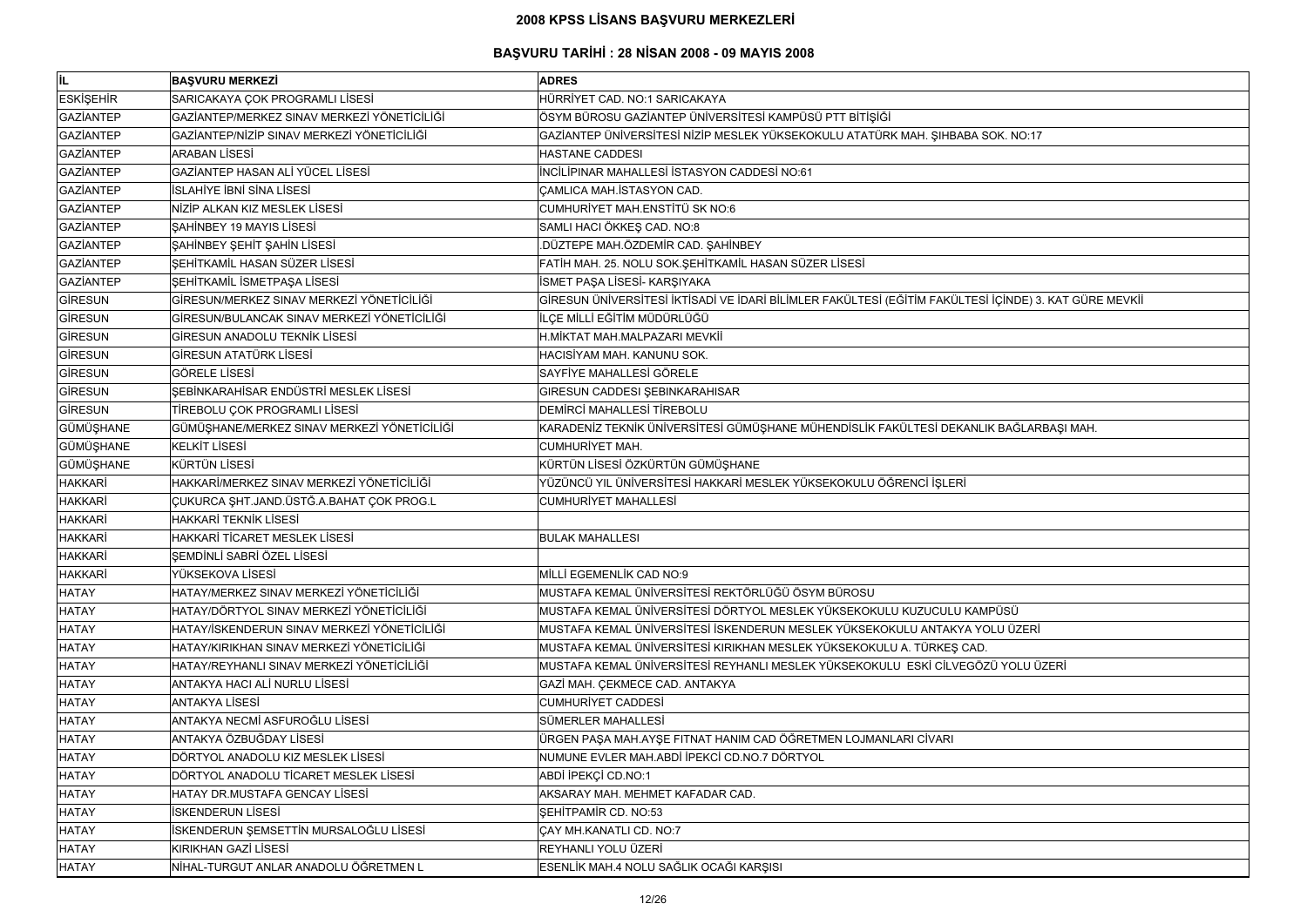| İL               | <b>BAŞVURU MERKEZİ</b>                      | <b>ADRES</b>                                                                                          |
|------------------|---------------------------------------------|-------------------------------------------------------------------------------------------------------|
| <b>ESKİŞEHİR</b> | SARICAKAYA ÇOK PROGRAMLI LİSESİ             | HÜRRİYET CAD. NO:1 SARICAKAYA                                                                         |
| <b>GAZİANTEP</b> | GAZİANTEP/MERKEZ SINAV MERKEZİ YÖNETİCİLİĞİ | ÖSYM BÜROSU GAZİANTEP ÜNİVERSİTESİ KAMPÜSÜ PTT BİTİŞİĞİ                                               |
| <b>GAZİANTEP</b> | GAZİANTEP/NİZİP SINAV MERKEZİ YÖNETİCİLİĞİ  | GAZİANTEP ÜNİVERSİTESİ NİZİP MESLEK YÜKSEKOKULU ATATÜRK MAH. ŞIHBABA SOK. NO:17                       |
| <b>GAZİANTEP</b> | <b>ARABAN LİSESİ</b>                        | <b>HASTANE CADDESI</b>                                                                                |
| <b>GAZİANTEP</b> | GAZİANTEP HASAN ALİ YÜCEL LİSESİ            | İNCİLİPINAR MAHALLESİ İSTASYON CADDESİ NO:61                                                          |
| <b>GAZİANTEP</b> | İSLAHİYE İBNİ SİNA LİSESİ                   | CAMLICA MAH. İSTASYON CAD.                                                                            |
| <b>GAZİANTEP</b> | NİZİP ALKAN KIZ MESLEK LİSESİ               | CUMHURİYET MAH.ENSTİTÜ SK NO:6                                                                        |
| <b>GAZİANTEP</b> | SAHİNBEY 19 MAYIS LİSESİ                    | SAMLI HACI ÖKKEŞ CAD. NO:8                                                                            |
| <b>GAZİANTEP</b> | ŞAHİNBEY ŞEHİT ŞAHİN LİSESİ                 | DÜZTEPE MAH.ÖZDEMİR CAD. ŞAHİNBEY                                                                     |
| <b>GAZİANTEP</b> | ŞEHİTKAMİL HASAN SÜZER LİSESİ               | FATİH MAH. 25. NOLU SOK.ŞEHİTKAMİL HASAN SÜZER LİSESİ                                                 |
| <b>GAZİANTEP</b> | ŞEHİTKAMİL İSMETPAŞA LİSESİ                 | İSMET PAŞA LİSESİ- KARŞIYAKA                                                                          |
| <b>GİRESUN</b>   | GİRESUN/MERKEZ SINAV MERKEZİ YÖNETİCİLİĞİ   | GİRESUN ÜNİVERSİTESİ İKTİSADİ VE İDARİ BİLİMLER FAKÜLTESİ (EĞİTİM FAKÜLTESİ İÇİNDE) 3. KAT GÜRE MEVKİ |
| GİRESUN          | GİRESUN/BULANCAK SINAV MERKEZİ YÖNETİCİLİĞİ | İLÇE MİLLİ EĞİTİM MÜDÜRLÜĞÜ                                                                           |
| <b>GİRESUN</b>   | GİRESUN ANADOLU TEKNİK LİSESİ               | H.MİKTAT MAH.MALPAZARI MEVKİİ                                                                         |
| <b>GİRESUN</b>   | GİRESUN ATATÜRK LİSESİ                      | HACISİYAM MAH, KANUNU SOK.                                                                            |
| <b>GİRESUN</b>   | <b>GÖRELE LİSESİ</b>                        | SAYFİYE MAHALLESİ GÖRELE                                                                              |
| <b>GİRESUN</b>   | ŞEBİNKARAHİSAR ENDÜSTRİ MESLEK LİSESİ       | <b>GIRESUN CADDESI ŞEBINKARAHISAR</b>                                                                 |
| <b>GİRESUN</b>   | TİREBOLU ÇOK PROGRAMLI LİSESİ               | <b>DEMIRCI MAHALLESI TIREBOLU</b>                                                                     |
| GÜMÜŞHANE        | GÜMÜŞHANE/MERKEZ SINAV MERKEZİ YÖNETİCİLİĞİ | KARADENİZ TEKNİK ÜNİVERSİTESİ GÜMÜŞHANE MÜHENDİSLİK FAKÜLTESİ DEKANLIK BAĞLARBAŞI MAH.                |
| GÜMÜŞHANE        | <b>KELKİT LİSESİ</b>                        | <b>CUMHURIYET MAH.</b>                                                                                |
| GÜMÜŞHANE        | KÜRTÜN LİSESİ                               | KÜRTÜN LİSESİ ÖZKÜRTÜN GÜMÜŞHANE                                                                      |
| HAKKARİ          | HAKKARİ/MERKEZ SINAV MERKEZİ YÖNETİCİLİĞİ   | YÜZÜNCÜ YIL ÜNİVERSİTESİ HAKKARİ MESLEK YÜKSEKOKULU ÖĞRENCİ İŞLERİ                                    |
| HAKKARİ          | ÇUKURCA ŞHT.JAND.ÜSTĞ.A.BAHAT ÇOK PROG.L    | <b>CUMHURİYET MAHALLESİ</b>                                                                           |
| HAKKARİ          | <b>HAKKARİ TEKNİK LİSESİ</b>                |                                                                                                       |
| HAKKARİ          | HAKKARİ TİCARET MESLEK LİSESİ               | <b>BULAK MAHALLESI</b>                                                                                |
| <b>HAKKARİ</b>   | ŞEMDİNLİ SABRİ ÖZEL LİSESİ                  |                                                                                                       |
| HAKKARİ          | YÜKSEKOVA LİSESİ                            | MİLLİ EGEMENLİK CAD NO:9                                                                              |
| HATAY            | HATAY/MERKEZ SINAV MERKEZİ YÖNETİCİLİĞİ     | MUSTAFA KEMAL ÜNİVERSİTESİ REKTÖRLÜĞÜ ÖSYM BÜROSU                                                     |
| HATAY            | HATAY/DÖRTYOL SINAV MERKEZİ YÖNETİCİLİĞİ    | MUSTAFA KEMAL ÜNİVERSİTESİ DÖRTYOL MESLEK YÜKSEKOKULU KUZUCULU KAMPÜSÜ                                |
| <b>HATAY</b>     | HATAY/İSKENDERUN SINAV MERKEZİ YÖNETİCİLİĞİ | MUSTAFA KEMAL ÜNİVERSİTESİ İSKENDERUN MESLEK YÜKSEKOKULU ANTAKYA YOLU ÜZERİ                           |
| HATAY            | HATAY/KIRIKHAN SINAV MERKEZİ YÖNETİCİLİĞİ   | MUSTAFA KEMAL ÜNİVERSİTESİ KIRIKHAN MESLEK YÜKSEKOKULU A. TÜRKEŞ CAD.                                 |
| HATAY            | HATAY/REYHANLI SINAV MERKEZİ YÖNETİCİLİĞİ   | MUSTAFA KEMAL ÜNİVERSİTESİ REYHANLI MESLEK YÜKSEKOKULU ESKİ CİLVEGÖZÜ YOLU ÜZERİ                      |
| HATAY            | ANTAKYA HACI ALI NURLU LISESI               | GAZİ MAH. ÇEKMECE CAD. ANTAKYA                                                                        |
| <b>HATAY</b>     | <b>ANTAKYA LISESİ</b>                       | <b>CUMHURIYET CADDESI</b>                                                                             |
| <b>HATAY</b>     | ANTAKYA NECMİ ASFUROĞLU LİSESİ              | SÜMERLER MAHALLESİ                                                                                    |
| HATAY            | ANTAKYA ÖZBUĞDAY LİSESİ                     | ÜRGEN PAŞA MAH.AYŞE FITNAT HANIM CAD ÖĞRETMEN LOJMANLARI CİVARI                                       |
| HATAY            | DÖRTYOL ANADOLU KIZ MESLEK LİSESİ           | NUMUNE EVLER MAH.ABDİ İPEKCİ CD.NO.7 DÖRTYOL                                                          |
| HATAY            | DÖRTYOL ANADOLU TİCARET MESLEK LİSESİ       | ABDİ İPEKÇİ CD.NO:1                                                                                   |
| HATAY            | HATAY DR.MUSTAFA GENCAY LISESI              | AKSARAY MAH. MEHMET KAFADAR CAD.                                                                      |
| <b>HATAY</b>     | <b>İSKENDERUN LİSESİ</b>                    | SEHİTPAMİR CD. NO:53                                                                                  |
| <b>HATAY</b>     | İSKENDERUN ŞEMSETTİN MURSALOĞLU LİSESİ      | <b>ÇAY MH.KANATLI CD. NO:7</b>                                                                        |
| HATAY            | <b>KIRIKHAN GAZİ LİSESİ</b>                 | REYHANLI YOLU ÜZERİ                                                                                   |
| HATAY            | NİHAL-TURGUT ANLAR ANADOLU ÖĞRETMEN L       | ESENLİK MAH.4 NOLU SAĞLIK OCAĞI KARŞISI                                                               |
|                  |                                             |                                                                                                       |

| OK. NO:17                  |
|----------------------------|
|                            |
|                            |
|                            |
|                            |
|                            |
|                            |
| İÇİNDE) 3. KAT GÜRE MEVKİİ |
|                            |
|                            |
|                            |
|                            |
|                            |
| K BAĞLARBAŞI MAH.          |
|                            |
|                            |
|                            |
|                            |
|                            |
|                            |
|                            |
|                            |
| <u>PÜSÜ</u>                |
| )LU ÜZERİ                  |
|                            |
| O YOLU ÜZERİ               |
|                            |
|                            |
|                            |
|                            |
|                            |
|                            |
|                            |
|                            |
|                            |
|                            |
|                            |
|                            |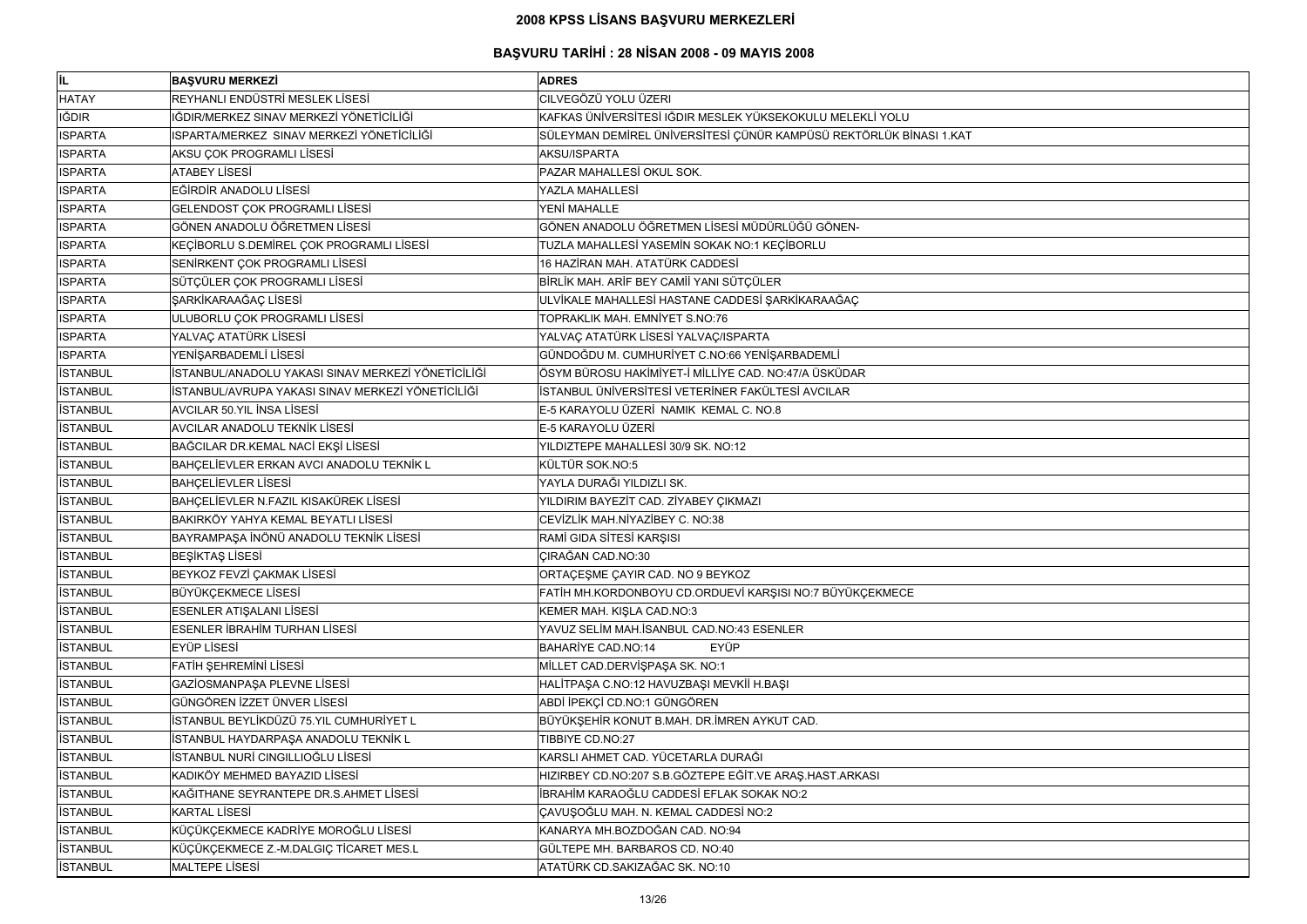| <b>BAŞVURU MERKEZİ</b><br><b>ADRES</b><br>REYHANLI ENDÜSTRİ MESLEK LİSESİ<br>CILVEGÖZÜ YOLU ÜZERI<br>IĞDIR/MERKEZ SINAV MERKEZİ YÖNETİCİLİĞİ<br>KAFKAS ÜNİVERSİTESİ IĞDIR MESLEK YÜKSEKOKULU MELEKLİ YOLU<br>SÜLEYMAN DEMİREL ÜNİVERSİTESİ ÇÜNÜR KAMPÜSÜ REKTÖRLÜK BİNASI 1.KAT<br>ISPARTA/MERKEZ SINAV MERKEZİ YÖNETİCİLİĞİ<br>AKSU ÇOK PROGRAMLI LİSESİ<br>AKSU/ISPARTA<br><b>ATABEY LISESI</b><br>PAZAR MAHALLESİ OKUL SOK.<br>EĞİRDİR ANADOLU LİSESİ<br>YAZLA MAHALLESİ<br>GELENDOST ÇOK PROGRAMLI LİSESİ<br>YENİ MAHALLE<br>GÖNEN ANADOLU ÖĞRETMEN LİSESİ<br>GÖNEN ANADOLU ÖĞRETMEN LİSESİ MÜDÜRLÜĞÜ GÖNEN-<br>KEÇİBORLU S.DEMİREL ÇOK PROGRAMLI LİSESİ<br>TUZLA MAHALLESİ YASEMİN SOKAK NO:1 KEÇİBORLU<br>SENIRKENT ÇOK PROGRAMLI LİSESİ<br>16 HAZİRAN MAH. ATATÜRK CADDESİ<br>SÜTÇÜLER ÇOK PROGRAMLI LİSESİ<br>BİRLİK MAH. ARİF BEY CAMİİ YANI SÜTÇÜLER<br>ULVİKALE MAHALLESİ HASTANE CADDESİ ŞARKİKARAAĞAÇ<br>ŞARKİKARAAĞAÇ LİSESİ<br>ULUBORLU ÇOK PROGRAMLI LİSESİ<br>TOPRAKLIK MAH. EMNİYET S.NO:76<br>YALVAÇ ATATÜRK LİSESİ<br>YALVAÇ ATATÜRK LİSESİ YALVAÇ/ISPARTA<br>GÜNDOĞDU M. CUMHURİYET C.NO:66 YENİŞARBADEMLİ<br>YENİŞARBADEMLİ LİSESİ<br>ÖSYM BÜROSU HAKİMİYET-İ MİLLİYE CAD. NO:47/A ÜSKÜDAR<br>İSTANBUL/ANADOLU YAKASI SINAV MERKEZİ YÖNETİCİLİĞİ<br>İSTANBUL ÜNİVERSİTESİ VETERİNER FAKÜLTESİ AVCILAR<br>İSTANBUL/AVRUPA YAKASI SINAV MERKEZİ YÖNETİCİLİĞİ<br>E-5 KARAYOLU ÜZERİ NAMIK KEMAL C. NO.8<br><b>AVCILAR 50.YIL INSA LISESI</b><br><b>AVCILAR ANADOLU TEKNİK LİSESİ</b><br>E-5 KARAYOLU ÜZERİ<br>BAĞCILAR DR.KEMAL NACİ EKŞİ LİSESİ<br>YILDIZTEPE MAHALLESİ 30/9 SK. NO:12<br>BAHÇELİEVLER ERKAN AVCI ANADOLU TEKNİK L<br>KÜLTÜR SOK.NO:5<br><b>BAHÇELİEVLER LİSESİ</b><br>YAYLA DURAĞI YILDIZLI SK.<br>BAHÇELİEVLER N.FAZIL KISAKÜREK LİSESİ<br>YILDIRIM BAYEZİT CAD. ZİYABEY ÇIKMAZI<br>BAKIRKÖY YAHYA KEMAL BEYATLI LİSESİ<br>CEVİZLİK MAH.NİYAZİBEY C. NO:38<br>BAYRAMPAŞA İNÖNÜ ANADOLU TEKNİK LİSESİ<br>RAMİ GIDA SİTESİ KARŞISI<br><b>ÇIRAĞAN CAD.NO:30</b><br><b>BESİKTAŞ LİSESİ</b><br>BEYKOZ FEVZİ ÇAKMAK LİSESİ<br>ORTAÇEŞME ÇAYIR CAD. NO 9 BEYKOZ<br><b>BÜYÜKÇEKMECE LİSESİ</b><br>FATİH MH.KORDONBOYU CD.ORDUEVİ KARŞISI NO:7 BÜYÜKÇEKMECE<br>ESENLER ATIŞALANI LİSESİ<br>KEMER MAH. KIŞLA CAD.NO:3<br><b>ESENLER İBRAHİM TURHAN LİSESİ</b><br>YAVUZ SELİM MAH.İSANBUL CAD.NO:43 ESENLER<br><b>EYÜP LİSESİ</b><br><b>BAHARİYE CAD.NO:14</b><br><b>EYÜP</b><br>FATİH ŞEHREMİNİ LİSESİ<br>MİLLET CAD.DERVİŞPAŞA SK. NO:1<br>GAZİOSMANPAŞA PLEVNE LİSESİ<br>HALİTPAŞA C.NO:12 HAVUZBAŞI MEVKİİ H.BAŞI<br>GÜNGÖREN İZZET ÜNVER LİSESİ<br>ABDİ İPEKÇİ CD.NO:1 GÜNGÖREN<br>İSTANBUL BEYLİKDÜZÜ 75.YIL CUMHURİYET L<br>BÜYÜKŞEHİR KONUT B.MAH. DR.İMREN AYKUT CAD.<br>İSTANBUL HAYDARPAŞA ANADOLU TEKNİK L<br>TIBBIYE CD.NO:27<br>İSTANBUL NURİ CINGILLIOĞLU LİSESİ<br>KARSLI AHMET CAD. YÜCETARLA DURAĞI<br>KADIKÖY MEHMED BAYAZID LİSESİ<br>HIZIRBEY CD.NO:207 S.B.GÖZTEPE EĞİT.VE ARAŞ.HAST.ARKASI<br>İBRAHİM KARAOĞLU CADDESİ EFLAK SOKAK NO:2<br>KAĞITHANE SEYRANTEPE DR.S.AHMET LİSESİ<br>ÇAVUŞOĞLU MAH. N. KEMAL CADDESİ NO:2<br><b>KARTAL LİSESİ</b><br>KANARYA MH.BOZDOĞAN CAD. NO:94<br>KÜÇÜKÇEKMECE KADRİYE MOROĞLU LİSESİ<br>KÜÇÜKÇEKMECE Z.-M.DALGIÇ TİCARET MES.L<br>GÜLTEPE MH. BARBAROS CD. NO:40<br><b>MALTEPE LISESI</b><br>ATATÜRK CD.SAKIZAĞAC SK. NO:10 |                 |  |
|---------------------------------------------------------------------------------------------------------------------------------------------------------------------------------------------------------------------------------------------------------------------------------------------------------------------------------------------------------------------------------------------------------------------------------------------------------------------------------------------------------------------------------------------------------------------------------------------------------------------------------------------------------------------------------------------------------------------------------------------------------------------------------------------------------------------------------------------------------------------------------------------------------------------------------------------------------------------------------------------------------------------------------------------------------------------------------------------------------------------------------------------------------------------------------------------------------------------------------------------------------------------------------------------------------------------------------------------------------------------------------------------------------------------------------------------------------------------------------------------------------------------------------------------------------------------------------------------------------------------------------------------------------------------------------------------------------------------------------------------------------------------------------------------------------------------------------------------------------------------------------------------------------------------------------------------------------------------------------------------------------------------------------------------------------------------------------------------------------------------------------------------------------------------------------------------------------------------------------------------------------------------------------------------------------------------------------------------------------------------------------------------------------------------------------------------------------------------------------------------------------------------------------------------------------------------------------------------------------------------------------------------------------------------------------------------------------------------------------------------------------------------------------------------------------------------------------------------------------------------------------------------------------------------------------------------------------------------------------------------------------------------------------------------------------------------------------------------------------------------------------------------------------------------------------------------------------------------------------------------------------------------------------------------------------------------|-----------------|--|
|                                                                                                                                                                                                                                                                                                                                                                                                                                                                                                                                                                                                                                                                                                                                                                                                                                                                                                                                                                                                                                                                                                                                                                                                                                                                                                                                                                                                                                                                                                                                                                                                                                                                                                                                                                                                                                                                                                                                                                                                                                                                                                                                                                                                                                                                                                                                                                                                                                                                                                                                                                                                                                                                                                                                                                                                                                                                                                                                                                                                                                                                                                                                                                                                                                                                                                                     | <b>IL</b>       |  |
|                                                                                                                                                                                                                                                                                                                                                                                                                                                                                                                                                                                                                                                                                                                                                                                                                                                                                                                                                                                                                                                                                                                                                                                                                                                                                                                                                                                                                                                                                                                                                                                                                                                                                                                                                                                                                                                                                                                                                                                                                                                                                                                                                                                                                                                                                                                                                                                                                                                                                                                                                                                                                                                                                                                                                                                                                                                                                                                                                                                                                                                                                                                                                                                                                                                                                                                     | <b>HATAY</b>    |  |
|                                                                                                                                                                                                                                                                                                                                                                                                                                                                                                                                                                                                                                                                                                                                                                                                                                                                                                                                                                                                                                                                                                                                                                                                                                                                                                                                                                                                                                                                                                                                                                                                                                                                                                                                                                                                                                                                                                                                                                                                                                                                                                                                                                                                                                                                                                                                                                                                                                                                                                                                                                                                                                                                                                                                                                                                                                                                                                                                                                                                                                                                                                                                                                                                                                                                                                                     | <b>IĞDIR</b>    |  |
|                                                                                                                                                                                                                                                                                                                                                                                                                                                                                                                                                                                                                                                                                                                                                                                                                                                                                                                                                                                                                                                                                                                                                                                                                                                                                                                                                                                                                                                                                                                                                                                                                                                                                                                                                                                                                                                                                                                                                                                                                                                                                                                                                                                                                                                                                                                                                                                                                                                                                                                                                                                                                                                                                                                                                                                                                                                                                                                                                                                                                                                                                                                                                                                                                                                                                                                     | <b>ISPARTA</b>  |  |
|                                                                                                                                                                                                                                                                                                                                                                                                                                                                                                                                                                                                                                                                                                                                                                                                                                                                                                                                                                                                                                                                                                                                                                                                                                                                                                                                                                                                                                                                                                                                                                                                                                                                                                                                                                                                                                                                                                                                                                                                                                                                                                                                                                                                                                                                                                                                                                                                                                                                                                                                                                                                                                                                                                                                                                                                                                                                                                                                                                                                                                                                                                                                                                                                                                                                                                                     | <b>ISPARTA</b>  |  |
|                                                                                                                                                                                                                                                                                                                                                                                                                                                                                                                                                                                                                                                                                                                                                                                                                                                                                                                                                                                                                                                                                                                                                                                                                                                                                                                                                                                                                                                                                                                                                                                                                                                                                                                                                                                                                                                                                                                                                                                                                                                                                                                                                                                                                                                                                                                                                                                                                                                                                                                                                                                                                                                                                                                                                                                                                                                                                                                                                                                                                                                                                                                                                                                                                                                                                                                     | <b>ISPARTA</b>  |  |
|                                                                                                                                                                                                                                                                                                                                                                                                                                                                                                                                                                                                                                                                                                                                                                                                                                                                                                                                                                                                                                                                                                                                                                                                                                                                                                                                                                                                                                                                                                                                                                                                                                                                                                                                                                                                                                                                                                                                                                                                                                                                                                                                                                                                                                                                                                                                                                                                                                                                                                                                                                                                                                                                                                                                                                                                                                                                                                                                                                                                                                                                                                                                                                                                                                                                                                                     | <b>ISPARTA</b>  |  |
|                                                                                                                                                                                                                                                                                                                                                                                                                                                                                                                                                                                                                                                                                                                                                                                                                                                                                                                                                                                                                                                                                                                                                                                                                                                                                                                                                                                                                                                                                                                                                                                                                                                                                                                                                                                                                                                                                                                                                                                                                                                                                                                                                                                                                                                                                                                                                                                                                                                                                                                                                                                                                                                                                                                                                                                                                                                                                                                                                                                                                                                                                                                                                                                                                                                                                                                     | <b>ISPARTA</b>  |  |
|                                                                                                                                                                                                                                                                                                                                                                                                                                                                                                                                                                                                                                                                                                                                                                                                                                                                                                                                                                                                                                                                                                                                                                                                                                                                                                                                                                                                                                                                                                                                                                                                                                                                                                                                                                                                                                                                                                                                                                                                                                                                                                                                                                                                                                                                                                                                                                                                                                                                                                                                                                                                                                                                                                                                                                                                                                                                                                                                                                                                                                                                                                                                                                                                                                                                                                                     | <b>ISPARTA</b>  |  |
|                                                                                                                                                                                                                                                                                                                                                                                                                                                                                                                                                                                                                                                                                                                                                                                                                                                                                                                                                                                                                                                                                                                                                                                                                                                                                                                                                                                                                                                                                                                                                                                                                                                                                                                                                                                                                                                                                                                                                                                                                                                                                                                                                                                                                                                                                                                                                                                                                                                                                                                                                                                                                                                                                                                                                                                                                                                                                                                                                                                                                                                                                                                                                                                                                                                                                                                     | <b>ISPARTA</b>  |  |
|                                                                                                                                                                                                                                                                                                                                                                                                                                                                                                                                                                                                                                                                                                                                                                                                                                                                                                                                                                                                                                                                                                                                                                                                                                                                                                                                                                                                                                                                                                                                                                                                                                                                                                                                                                                                                                                                                                                                                                                                                                                                                                                                                                                                                                                                                                                                                                                                                                                                                                                                                                                                                                                                                                                                                                                                                                                                                                                                                                                                                                                                                                                                                                                                                                                                                                                     | <b>ISPARTA</b>  |  |
|                                                                                                                                                                                                                                                                                                                                                                                                                                                                                                                                                                                                                                                                                                                                                                                                                                                                                                                                                                                                                                                                                                                                                                                                                                                                                                                                                                                                                                                                                                                                                                                                                                                                                                                                                                                                                                                                                                                                                                                                                                                                                                                                                                                                                                                                                                                                                                                                                                                                                                                                                                                                                                                                                                                                                                                                                                                                                                                                                                                                                                                                                                                                                                                                                                                                                                                     | <b>ISPARTA</b>  |  |
|                                                                                                                                                                                                                                                                                                                                                                                                                                                                                                                                                                                                                                                                                                                                                                                                                                                                                                                                                                                                                                                                                                                                                                                                                                                                                                                                                                                                                                                                                                                                                                                                                                                                                                                                                                                                                                                                                                                                                                                                                                                                                                                                                                                                                                                                                                                                                                                                                                                                                                                                                                                                                                                                                                                                                                                                                                                                                                                                                                                                                                                                                                                                                                                                                                                                                                                     | <b>ISPARTA</b>  |  |
|                                                                                                                                                                                                                                                                                                                                                                                                                                                                                                                                                                                                                                                                                                                                                                                                                                                                                                                                                                                                                                                                                                                                                                                                                                                                                                                                                                                                                                                                                                                                                                                                                                                                                                                                                                                                                                                                                                                                                                                                                                                                                                                                                                                                                                                                                                                                                                                                                                                                                                                                                                                                                                                                                                                                                                                                                                                                                                                                                                                                                                                                                                                                                                                                                                                                                                                     | <b>ISPARTA</b>  |  |
|                                                                                                                                                                                                                                                                                                                                                                                                                                                                                                                                                                                                                                                                                                                                                                                                                                                                                                                                                                                                                                                                                                                                                                                                                                                                                                                                                                                                                                                                                                                                                                                                                                                                                                                                                                                                                                                                                                                                                                                                                                                                                                                                                                                                                                                                                                                                                                                                                                                                                                                                                                                                                                                                                                                                                                                                                                                                                                                                                                                                                                                                                                                                                                                                                                                                                                                     | <b>ISPARTA</b>  |  |
|                                                                                                                                                                                                                                                                                                                                                                                                                                                                                                                                                                                                                                                                                                                                                                                                                                                                                                                                                                                                                                                                                                                                                                                                                                                                                                                                                                                                                                                                                                                                                                                                                                                                                                                                                                                                                                                                                                                                                                                                                                                                                                                                                                                                                                                                                                                                                                                                                                                                                                                                                                                                                                                                                                                                                                                                                                                                                                                                                                                                                                                                                                                                                                                                                                                                                                                     | <b>ISPARTA</b>  |  |
|                                                                                                                                                                                                                                                                                                                                                                                                                                                                                                                                                                                                                                                                                                                                                                                                                                                                                                                                                                                                                                                                                                                                                                                                                                                                                                                                                                                                                                                                                                                                                                                                                                                                                                                                                                                                                                                                                                                                                                                                                                                                                                                                                                                                                                                                                                                                                                                                                                                                                                                                                                                                                                                                                                                                                                                                                                                                                                                                                                                                                                                                                                                                                                                                                                                                                                                     | <b>ISTANBUL</b> |  |
|                                                                                                                                                                                                                                                                                                                                                                                                                                                                                                                                                                                                                                                                                                                                                                                                                                                                                                                                                                                                                                                                                                                                                                                                                                                                                                                                                                                                                                                                                                                                                                                                                                                                                                                                                                                                                                                                                                                                                                                                                                                                                                                                                                                                                                                                                                                                                                                                                                                                                                                                                                                                                                                                                                                                                                                                                                                                                                                                                                                                                                                                                                                                                                                                                                                                                                                     | <b>ISTANBUL</b> |  |
|                                                                                                                                                                                                                                                                                                                                                                                                                                                                                                                                                                                                                                                                                                                                                                                                                                                                                                                                                                                                                                                                                                                                                                                                                                                                                                                                                                                                                                                                                                                                                                                                                                                                                                                                                                                                                                                                                                                                                                                                                                                                                                                                                                                                                                                                                                                                                                                                                                                                                                                                                                                                                                                                                                                                                                                                                                                                                                                                                                                                                                                                                                                                                                                                                                                                                                                     | <b>ISTANBUL</b> |  |
|                                                                                                                                                                                                                                                                                                                                                                                                                                                                                                                                                                                                                                                                                                                                                                                                                                                                                                                                                                                                                                                                                                                                                                                                                                                                                                                                                                                                                                                                                                                                                                                                                                                                                                                                                                                                                                                                                                                                                                                                                                                                                                                                                                                                                                                                                                                                                                                                                                                                                                                                                                                                                                                                                                                                                                                                                                                                                                                                                                                                                                                                                                                                                                                                                                                                                                                     | <b>ISTANBUL</b> |  |
|                                                                                                                                                                                                                                                                                                                                                                                                                                                                                                                                                                                                                                                                                                                                                                                                                                                                                                                                                                                                                                                                                                                                                                                                                                                                                                                                                                                                                                                                                                                                                                                                                                                                                                                                                                                                                                                                                                                                                                                                                                                                                                                                                                                                                                                                                                                                                                                                                                                                                                                                                                                                                                                                                                                                                                                                                                                                                                                                                                                                                                                                                                                                                                                                                                                                                                                     | <b>ISTANBUL</b> |  |
|                                                                                                                                                                                                                                                                                                                                                                                                                                                                                                                                                                                                                                                                                                                                                                                                                                                                                                                                                                                                                                                                                                                                                                                                                                                                                                                                                                                                                                                                                                                                                                                                                                                                                                                                                                                                                                                                                                                                                                                                                                                                                                                                                                                                                                                                                                                                                                                                                                                                                                                                                                                                                                                                                                                                                                                                                                                                                                                                                                                                                                                                                                                                                                                                                                                                                                                     | <b>ISTANBUL</b> |  |
|                                                                                                                                                                                                                                                                                                                                                                                                                                                                                                                                                                                                                                                                                                                                                                                                                                                                                                                                                                                                                                                                                                                                                                                                                                                                                                                                                                                                                                                                                                                                                                                                                                                                                                                                                                                                                                                                                                                                                                                                                                                                                                                                                                                                                                                                                                                                                                                                                                                                                                                                                                                                                                                                                                                                                                                                                                                                                                                                                                                                                                                                                                                                                                                                                                                                                                                     | <b>ISTANBUL</b> |  |
|                                                                                                                                                                                                                                                                                                                                                                                                                                                                                                                                                                                                                                                                                                                                                                                                                                                                                                                                                                                                                                                                                                                                                                                                                                                                                                                                                                                                                                                                                                                                                                                                                                                                                                                                                                                                                                                                                                                                                                                                                                                                                                                                                                                                                                                                                                                                                                                                                                                                                                                                                                                                                                                                                                                                                                                                                                                                                                                                                                                                                                                                                                                                                                                                                                                                                                                     | <b>ISTANBUL</b> |  |
|                                                                                                                                                                                                                                                                                                                                                                                                                                                                                                                                                                                                                                                                                                                                                                                                                                                                                                                                                                                                                                                                                                                                                                                                                                                                                                                                                                                                                                                                                                                                                                                                                                                                                                                                                                                                                                                                                                                                                                                                                                                                                                                                                                                                                                                                                                                                                                                                                                                                                                                                                                                                                                                                                                                                                                                                                                                                                                                                                                                                                                                                                                                                                                                                                                                                                                                     | <b>ISTANBUL</b> |  |
|                                                                                                                                                                                                                                                                                                                                                                                                                                                                                                                                                                                                                                                                                                                                                                                                                                                                                                                                                                                                                                                                                                                                                                                                                                                                                                                                                                                                                                                                                                                                                                                                                                                                                                                                                                                                                                                                                                                                                                                                                                                                                                                                                                                                                                                                                                                                                                                                                                                                                                                                                                                                                                                                                                                                                                                                                                                                                                                                                                                                                                                                                                                                                                                                                                                                                                                     | <b>ISTANBUL</b> |  |
|                                                                                                                                                                                                                                                                                                                                                                                                                                                                                                                                                                                                                                                                                                                                                                                                                                                                                                                                                                                                                                                                                                                                                                                                                                                                                                                                                                                                                                                                                                                                                                                                                                                                                                                                                                                                                                                                                                                                                                                                                                                                                                                                                                                                                                                                                                                                                                                                                                                                                                                                                                                                                                                                                                                                                                                                                                                                                                                                                                                                                                                                                                                                                                                                                                                                                                                     | <b>ISTANBUL</b> |  |
|                                                                                                                                                                                                                                                                                                                                                                                                                                                                                                                                                                                                                                                                                                                                                                                                                                                                                                                                                                                                                                                                                                                                                                                                                                                                                                                                                                                                                                                                                                                                                                                                                                                                                                                                                                                                                                                                                                                                                                                                                                                                                                                                                                                                                                                                                                                                                                                                                                                                                                                                                                                                                                                                                                                                                                                                                                                                                                                                                                                                                                                                                                                                                                                                                                                                                                                     | <b>ISTANBUL</b> |  |
|                                                                                                                                                                                                                                                                                                                                                                                                                                                                                                                                                                                                                                                                                                                                                                                                                                                                                                                                                                                                                                                                                                                                                                                                                                                                                                                                                                                                                                                                                                                                                                                                                                                                                                                                                                                                                                                                                                                                                                                                                                                                                                                                                                                                                                                                                                                                                                                                                                                                                                                                                                                                                                                                                                                                                                                                                                                                                                                                                                                                                                                                                                                                                                                                                                                                                                                     | <b>ISTANBUL</b> |  |
|                                                                                                                                                                                                                                                                                                                                                                                                                                                                                                                                                                                                                                                                                                                                                                                                                                                                                                                                                                                                                                                                                                                                                                                                                                                                                                                                                                                                                                                                                                                                                                                                                                                                                                                                                                                                                                                                                                                                                                                                                                                                                                                                                                                                                                                                                                                                                                                                                                                                                                                                                                                                                                                                                                                                                                                                                                                                                                                                                                                                                                                                                                                                                                                                                                                                                                                     | <b>ISTANBUL</b> |  |
|                                                                                                                                                                                                                                                                                                                                                                                                                                                                                                                                                                                                                                                                                                                                                                                                                                                                                                                                                                                                                                                                                                                                                                                                                                                                                                                                                                                                                                                                                                                                                                                                                                                                                                                                                                                                                                                                                                                                                                                                                                                                                                                                                                                                                                                                                                                                                                                                                                                                                                                                                                                                                                                                                                                                                                                                                                                                                                                                                                                                                                                                                                                                                                                                                                                                                                                     | <b>ISTANBUL</b> |  |
|                                                                                                                                                                                                                                                                                                                                                                                                                                                                                                                                                                                                                                                                                                                                                                                                                                                                                                                                                                                                                                                                                                                                                                                                                                                                                                                                                                                                                                                                                                                                                                                                                                                                                                                                                                                                                                                                                                                                                                                                                                                                                                                                                                                                                                                                                                                                                                                                                                                                                                                                                                                                                                                                                                                                                                                                                                                                                                                                                                                                                                                                                                                                                                                                                                                                                                                     | <b>ISTANBUL</b> |  |
|                                                                                                                                                                                                                                                                                                                                                                                                                                                                                                                                                                                                                                                                                                                                                                                                                                                                                                                                                                                                                                                                                                                                                                                                                                                                                                                                                                                                                                                                                                                                                                                                                                                                                                                                                                                                                                                                                                                                                                                                                                                                                                                                                                                                                                                                                                                                                                                                                                                                                                                                                                                                                                                                                                                                                                                                                                                                                                                                                                                                                                                                                                                                                                                                                                                                                                                     | <b>ISTANBUL</b> |  |
|                                                                                                                                                                                                                                                                                                                                                                                                                                                                                                                                                                                                                                                                                                                                                                                                                                                                                                                                                                                                                                                                                                                                                                                                                                                                                                                                                                                                                                                                                                                                                                                                                                                                                                                                                                                                                                                                                                                                                                                                                                                                                                                                                                                                                                                                                                                                                                                                                                                                                                                                                                                                                                                                                                                                                                                                                                                                                                                                                                                                                                                                                                                                                                                                                                                                                                                     | <b>ISTANBUL</b> |  |
|                                                                                                                                                                                                                                                                                                                                                                                                                                                                                                                                                                                                                                                                                                                                                                                                                                                                                                                                                                                                                                                                                                                                                                                                                                                                                                                                                                                                                                                                                                                                                                                                                                                                                                                                                                                                                                                                                                                                                                                                                                                                                                                                                                                                                                                                                                                                                                                                                                                                                                                                                                                                                                                                                                                                                                                                                                                                                                                                                                                                                                                                                                                                                                                                                                                                                                                     | <b>ISTANBUL</b> |  |
|                                                                                                                                                                                                                                                                                                                                                                                                                                                                                                                                                                                                                                                                                                                                                                                                                                                                                                                                                                                                                                                                                                                                                                                                                                                                                                                                                                                                                                                                                                                                                                                                                                                                                                                                                                                                                                                                                                                                                                                                                                                                                                                                                                                                                                                                                                                                                                                                                                                                                                                                                                                                                                                                                                                                                                                                                                                                                                                                                                                                                                                                                                                                                                                                                                                                                                                     | <b>ISTANBUL</b> |  |
|                                                                                                                                                                                                                                                                                                                                                                                                                                                                                                                                                                                                                                                                                                                                                                                                                                                                                                                                                                                                                                                                                                                                                                                                                                                                                                                                                                                                                                                                                                                                                                                                                                                                                                                                                                                                                                                                                                                                                                                                                                                                                                                                                                                                                                                                                                                                                                                                                                                                                                                                                                                                                                                                                                                                                                                                                                                                                                                                                                                                                                                                                                                                                                                                                                                                                                                     | <b>ISTANBUL</b> |  |
|                                                                                                                                                                                                                                                                                                                                                                                                                                                                                                                                                                                                                                                                                                                                                                                                                                                                                                                                                                                                                                                                                                                                                                                                                                                                                                                                                                                                                                                                                                                                                                                                                                                                                                                                                                                                                                                                                                                                                                                                                                                                                                                                                                                                                                                                                                                                                                                                                                                                                                                                                                                                                                                                                                                                                                                                                                                                                                                                                                                                                                                                                                                                                                                                                                                                                                                     | <b>ISTANBUL</b> |  |
|                                                                                                                                                                                                                                                                                                                                                                                                                                                                                                                                                                                                                                                                                                                                                                                                                                                                                                                                                                                                                                                                                                                                                                                                                                                                                                                                                                                                                                                                                                                                                                                                                                                                                                                                                                                                                                                                                                                                                                                                                                                                                                                                                                                                                                                                                                                                                                                                                                                                                                                                                                                                                                                                                                                                                                                                                                                                                                                                                                                                                                                                                                                                                                                                                                                                                                                     | <b>ISTANBUL</b> |  |
|                                                                                                                                                                                                                                                                                                                                                                                                                                                                                                                                                                                                                                                                                                                                                                                                                                                                                                                                                                                                                                                                                                                                                                                                                                                                                                                                                                                                                                                                                                                                                                                                                                                                                                                                                                                                                                                                                                                                                                                                                                                                                                                                                                                                                                                                                                                                                                                                                                                                                                                                                                                                                                                                                                                                                                                                                                                                                                                                                                                                                                                                                                                                                                                                                                                                                                                     | <b>ISTANBUL</b> |  |
|                                                                                                                                                                                                                                                                                                                                                                                                                                                                                                                                                                                                                                                                                                                                                                                                                                                                                                                                                                                                                                                                                                                                                                                                                                                                                                                                                                                                                                                                                                                                                                                                                                                                                                                                                                                                                                                                                                                                                                                                                                                                                                                                                                                                                                                                                                                                                                                                                                                                                                                                                                                                                                                                                                                                                                                                                                                                                                                                                                                                                                                                                                                                                                                                                                                                                                                     | <b>ISTANBUL</b> |  |
|                                                                                                                                                                                                                                                                                                                                                                                                                                                                                                                                                                                                                                                                                                                                                                                                                                                                                                                                                                                                                                                                                                                                                                                                                                                                                                                                                                                                                                                                                                                                                                                                                                                                                                                                                                                                                                                                                                                                                                                                                                                                                                                                                                                                                                                                                                                                                                                                                                                                                                                                                                                                                                                                                                                                                                                                                                                                                                                                                                                                                                                                                                                                                                                                                                                                                                                     | <b>ISTANBUL</b> |  |
|                                                                                                                                                                                                                                                                                                                                                                                                                                                                                                                                                                                                                                                                                                                                                                                                                                                                                                                                                                                                                                                                                                                                                                                                                                                                                                                                                                                                                                                                                                                                                                                                                                                                                                                                                                                                                                                                                                                                                                                                                                                                                                                                                                                                                                                                                                                                                                                                                                                                                                                                                                                                                                                                                                                                                                                                                                                                                                                                                                                                                                                                                                                                                                                                                                                                                                                     | <b>ISTANBUL</b> |  |
|                                                                                                                                                                                                                                                                                                                                                                                                                                                                                                                                                                                                                                                                                                                                                                                                                                                                                                                                                                                                                                                                                                                                                                                                                                                                                                                                                                                                                                                                                                                                                                                                                                                                                                                                                                                                                                                                                                                                                                                                                                                                                                                                                                                                                                                                                                                                                                                                                                                                                                                                                                                                                                                                                                                                                                                                                                                                                                                                                                                                                                                                                                                                                                                                                                                                                                                     | <b>ISTANBUL</b> |  |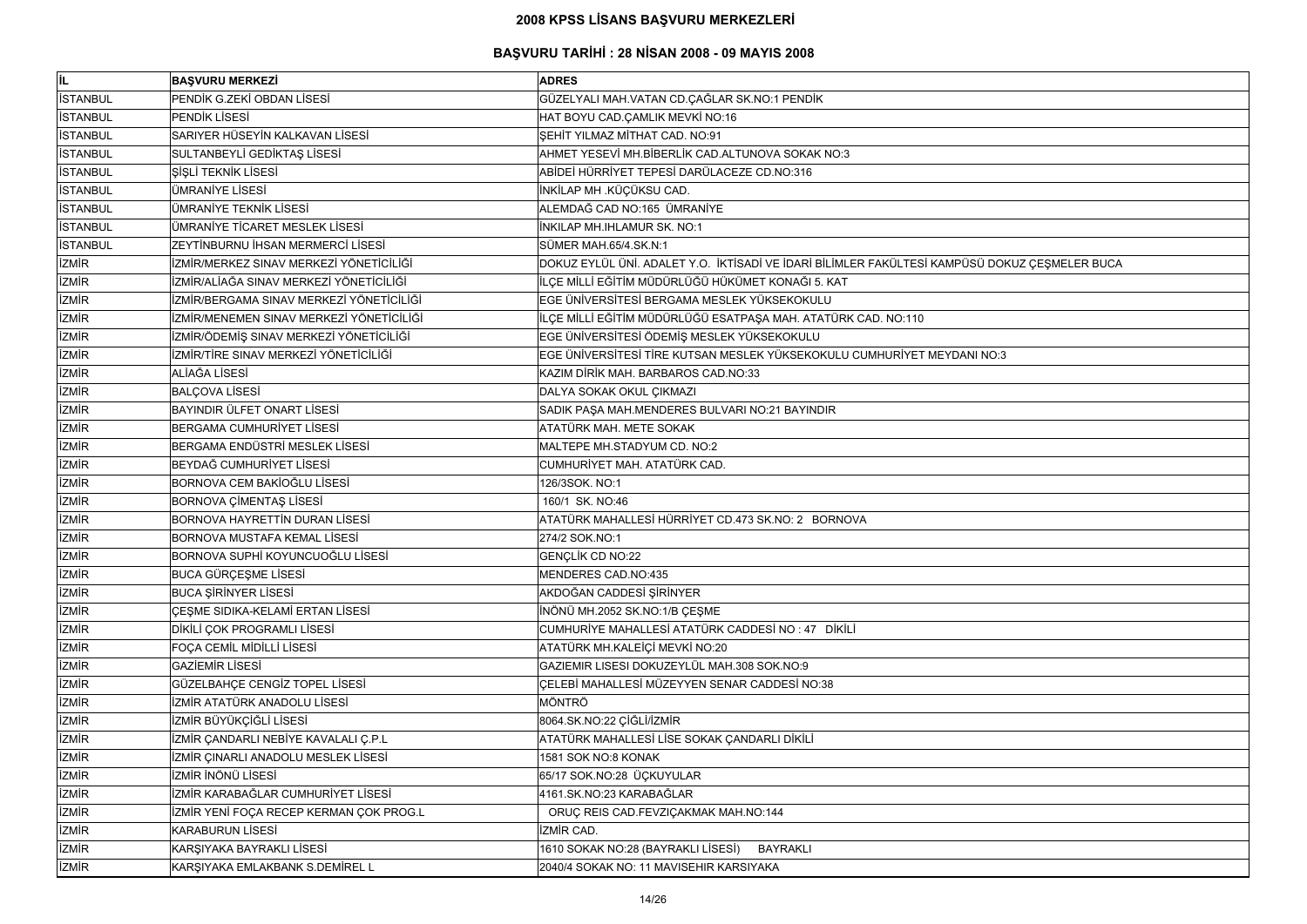| il.             | <b>BAŞVURU MERKEZİ</b>                   | <b>ADRES</b>                                                                                  |
|-----------------|------------------------------------------|-----------------------------------------------------------------------------------------------|
| <b>İSTANBUL</b> | PENDİK G.ZEKİ OBDAN LİSESİ               | GÜZELYALI MAH.VATAN CD.ÇAĞLAR SK.NO:1 PENDİK                                                  |
| <b>ISTANBUL</b> | PENDİK LİSESİ                            | HAT BOYU CAD.ÇAMLIK MEVKİ NO:16                                                               |
| <b>İSTANBUL</b> | SARIYER HÜSEYİN KALKAVAN LİSESİ          | ŞEHİT YILMAZ MİTHAT CAD. NO:91                                                                |
| <b>İSTANBUL</b> | SULTANBEYLİ GEDİKTAŞ LİSESİ              | AHMET YESEVİ MH.BİBERLİK CAD.ALTUNOVA SOKAK NO:3                                              |
| <b>İSTANBUL</b> | ŞİŞLİ TEKNİK LİSESİ                      | ABİDEİ HÜRRİYET TEPESİ DARÜLACEZE CD.NO:316                                                   |
| <b>İSTANBUL</b> | ÜMRANİYE LİSESİ                          | İNKİLAP MH .KÜÇÜKSU CAD.                                                                      |
| <b>İSTANBUL</b> | ÜMRANİYE TEKNİK LİSESİ                   | ALEMDAĞ CAD NO:165 ÜMRANİYE                                                                   |
| <b>İSTANBUL</b> | ÜMRANİYE TİCARET MESLEK LİSESİ           | <b>INKILAP MH.IHLAMUR SK. NO:1</b>                                                            |
| <b>İSTANBUL</b> | ZEYTİNBURNU İHSAN MERMERCİ LİSESİ        | SÜMER MAH.65/4.SK.N:1                                                                         |
| <b>İZMİR</b>    | İZMİR/MERKEZ SINAV MERKEZİ YÖNETİCİLİĞİ  | DOKUZ EYLÜL ÜNİ. ADALET Y.O. İKTİSADİ VE İDARİ BİLİMLER FAKÜLTESİ KAMPÜSÜ DOKUZ ÇEŞMELER BUCA |
| <b>İZMİR</b>    | İZMİR/ALİAĞA SINAV MERKEZİ YÖNETİCİLİĞİ  | İLÇE MİLLİ EĞİTİM MÜDÜRLÜĞÜ HÜKÜMET KONAĞI 5. KAT                                             |
| <b>İZMİR</b>    | İZMİR/BERGAMA SINAV MERKEZİ YÖNETİCİLİĞİ | EGE ÜNİVERSİTESİ BERGAMA MESLEK YÜKSEKOKULU                                                   |
| <b>İZMİR</b>    | İZMİR/MENEMEN SINAV MERKEZİ YÖNETİCİLİĞİ | İLÇE MİLLİ EĞİTİM MÜDÜRLÜĞÜ ESATPAŞA MAH. ATATÜRK CAD. NO:110                                 |
| <b>İZMİR</b>    | İZMİR/ÖDEMİŞ SINAV MERKEZİ YÖNETİCİLİĞİ  | EGE ÜNIVERSITESI ÖDEMIŞ MESLEK YÜKSEKOKULU                                                    |
| <b>İZMİR</b>    | İZMİR/TİRE SINAV MERKEZİ YÖNETİCİLİĞİ    | EGE ÜNİVERSİTESİ TİRE KUTSAN MESLEK YÜKSEKOKULU CUMHURİYET MEYDANI NO:3                       |
| <b>İZMİR</b>    | ALİAĞA LİSESİ                            | KAZIM DİRİK MAH. BARBAROS CAD.NO:33                                                           |
| <b>İZMİR</b>    | <b>BALÇOVA LİSESİ</b>                    | DALYA SOKAK OKUL ÇIKMAZI                                                                      |
| <b>İZMİR</b>    | BAYINDIR ÜLFET ONART LİSESİ              | SADIK PAŞA MAH.MENDERES BULVARI NO:21 BAYINDIR                                                |
| <b>İZMİR</b>    | <b>BERGAMA CUMHURİYET LİSESİ</b>         | ATATÜRK MAH. METE SOKAK                                                                       |
| <b>İZMİR</b>    | BERGAMA ENDÜSTRİ MESLEK LİSESİ           | MALTEPE MH.STADYUM CD. NO:2                                                                   |
| <b>İZMİR</b>    | BEYDAĞ CUMHURİYET LİSESİ                 | CUMHURİYET MAH. ATATÜRK CAD.                                                                  |
| <b>İZMİR</b>    | BORNOVA CEM BAKİOĞLU LİSESİ              | 126/3SOK. NO:1                                                                                |
| <b>İZMİR</b>    | BORNOVA ÇİMENTAŞ LİSESİ                  | 160/1 SK. NO:46                                                                               |
| <b>İZMİR</b>    | BORNOVA HAYRETTİN DURAN LİSESİ           | ATATÜRK MAHALLESİ HÜRRİYET CD.473 SK.NO: 2 BORNOVA                                            |
| <b>İZMİR</b>    | BORNOVA MUSTAFA KEMAL LİSESİ             | 274/2 SOK.NO:1                                                                                |
| <b>IZMIR</b>    | BORNOVA SUPHİ KOYUNCUOĞLU LİSESİ         | <b>GENÇLİK CD NO:22</b>                                                                       |
| <b>İZMİR</b>    | <b>BUCA GÜRÇEŞME LİSESİ</b>              | MENDERES CAD.NO:435                                                                           |
| <b>İZMİR</b>    | <b>BUCA SIRINYER LISESI</b>              | AKDOĞAN CADDESİ ŞİRİNYER                                                                      |
| <b>İZMİR</b>    | <b>CESME SIDIKA-KELAMİ ERTAN LİSESİ</b>  | İNÖNÜ MH.2052 SK.NO:1/B ÇEŞME                                                                 |
| <b>İZMİR</b>    | DİKİLİ ÇOK PROGRAMLI LİSESİ              | CUMHURİYE MAHALLESİ ATATÜRK CADDESİ NO: 47 DİKİLİ                                             |
| <b>İZMİR</b>    | FOÇA CEMİL MİDİLLİ LİSESİ                | ATATÜRK MH.KALEİÇİ MEVKİ NO:20                                                                |
| <b>İZMİR</b>    | <b>GAZİEMİR LİSESİ</b>                   | GAZIEMIR LISESI DOKUZEYLÜL MAH.308 SOK.NO:9                                                   |
| <b>İZMİR</b>    | GÜZELBAHÇE CENGİZ TOPEL LİSESİ           | ÇELEBİ MAHALLESİ MÜZEYYEN SENAR CADDESİ NO:38                                                 |
| <b>İZMİR</b>    | İZMİR ATATÜRK ANADOLU LİSESİ             | MÖNTRÖ                                                                                        |
| <b>İZMİR</b>    | İZMİR BÜYÜKÇİĞLİ LİSESİ                  | 8064.SK.NO:22 ÇİĞLİ/İZMİR                                                                     |
| <b>İZMİR</b>    | İZMİR ÇANDARLI NEBİYE KAVALALI Ç.P.L     | ATATÜRK MAHALLESİ LİSE SOKAK ÇANDARLI DİKİLİ                                                  |
| <b>İZMİR</b>    | İZMİR ÇINARLI ANADOLU MESLEK LİSESİ      | 1581 SOK NO:8 KONAK                                                                           |
| <b>İZMİR</b>    | İZMİR İNÖNÜ LİSESİ                       | 65/17 SOK.NO:28 ÜÇKUYULAR                                                                     |
| <b>İZMİR</b>    | İZMİR KARABAĞLAR CUMHURİYET LİSESİ       | 4161.SK.NO:23 KARABAĞLAR                                                                      |
| <b>İZMİR</b>    | İZMİR YENİ FOÇA RECEP KERMAN ÇOK PROG.L  | ORUÇ REIS CAD.FEVZIÇAKMAK MAH.NO:144                                                          |
| <b>İZMİR</b>    | <b>KARABURUN LİSESİ</b>                  | <b>İZMİR CAD.</b>                                                                             |
| <b>İZMİR</b>    | KARŞIYAKA BAYRAKLI LİSESİ                | 1610 SOKAK NO:28 (BAYRAKLI LİSESİ)<br><b>BAYRAKLI</b>                                         |
| <b>İZMİR</b>    | KARŞIYAKA EMLAKBANK S.DEMİREL L          | 2040/4 SOKAK NO: 11 MAVISEHIR KARSIYAKA                                                       |

| DOKUZ ÇEŞMELER BUCA |  |
|---------------------|--|
|                     |  |
|                     |  |
|                     |  |
|                     |  |
|                     |  |
|                     |  |
| O:3                 |  |
|                     |  |
|                     |  |
|                     |  |
|                     |  |
|                     |  |
|                     |  |
|                     |  |
|                     |  |
|                     |  |
|                     |  |
|                     |  |
|                     |  |
|                     |  |
|                     |  |
|                     |  |
|                     |  |
|                     |  |
|                     |  |
|                     |  |
|                     |  |
|                     |  |
|                     |  |
|                     |  |
|                     |  |
|                     |  |
|                     |  |
|                     |  |
|                     |  |
|                     |  |
|                     |  |
|                     |  |
|                     |  |
|                     |  |
|                     |  |
|                     |  |
|                     |  |
|                     |  |
|                     |  |
|                     |  |
|                     |  |
|                     |  |
|                     |  |
|                     |  |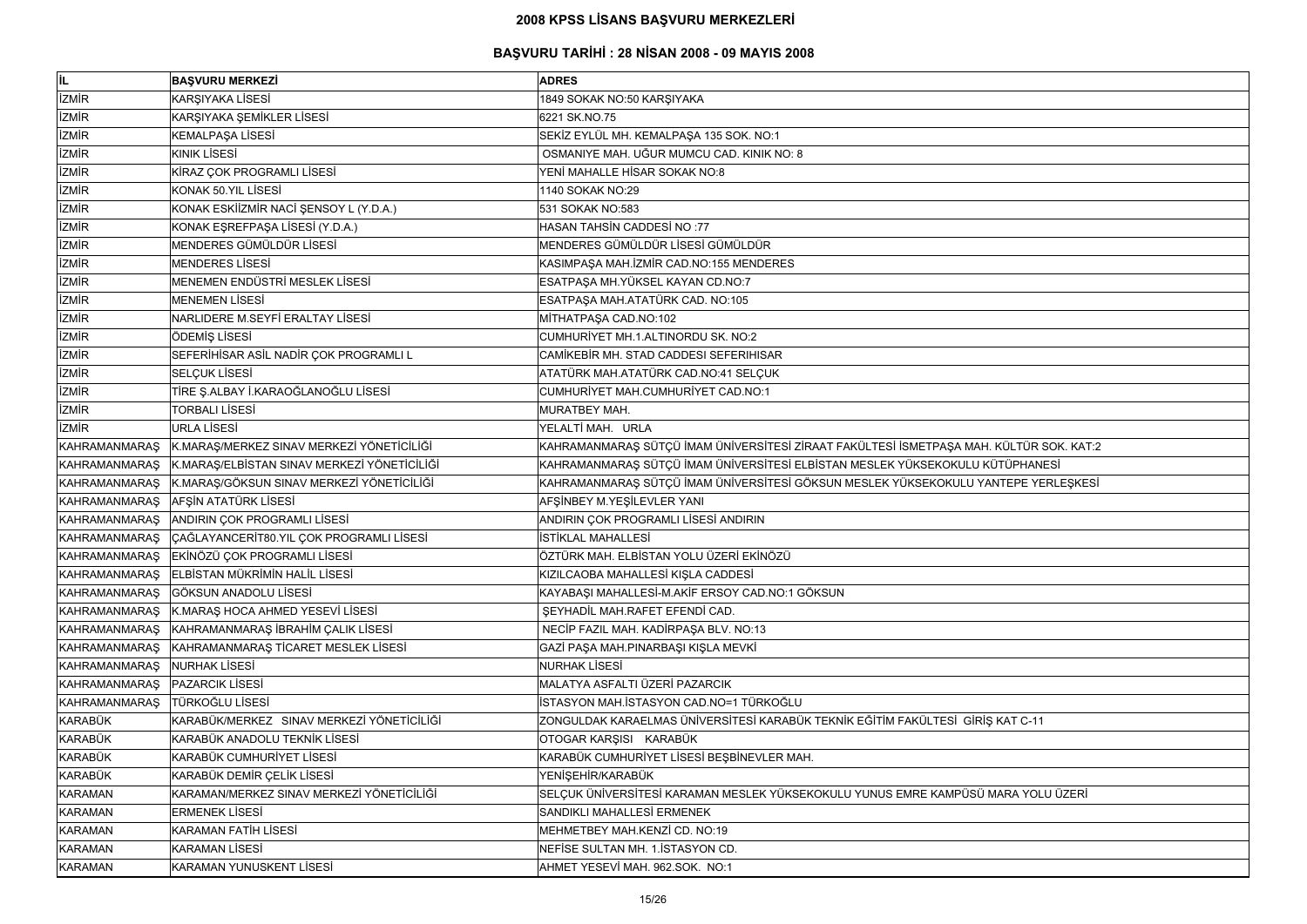| İL             | <b>BAŞVURU MERKEZİ</b>                                  | <b>ADRES</b>                                                                            |
|----------------|---------------------------------------------------------|-----------------------------------------------------------------------------------------|
| <b>İZMİR</b>   | KARŞIYAKA LİSESİ                                        | 1849 SOKAK NO:50 KARŞIYAKA                                                              |
| <b>IZMIR</b>   | KARŞIYAKA ŞEMİKLER LİSESİ                               | 6221 SK.NO.75                                                                           |
| <b>IZMIR</b>   | KEMALPAŞA LİSESİ                                        | SEKİZ EYLÜL MH. KEMALPAŞA 135 SOK. NO:1                                                 |
| <b>İZMİR</b>   | <b>KINIK LİSESİ</b>                                     | OSMANIYE MAH. UĞUR MUMCU CAD. KINIK NO: 8                                               |
| <b>IZMIR</b>   | KİRAZ ÇOK PROGRAMLI LİSESİ                              | YENİ MAHALLE HİSAR SOKAK NO:8                                                           |
| <b>İZMİR</b>   | KONAK 50.YIL LİSESİ                                     | 1140 SOKAK NO:29                                                                        |
| <b>IZMIR</b>   | KONAK ESKİİZMİR NACİ ŞENSOY L (Y.D.A.)                  | 531 SOKAK NO:583                                                                        |
| <b>IZMIR</b>   | KONAK EŞREFPAŞA LİSESİ (Y.D.A.)                         | HASAN TAHSİN CADDESİ NO:77                                                              |
| <b>IZMIR</b>   | MENDERES GÜMÜLDÜR LİSESİ                                | MENDERES GÜMÜLDÜR LİSESİ GÜMÜLDÜR                                                       |
| <b>İZMİR</b>   | <b>MENDERES LISESI</b>                                  | KASIMPAŞA MAH.İZMİR CAD.NO:155 MENDERES                                                 |
| <b>İZMİR</b>   | MENEMEN ENDÜSTRİ MESLEK LİSESİ                          | ESATPAŞA MH.YÜKSEL KAYAN CD.NO:7                                                        |
| <b>IZMIR</b>   | <b>MENEMEN LİSESİ</b>                                   | ESATPAŞA MAH.ATATÜRK CAD. NO:105                                                        |
| <b>IZMIR</b>   | NARLIDERE M.SEYFİ ERALTAY LİSESİ                        | MİTHATPAŞA CAD.NO:102                                                                   |
| <b>IZMIR</b>   | ÖDEMİŞ LİSESİ                                           | CUMHURİYET MH.1.ALTINORDU SK. NO:2                                                      |
| <b>IZMIR</b>   | SEFERİHİSAR ASİL NADİR ÇOK PROGRAMLI L                  | CAMİKEBİR MH. STAD CADDESI SEFERIHISAR                                                  |
| <b>IZMIR</b>   | <b>SELÇUK LİSESİ</b>                                    | ATATÜRK MAH.ATATÜRK CAD.NO:41 SELÇUK                                                    |
| <b>IZMIR</b>   | TİRE Ş.ALBAY İ.KARAOĞLANOĞLU LİSESİ                     | CUMHURİYET MAH.CUMHURİYET CAD.NO:1                                                      |
| <b>IZMIR</b>   | <b>TORBALI LİSESİ</b>                                   | MURATBEY MAH.                                                                           |
| <b>İZMİR</b>   | <b>URLA LİSESİ</b>                                      | YELALTİ MAH. URLA                                                                       |
| KAHRAMANMARAŞ  | K.MARAŞ/MERKEZ SINAV MERKEZİ YÖNETİCİLİĞİ               | KAHRAMANMARAŞ SÜTÇÜ İMAM ÜNİVERSİTESİ ZİRAAT FAKÜLTESİ İSMETPAŞA MAH. KÜLTÜR SOK. KAT:2 |
| KAHRAMANMARAŞ  | K.MARAŞ/ELBİSTAN SINAV MERKEZİ YÖNETİCİLİĞİ             | KAHRAMANMARAŞ SÜTÇÜ İMAM ÜNİVERSİTESİ ELBİSTAN MESLEK YÜKSEKOKULU KÜTÜPHANESİ           |
|                | KAHRAMANMARAŞ K.MARAŞ/GÖKSUN SINAV MERKEZİ YÖNETİCİLİĞİ | KAHRAMANMARAŞ SÜTÇÜ İMAM ÜNİVERSİTESİ GÖKSUN MESLEK YÜKSEKOKULU YANTEPE YERLEŞKESİ      |
| KAHRAMANMARAŞ  | AFŞİN ATATÜRK LİSESİ                                    | AFŞİNBEY M.YEŞİLEVLER YANI                                                              |
| KAHRAMANMARAŞ  | ANDIRIN ÇOK PROGRAMLI LİSESİ                            | ANDIRIN ÇOK PROGRAMLI LİSESİ ANDIRIN                                                    |
|                | KAHRAMANMARAŞ ÇAĞLAYANCERİT80.YIL ÇOK PROGRAMLI LİSESİ  | <b>İSTİKLAL MAHALLESİ</b>                                                               |
|                | KAHRAMANMARAŞ EKİNÖZÜ ÇOK PROGRAMLI LİSESİ              | ÖZTÜRK MAH. ELBİSTAN YOLU ÜZERİ EKİNÖZÜ                                                 |
|                | KAHRAMANMARAŞ ELBİSTAN MÜKRİMİN HALİL LİSESİ            | KIZILCAOBA MAHALLESİ KIŞLA CADDESİ                                                      |
| KAHRAMANMARAS  | GÖKSUN ANADOLU LİSESİ                                   | KAYABAŞI MAHALLESİ-M.AKİF ERSOY CAD.NO:1 GÖKSUN                                         |
|                | KAHRAMANMARAŞ K.MARAŞ HOCA AHMED YESEVİ LİSESİ          | SEYHADİL MAH.RAFET EFENDİ CAD.                                                          |
| KAHRAMANMARAS  | KAHRAMANMARAŞ İBRAHİM ÇALIK LİSESİ                      | NECİP FAZIL MAH. KADİRPAŞA BLV. NO:13                                                   |
|                | KAHRAMANMARAŞ KAHRAMANMARAŞ TİCARET MESLEK LİSESİ       | GAZİ PAŞA MAH.PINARBAŞI KIŞLA MEVKİ                                                     |
| KAHRAMANMARAŞ  | NURHAK LİSESİ                                           | <b>NURHAK LİSESİ</b>                                                                    |
| KAHRAMANMARAŞ  | <b>PAZARCIK LISESI</b>                                  | MALATYA ASFALTI ÜZERİ PAZARCIK                                                          |
| KAHRAMANMARAŞ  | <b>TÜRKOĞLU LİSESİ</b>                                  | İSTASYON MAH.İSTASYON CAD.NO=1 TÜRKOĞLU                                                 |
| KARABÜK        | KARABÜK/MERKEZ SINAV MERKEZİ YÖNETİCİLİĞİ               | ZONGULDAK KARAELMAS ÜNİVERSİTESİ KARABÜK TEKNİK EĞİTİM FAKÜLTESİ GİRİŞ KAT C-11         |
| KARABÜK        | KARABÜK ANADOLU TEKNİK LİSESİ                           | OTOGAR KARŞISI KARABÜK                                                                  |
| KARABÜK        | KARABÜK CUMHURİYET LİSESİ                               | KARABÜK CUMHURİYET LİSESİ BEŞBİNEVLER MAH.                                              |
| KARABÜK        | KARABÜK DEMİR ÇELİK LİSESİ                              | YENİŞEHİR/KARABÜK                                                                       |
| <b>KARAMAN</b> | KARAMAN/MERKEZ SINAV MERKEZİ YÖNETİCİLİĞİ               | SELÇUK ÜNİVERSİTESİ KARAMAN MESLEK YÜKSEKOKULU YUNUS EMRE KAMPÜSÜ MARA YOLU ÜZERİ       |
| <b>KARAMAN</b> | <b>ERMENEK LİSESİ</b>                                   | SANDIKLI MAHALLESİ ERMENEK                                                              |
| <b>KARAMAN</b> | <b>KARAMAN FATİH LİSESİ</b>                             | MEHMETBEY MAH.KENZİ CD. NO:19                                                           |
| <b>KARAMAN</b> | <b>KARAMAN LİSESİ</b>                                   | NEFISE SULTAN MH. 1. ISTASYON CD.                                                       |
| <b>KARAMAN</b> | KARAMAN YUNUSKENT LİSESİ                                | AHMET YESEVİ MAH. 962.SOK. NO:1                                                         |

| . KÜLTÜR SOK. KAT:2      |
|--------------------------|
| <b>ÜTÜPHANESİ</b>        |
|                          |
| <b>INTEPE YERLEŞKESİ</b> |
|                          |
|                          |
|                          |
|                          |
|                          |
|                          |
|                          |
|                          |
|                          |
|                          |
|                          |
|                          |
|                          |
|                          |
|                          |
| $$$ KAT C-11             |
|                          |
|                          |
|                          |
|                          |
| MARA YOLU ÜZERİ          |
|                          |
|                          |
|                          |
|                          |
|                          |
|                          |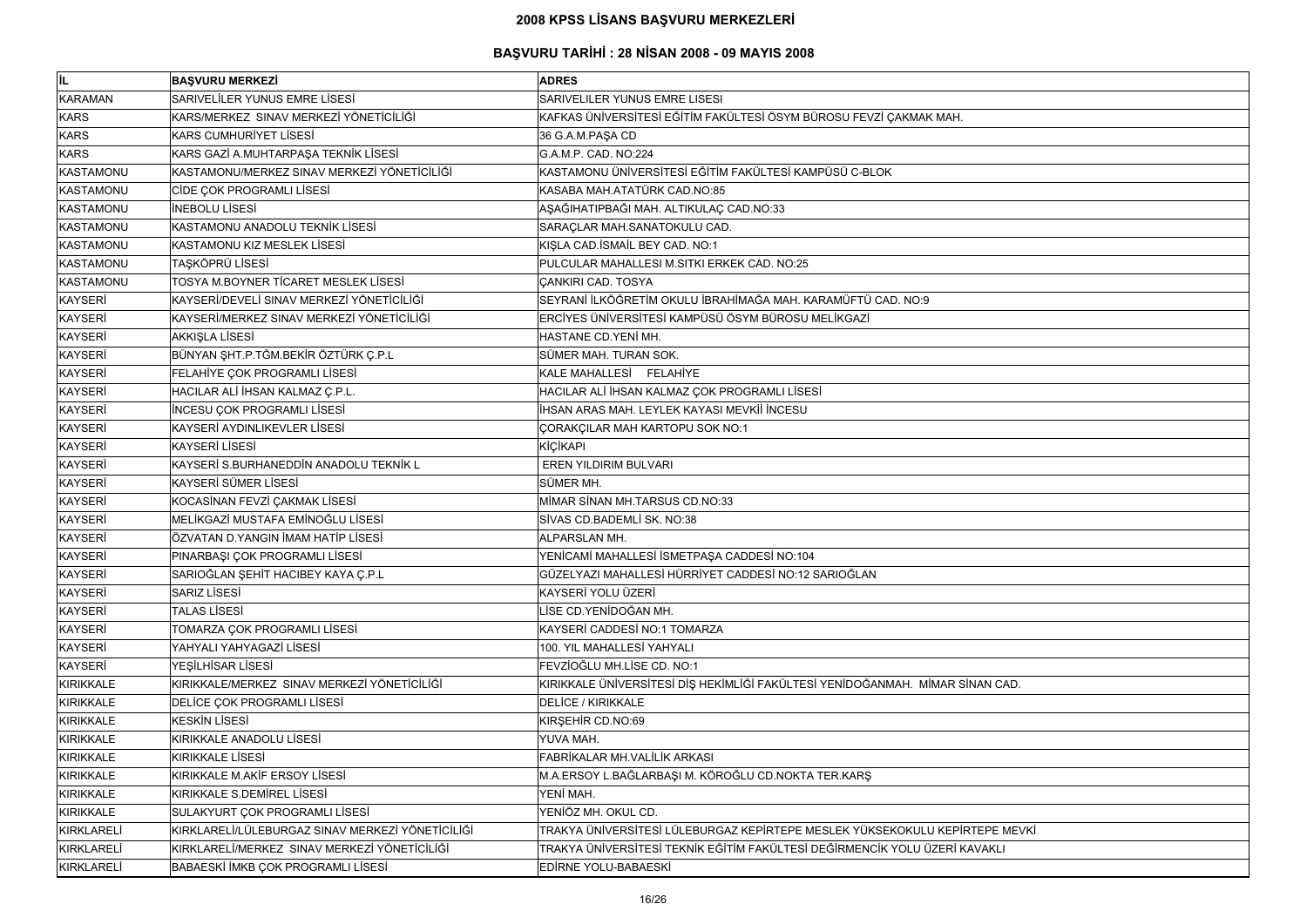| lil.              | <b>BASVURU MERKEZİ</b>                           | <b>ADRES</b>                                                                  |
|-------------------|--------------------------------------------------|-------------------------------------------------------------------------------|
| <b>KARAMAN</b>    | <b>SARIVELİLER YUNUS EMRE LİSESİ</b>             | SARIVELILER YUNUS EMRE LISESI                                                 |
| <b>KARS</b>       | KARS/MERKEZ SINAV MERKEZİ YÖNETİCİLİĞİ           | KAFKAS ÜNİVERSİTESİ EĞİTİM FAKÜLTESİ ÖSYM BÜROSU FEVZİ ÇAKMAK MAH.            |
| <b>KARS</b>       | <b>KARS CUMHURIYET LISESI</b>                    | 36 G.A.M.PAŞA CD                                                              |
| <b>KARS</b>       | KARS GAZİ A.MUHTARPAŞA TEKNİK LİSESİ             | G.A.M.P. CAD. NO:224                                                          |
| KASTAMONU         | KASTAMONU/MERKEZ SINAV MERKEZİ YÖNETİCİLİĞİ      | KASTAMONU ÜNİVERSİTESİ EĞİTİM FAKÜLTESİ KAMPÜSÜ C-BLOK                        |
| KASTAMONU         | CİDE ÇOK PROGRAMLI LİSESİ                        | KASABA MAH.ATATÜRK CAD.NO:85                                                  |
| KASTAMONU         | <b>INEBOLU LISESI</b>                            | AŞAĞIHATIPBAĞI MAH. ALTIKULAÇ CAD.NO:33                                       |
| KASTAMONU         | KASTAMONU ANADOLU TEKNIK LISESI                  | SARAÇLAR MAH.SANATOKULU CAD.                                                  |
| KASTAMONU         | KASTAMONU KIZ MESLEK LİSESİ                      | KIŞLA CAD.İSMAİL BEY CAD. NO:1                                                |
| KASTAMONU         | <b>TAŞKÖPRÜ LİSESİ</b>                           | PULCULAR MAHALLESI M.SITKI ERKEK CAD. NO:25                                   |
| <b>KASTAMONU</b>  | TOSYA M.BOYNER TİCARET MESLEK LİSESİ             | <b>ÇANKIRI CAD. TOSYA</b>                                                     |
| <b>KAYSERİ</b>    | KAYSERİ/DEVELİ SINAV MERKEZİ YÖNETİCİLİĞİ        | SEYRANİ İLKÖĞRETİM OKULU İBRAHİMAĞA MAH. KARAMÜFTÜ CAD. NO:9                  |
| <b>KAYSERİ</b>    | KAYSERİ/MERKEZ SINAV MERKEZİ YÖNETİCİLİĞİ        | ERCİYES ÜNİVERSİTESİ KAMPÜSÜ ÖSYM BÜROSU MELİKGAZİ                            |
| KAYSERİ           | AKKIŞLA LİSESİ                                   | HASTANE CD.YENİ MH.                                                           |
| <b>KAYSERİ</b>    | BÜNYAN ŞHT.P.TĞM.BEKİR ÖZTÜRK Ç.P.L              | SÜMER MAH. TURAN SOK.                                                         |
| <b>KAYSERİ</b>    | FELAHIYE ÇOK PROGRAMLI LİSESİ                    | KALE MAHALLESİ FELAHİYE                                                       |
| <b>KAYSERİ</b>    | HACILAR ALİ İHSAN KALMAZ Ç.P.L.                  | HACILAR ALİ İHSAN KALMAZ ÇOK PROGRAMLI LİSESİ                                 |
| <b>KAYSERİ</b>    | <b>INCESU ÇOK PROGRAMLI LISESI</b>               | İHSAN ARAS MAH. LEYLEK KAYASI MEVKİİ İNCESU                                   |
| <b>KAYSERİ</b>    | KAYSERİ AYDINLIKEVLER LİSESİ                     | ÇORAKÇILAR MAH KARTOPU SOK NO:1                                               |
| <b>KAYSERİ</b>    | <b>KAYSERİ LİSESİ</b>                            | KİÇİKAPI                                                                      |
| <b>KAYSERİ</b>    | KAYSERİ S.BURHANEDDİN ANADOLU TEKNİK L           | <b>EREN YILDIRIM BULVARI</b>                                                  |
| <b>KAYSERİ</b>    | <b>KAYSERİ SÜMER LİSESİ</b>                      | SÜMER MH.                                                                     |
| <b>KAYSERİ</b>    | KOCASİNAN FEVZİ ÇAKMAK LİSESİ                    | MİMAR SİNAN MH.TARSUS CD.NO:33                                                |
| <b>KAYSERİ</b>    | MELİKGAZİ MUSTAFA EMİNOĞLU LİSESİ                | SİVAS CD.BADEMLİ SK. NO:38                                                    |
| <b>KAYSERİ</b>    | ÖZVATAN D.YANGIN İMAM HATİP LİSESİ               | ALPARSLAN MH.                                                                 |
| KAYSERİ           | PINARBAŞI ÇOK PROGRAMLI LİSESİ                   | YENİCAMİ MAHALLESİ İSMETPAŞA CADDESİ NO:104                                   |
| <b>KAYSERİ</b>    | SARIOĞLAN ŞEHİT HACIBEY KAYA Ç.P.L               | GÜZELYAZI MAHALLESİ HÜRRİYET CADDESİ NO:12 SARIOĞLAN                          |
| <b>KAYSERİ</b>    | <b>SARIZ LISESI</b>                              | KAYSERİ YOLU ÜZERİ                                                            |
| <b>KAYSERİ</b>    | <b>TALAS LISESI</b>                              | LİSE CD.YENİDOĞAN MH.                                                         |
| <b>KAYSERİ</b>    | TOMARZA ÇOK PROGRAMLI LİSESİ                     | KAYSERİ CADDESİ NO:1 TOMARZA                                                  |
| <b>KAYSERİ</b>    | YAHYALI YAHYAGAZİ LİSESİ                         | 100. YIL MAHALLESİ YAHYALI                                                    |
| <b>KAYSERİ</b>    | YEŞİLHİSAR LİSESİ                                | FEVZİOĞLU MH.LİSE CD. NO:1                                                    |
| <b>KIRIKKALE</b>  | KIRIKKALE/MERKEZ SINAV MERKEZİ YÖNETİCİLİĞİ      | KIRIKKALE ÜNİVERSİTESİ DİŞ HEKİMLİĞİ FAKÜLTESİ YENİDOĞANMAH. MİMAR SİNAN CAD. |
| <b>KIRIKKALE</b>  | DELİCE ÇOK PROGRAMLI LİSESİ                      | <b>DELİCE / KIRIKKALE</b>                                                     |
| <b>KIRIKKALE</b>  | <b>KESKİN LİSESİ</b>                             | KIRŞEHİR CD.NO:69                                                             |
| <b>KIRIKKALE</b>  | KIRIKKALE ANADOLU LİSESİ                         | YUVA MAH.                                                                     |
| <b>KIRIKKALE</b>  | <b>KIRIKKALE LİSESİ</b>                          | FABRİKALAR MH.VALİLİK ARKASI                                                  |
| <b>KIRIKKALE</b>  | KIRIKKALE M.AKİF ERSOY LİSESİ                    | M.A.ERSOY L.BAĞLARBAŞI M. KÖROĞLU CD.NOKTA TER.KARŞ                           |
| <b>KIRIKKALE</b>  | KIRIKKALE S.DEMİREL LİSESİ                       | YENİ MAH.                                                                     |
| <b>KIRIKKALE</b>  | SULAKYURT ÇOK PROGRAMLI LİSESİ                   | YENİÖZ MH. OKUL CD.                                                           |
| <b>KIRKLARELİ</b> | KIRKLARELİ/LÜLEBURGAZ SINAV MERKEZİ YÖNETİCİLİĞİ | TRAKYA ÜNİVERSİTESİ LÜLEBURGAZ KEPİRTEPE MESLEK YÜKSEKOKULU KEPİRTEPE MEVKİ   |
| <b>KIRKLARELİ</b> | KIRKLARELİ/MERKEZ SINAV MERKEZİ YÖNETİCİLİĞİ     | TRAKYA ÜNİVERSİTESİ TEKNİK EĞİTİM FAKÜLTESİ DEĞİRMENCİK YOLU ÜZERİ KAVAKLI    |
| <b>KIRKLARELİ</b> | BABAESKİ İMKB ÇOK PROGRAMLI LİSESİ               | EDİRNE YOLU-BABAESKİ                                                          |

| V CAD.   |  |
|----------|--|
|          |  |
|          |  |
|          |  |
|          |  |
|          |  |
|          |  |
|          |  |
|          |  |
|          |  |
|          |  |
|          |  |
|          |  |
| PE MEVKİ |  |
|          |  |
| KLI      |  |
|          |  |
|          |  |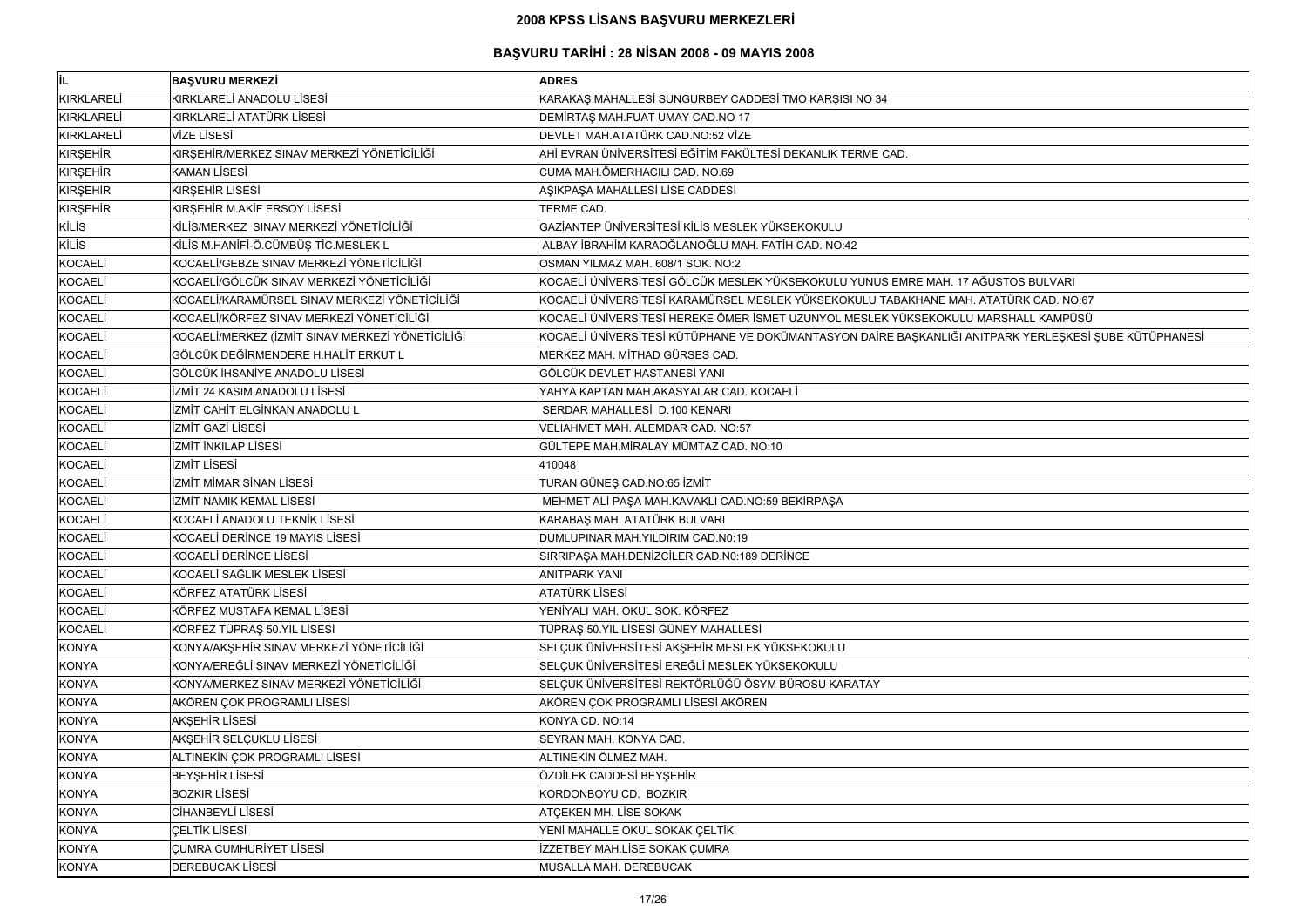# **BAŞVURU TARİHİ : 28 NİSAN 2008 - 09 MAYIS 2008**

| lil.              | <b>BAŞVURU MERKEZİ</b>                           | <b>ADRES</b>                                                                                         |
|-------------------|--------------------------------------------------|------------------------------------------------------------------------------------------------------|
| <b>KIRKLARELİ</b> | KIRKLARELİ ANADOLU LİSESİ                        | KARAKAŞ MAHALLESİ SUNGURBEY CADDESİ TMO KARŞISI NO 34                                                |
| <b>KIRKLARELİ</b> | KIRKLARELİ ATATÜRK LİSESİ                        | DEMIRTAŞ MAH.FUAT UMAY CAD.NO 17                                                                     |
| KIRKLARELİ        | <b>VİZE LİSESİ</b>                               | DEVLET MAH.ATATÜRK CAD.NO:52 VİZE                                                                    |
| <b>KIRŞEHİR</b>   | KIRŞEHİR/MERKEZ SINAV MERKEZİ YÖNETİCİLİĞİ       | AHİ EVRAN ÜNİVERSİTESİ EĞİTİM FAKÜLTESİ DEKANLIK TERME CAD.                                          |
| KIRŞEHİR          | <b>KAMAN LİSESİ</b>                              | CUMA MAH.ÖMERHACILI CAD. NO.69                                                                       |
| <b>KIRŞEHİR</b>   | <b>KIRSEHIR LISESI</b>                           | AŞIKPAŞA MAHALLESİ LİSE CADDESİ                                                                      |
| KIRŞEHİR          | KIRŞEHİR M.AKİF ERSOY LİSESİ                     | TERME CAD.                                                                                           |
| <b>KİLİS</b>      | KİLİS/MERKEZ SINAV MERKEZİ YÖNETİCİLİĞİ          | GAZİANTEP ÜNİVERSİTESİ KİLİS MESLEK YÜKSEKOKULU                                                      |
| <b>KİLİS</b>      | KİLİS M.HANİFİ-Ö.CÜMBÜŞ TİC.MESLEK L             | ALBAY İBRAHİM KARAOĞLANOĞLU MAH. FATİH CAD. NO:42                                                    |
| <b>KOCAELİ</b>    | KOCAELİ/GEBZE SINAV MERKEZİ YÖNETİCİLİĞİ         | OSMAN YILMAZ MAH. 608/1 SOK. NO:2                                                                    |
| <b>KOCAELI</b>    | KOCAELİ/GÖLCÜK SINAV MERKEZİ YÖNETİCİLİĞİ        | KOCAELİ ÜNİVERSİTESİ GÖLCÜK MESLEK YÜKSEKOKULU YUNUS EMRE MAH. 17 AĞUSTOS BULVARI                    |
| <b>KOCAELİ</b>    | KOCAELİ/KARAMÜRSEL SINAV MERKEZİ YÖNETİCİLİĞİ    | KOCAELİ ÜNİVERSİTESİ KARAMÜRSEL MESLEK YÜKSEKOKULU TABAKHANE MAH. ATATÜRK CAD. NO:67                 |
| <b>KOCAELİ</b>    | KOCAELİ/KÖRFEZ SINAV MERKEZİ YÖNETİCİLİĞİ        | KOCAELİ ÜNİVERSİTESİ HEREKE ÖMER İSMET UZUNYOL MESLEK YÜKSEKOKULU MARSHALL KAMPÜSÜ                   |
| <b>KOCAELİ</b>    | KOCAELİ/MERKEZ (İZMİT SINAV MERKEZİ YÖNETİCİLİĞİ | KOCAELİ ÜNİVERSİTESİ KÜTÜPHANE VE DOKÜMANTASYON DAİRE BAŞKANLIĞI ANITPARK YERLEŞKESİ ŞUBE KÜTÜPHANES |
| <b>KOCAELI</b>    | GÖLCÜK DEĞİRMENDERE H.HALİT ERKUT L              | MERKEZ MAH. MİTHAD GÜRSES CAD.                                                                       |
| <b>KOCAELI</b>    | GÖLCÜK İHSANİYE ANADOLU LİSESİ                   | GÖLCÜK DEVLET HASTANESİ YANI                                                                         |
| <b>KOCAELI</b>    | İZMİT 24 KASIM ANADOLU LİSESİ                    | YAHYA KAPTAN MAH.AKASYALAR CAD. KOCAELİ                                                              |
| <b>KOCAELİ</b>    | İZMİT CAHİT ELGİNKAN ANADOLU L                   | SERDAR MAHALLESİ D.100 KENARI                                                                        |
| <b>KOCAELİ</b>    | İZMİT GAZİ LİSESİ                                | VELIAHMET MAH. ALEMDAR CAD. NO:57                                                                    |
| KOCAELİ           | İZMİT İNKILAP LİSESİ                             | GÜLTEPE MAH.MİRALAY MÜMTAZ CAD. NO:10                                                                |
| KOCAELİ           | <b>İZMİT LİSESİ</b>                              | 410048                                                                                               |
| <b>KOCAELI</b>    | <b>İZMİT MİMAR SİNAN LİSESİ</b>                  | TURAN GÜNEŞ CAD.NO:65 İZMİT                                                                          |
| <b>KOCAELİ</b>    | İZMİT NAMIK KEMAL LİSESİ                         | MEHMET ALİ PAŞA MAH.KAVAKLI CAD.NO:59 BEKİRPAŞA                                                      |
| <b>KOCAELI</b>    | KOCAELİ ANADOLU TEKNİK LİSESİ                    | KARABAŞ MAH. ATATÜRK BULVARI                                                                         |
| <b>KOCAELİ</b>    | KOCAELİ DERİNCE 19 MAYIS LİSESİ                  | DUMLUPINAR MAH. YILDIRIM CAD.N0:19                                                                   |
| <b>KOCAELI</b>    | <b>KOCAELI DERINCE LISESI</b>                    | SIRRIPAȘA MAH.DENIZCILER CAD.N0:189 DERINCE                                                          |
| KOCAELİ           | KOCAELİ SAĞLIK MESLEK LİSESİ                     | <b>ANITPARK YANI</b>                                                                                 |
| <b>KOCAELİ</b>    | KÖRFEZ ATATÜRK LİSESİ                            | <b>ATATÜRK LİSESİ</b>                                                                                |
| <b>KOCAELİ</b>    | KÖRFEZ MUSTAFA KEMAL LİSESİ                      | YENİYALI MAH. OKUL SOK. KÖRFEZ                                                                       |
| <b>KOCAELİ</b>    | KÖRFEZ TÜPRAŞ 50.YIL LİSESİ                      | TÜPRAŞ 50.YIL LİSESİ GÜNEY MAHALLESİ                                                                 |
| <b>KONYA</b>      | KONYA/AKŞEHİR SINAV MERKEZİ YÖNETİCİLİĞİ         | SELÇUK ÜNİVERSİTESİ AKŞEHİR MESLEK YÜKSEKOKULU                                                       |
| <b>KONYA</b>      | KONYA/EREĞLİ SINAV MERKEZİ YÖNETİCİLİĞİ          | SELÇUK ÜNİVERSİTESİ EREĞLİ MESLEK YÜKSEKOKULU                                                        |
| <b>KONYA</b>      | KONYA/MERKEZ SINAV MERKEZİ YÖNETİCİLİĞİ          | SELÇUK ÜNİVERSİTESİ REKTÖRLÜĞÜ ÖSYM BÜROSU KARATAY                                                   |
| <b>KONYA</b>      | AKÖREN ÇOK PROGRAMLI LİSESİ                      | AKÖREN ÇOK PROGRAMLI LİSESİ AKÖREN                                                                   |
| <b>KONYA</b>      | AKŞEHİR LİSESİ                                   | KONYA CD. NO:14                                                                                      |
| <b>KONYA</b>      | AKŞEHİR SELÇUKLU LİSESİ                          | SEYRAN MAH. KONYA CAD.                                                                               |
| <b>KONYA</b>      | ALTINEKIN ÇOK PROGRAMLI LİSESİ                   | ALTINEKİN ÖLMEZ MAH.                                                                                 |
| <b>KONYA</b>      | <b>BEYŞEHİR LİSESİ</b>                           | ÖZDİLEK CADDESİ BEYŞEHİR                                                                             |
| <b>KONYA</b>      | <b>BOZKIR LISESI</b>                             | KORDONBOYU CD. BOZKIR                                                                                |
| <b>KONYA</b>      | CİHANBEYLİ LİSESİ                                | ATÇEKEN MH. LİSE SOKAK                                                                               |
| <b>KONYA</b>      | <b>CELTIK LISESI</b>                             | YENİ MAHALLE OKUL SOKAK ÇELTİK                                                                       |
| <b>KONYA</b>      | <b>CUMRA CUMHURIYET LISESI</b>                   | İZZETBEY MAH.LİSE SOKAK ÇUMRA                                                                        |
| <b>KONYA</b>      | <b>DEREBUCAK LISESI</b>                          | MUSALLA MAH. DEREBUCAK                                                                               |

| PARK YERLEŞKESİ ŞUBE KÜTÜPHANESİ |  |  |
|----------------------------------|--|--|
|                                  |  |  |
|                                  |  |  |
|                                  |  |  |
|                                  |  |  |
|                                  |  |  |
|                                  |  |  |
|                                  |  |  |
|                                  |  |  |
|                                  |  |  |
|                                  |  |  |
|                                  |  |  |
|                                  |  |  |
|                                  |  |  |
|                                  |  |  |
|                                  |  |  |
|                                  |  |  |
|                                  |  |  |
|                                  |  |  |
|                                  |  |  |
|                                  |  |  |
|                                  |  |  |
|                                  |  |  |
|                                  |  |  |
|                                  |  |  |
|                                  |  |  |
|                                  |  |  |
|                                  |  |  |
|                                  |  |  |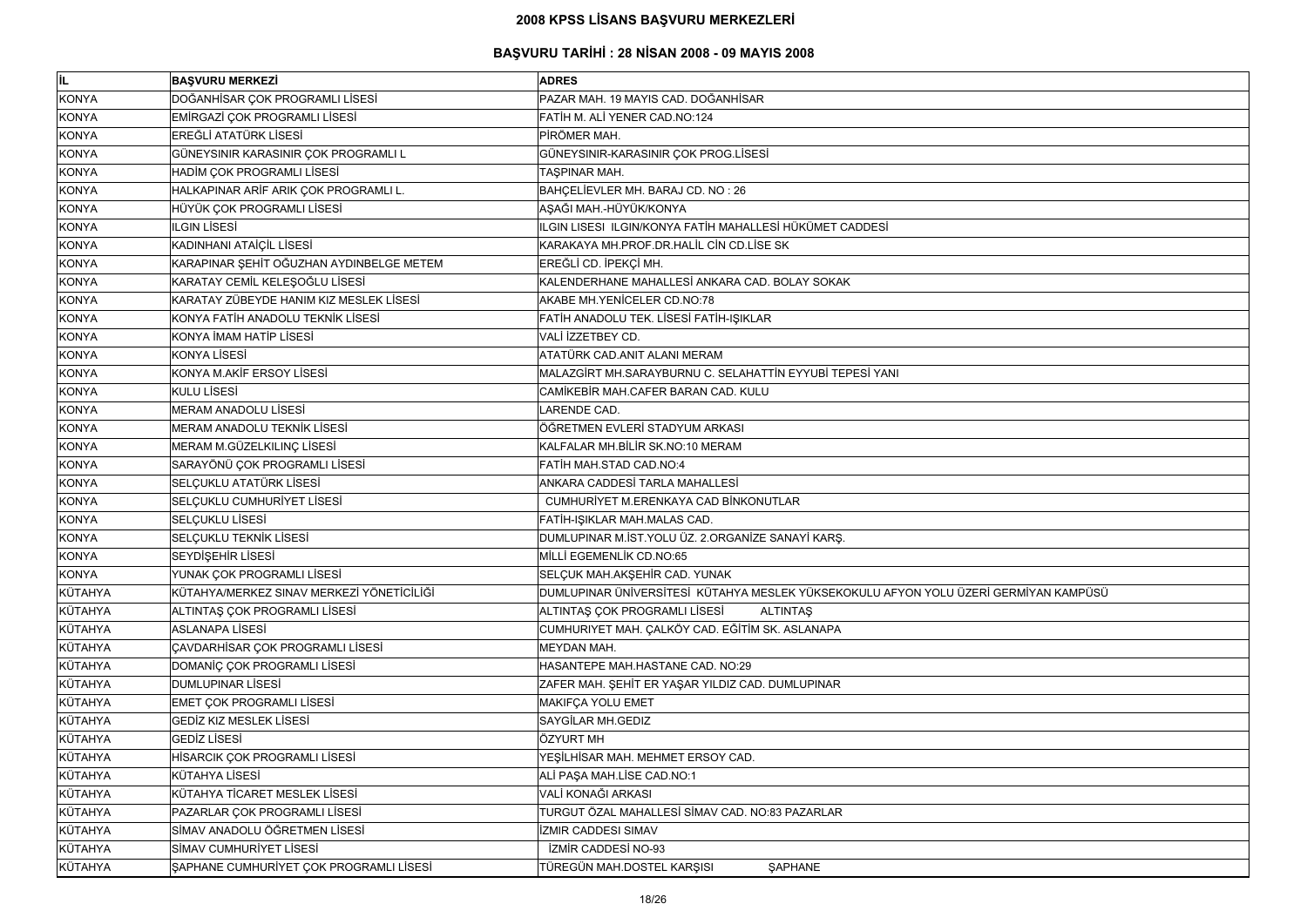| lil.           | <b>BAŞVURU MERKEZİ</b>                    | <b>ADRES</b>                                                                         |
|----------------|-------------------------------------------|--------------------------------------------------------------------------------------|
| <b>KONYA</b>   | DOĞANHİSAR ÇOK PROGRAMLI LİSESİ           | PAZAR MAH. 19 MAYIS CAD. DOĞANHİSAR                                                  |
| <b>KONYA</b>   | EMİRGAZİ ÇOK PROGRAMLI LİSESİ             | FATIH M. ALI YENER CAD.NO:124                                                        |
| <b>KONYA</b>   | <b>EREĞLİ ATATÜRK LİSESİ</b>              | PİRÖMER MAH.                                                                         |
| <b>KONYA</b>   | GÜNEYSINIR KARASINIR ÇOK PROGRAMLI L      | GÜNEYSINIR-KARASINIR ÇOK PROG.LİSESİ                                                 |
| <b>KONYA</b>   | HADİM ÇOK PROGRAMLI LİSESİ                | TAŞPINAR MAH.                                                                        |
| <b>KONYA</b>   | HALKAPINAR ARİF ARIK ÇOK PROGRAMLI L.     | BAHÇELİEVLER MH. BARAJ CD. NO: 26                                                    |
| <b>KONYA</b>   | HÜYÜK ÇOK PROGRAMLI LİSESİ                | AŞAĞI MAH.-HÜYÜK/KONYA                                                               |
| <b>KONYA</b>   | <b>ILGIN LISESI</b>                       | ILGIN LISESI ILGIN/KONYA FATİH MAHALLESİ HÜKÜMET CADDESİ                             |
| <b>KONYA</b>   | KADINHANI ATAİÇİL LİSESİ                  | KARAKAYA MH.PROF.DR.HALİL CİN CD.LİSE SK                                             |
| <b>KONYA</b>   | KARAPINAR ŞEHİT OĞUZHAN AYDINBELGE METEM  | EREĞLİ CD. İPEKÇİ MH.                                                                |
| <b>KONYA</b>   | KARATAY CEMİL KELEŞOĞLU LİSESİ            | KALENDERHANE MAHALLESİ ANKARA CAD. BOLAY SOKAK                                       |
| <b>KONYA</b>   | KARATAY ZÜBEYDE HANIM KIZ MESLEK LİSESİ   | AKABE MH. YENİCELER CD. NO: 78                                                       |
| <b>KONYA</b>   | KONYA FATİH ANADOLU TEKNİK LİSESİ         | FATİH ANADOLU TEK. LİSESİ FATİH-IŞIKLAR                                              |
| <b>KONYA</b>   | KONYA İMAM HATİP LİSESİ                   | VALI İZZETBEY CD.                                                                    |
| <b>KONYA</b>   | <b>KONYA LİSESİ</b>                       | ATATÜRK CAD.ANIT ALANI MERAM                                                         |
| <b>KONYA</b>   | KONYA M.AKİF ERSOY LİSESİ                 | MALAZGİRT MH.SARAYBURNU C. SELAHATTİN EYYUBİ TEPESİ YANI                             |
| <b>KONYA</b>   | KULU LİSESİ                               | CAMİKEBİR MAH.CAFER BARAN CAD. KULU                                                  |
| <b>KONYA</b>   | MERAM ANADOLU LİSESİ                      | LARENDE CAD.                                                                         |
| <b>KONYA</b>   | <b>MERAM ANADOLU TEKNİK LİSESİ</b>        | ÖĞRETMEN EVLERİ STADYUM ARKASI                                                       |
| <b>KONYA</b>   | MERAM M.GÜZELKILINÇ LİSESİ                | KALFALAR MH.BİLİR SK.NO:10 MERAM                                                     |
| <b>KONYA</b>   | SARAYÖNÜ ÇOK PROGRAMLI LİSESİ             | FATİH MAH.STAD CAD.NO:4                                                              |
| <b>KONYA</b>   | SELÇUKLU ATATÜRK LİSESİ                   | ANKARA CADDESİ TARLA MAHALLESİ                                                       |
| <b>KONYA</b>   | SELÇUKLU CUMHURİYET LİSESİ                | CUMHURİYET M.ERENKAYA CAD BİNKONUTLAR                                                |
| <b>KONYA</b>   | SELÇUKLU LİSESİ                           | FATİH-IŞIKLAR MAH.MALAS CAD.                                                         |
| <b>KONYA</b>   | SELÇUKLU TEKNİK LİSESİ                    | DUMLUPINAR M.İST.YOLU ÜZ. 2.ORGANİZE SANAYİ KARŞ.                                    |
| <b>KONYA</b>   | SEYDİŞEHİR LİSESİ                         | MİLLİ EGEMENLİK CD.NO:65                                                             |
| <b>KONYA</b>   | YUNAK ÇOK PROGRAMLI LİSESİ                | SELÇUK MAH.AKŞEHİR CAD. YUNAK                                                        |
| KÜTAHYA        | KÜTAHYA/MERKEZ SINAV MERKEZİ YÖNETİCİLİĞİ | DUMLUPINAR ÜNİVERSİTESİ KÜTAHYA MESLEK YÜKSEKOKULU AFYON YOLU ÜZERİ GERMİYAN KAMPÜSÜ |
| KÜTAHYA        | ALTINTAŞ ÇOK PROGRAMLI LİSESİ             | ALTINTAS ÇOK PROGRAMLI LİSESİ<br><b>ALTINTAŞ</b>                                     |
| KÜTAHYA        | <b>ASLANAPA LİSESİ</b>                    | CUMHURIYET MAH. ÇALKÖY CAD. EĞİTİM SK. ASLANAPA                                      |
| KÜTAHYA        | ÇAVDARHİSAR ÇOK PROGRAMLI LİSESİ          | <b>MEYDAN MAH.</b>                                                                   |
| <b>KÜTAHYA</b> | DOMANIÇ ÇOK PROGRAMLI LISESİ              | HASANTEPE MAH.HASTANE CAD. NO:29                                                     |
| KÜTAHYA        | <b>DUMLUPINAR LİSESİ</b>                  | ZAFER MAH. ŞEHİT ER YAŞAR YILDIZ CAD. DUMLUPINAR                                     |
| <b>KÜTAHYA</b> | <b>EMET ÇOK PROGRAMLI LİSESİ</b>          | MAKIFÇA YOLU EMET                                                                    |
| KÜTAHYA        | <b>GEDIZ KIZ MESLEK LISESI</b>            | <b>SAYGİLAR MH.GEDIZ</b>                                                             |
| KÜTAHYA        | <b>GEDIZ LISESI</b>                       | ÖZYURT MH                                                                            |
| KÜTAHYA        | HİSARCIK ÇOK PROGRAMLI LİSESİ             | YEŞİLHİSAR MAH. MEHMET ERSOY CAD.                                                    |
| KÜTAHYA        | <b>KÜTAHYA LİSESİ</b>                     | ALİ PAŞA MAH.LİSE CAD.NO:1                                                           |
| KÜTAHYA        | KÜTAHYA TİCARET MESLEK LİSESİ             | VALİ KONAĞI ARKASI                                                                   |
| KÜTAHYA        | PAZARLAR ÇOK PROGRAMLI LİSESİ             | TURGUT ÖZAL MAHALLESİ SİMAV CAD. NO:83 PAZARLAR                                      |
| <b>KÜTAHYA</b> | SİMAV ANADOLU ÖĞRETMEN LİSESİ             | <b>İZMIR CADDESI SIMAV</b>                                                           |
| KÜTAHYA        | SİMAV CUMHURİYET LİSESİ                   | <b>İZMİR CADDESİ NO-93</b>                                                           |
| KÜTAHYA        | ŞAPHANE CUMHURİYET ÇOK PROGRAMLI LİSESİ   | TÜREGÜN MAH.DOSTEL KARŞISI<br><b>ŞAPHANE</b>                                         |

| İ GERMİYAN KAMPÜSÜ |  |
|--------------------|--|
|                    |  |
|                    |  |
|                    |  |
|                    |  |
|                    |  |
|                    |  |
|                    |  |
|                    |  |
|                    |  |
|                    |  |
|                    |  |
|                    |  |
|                    |  |
|                    |  |
|                    |  |
|                    |  |
|                    |  |
|                    |  |
|                    |  |
|                    |  |
|                    |  |
|                    |  |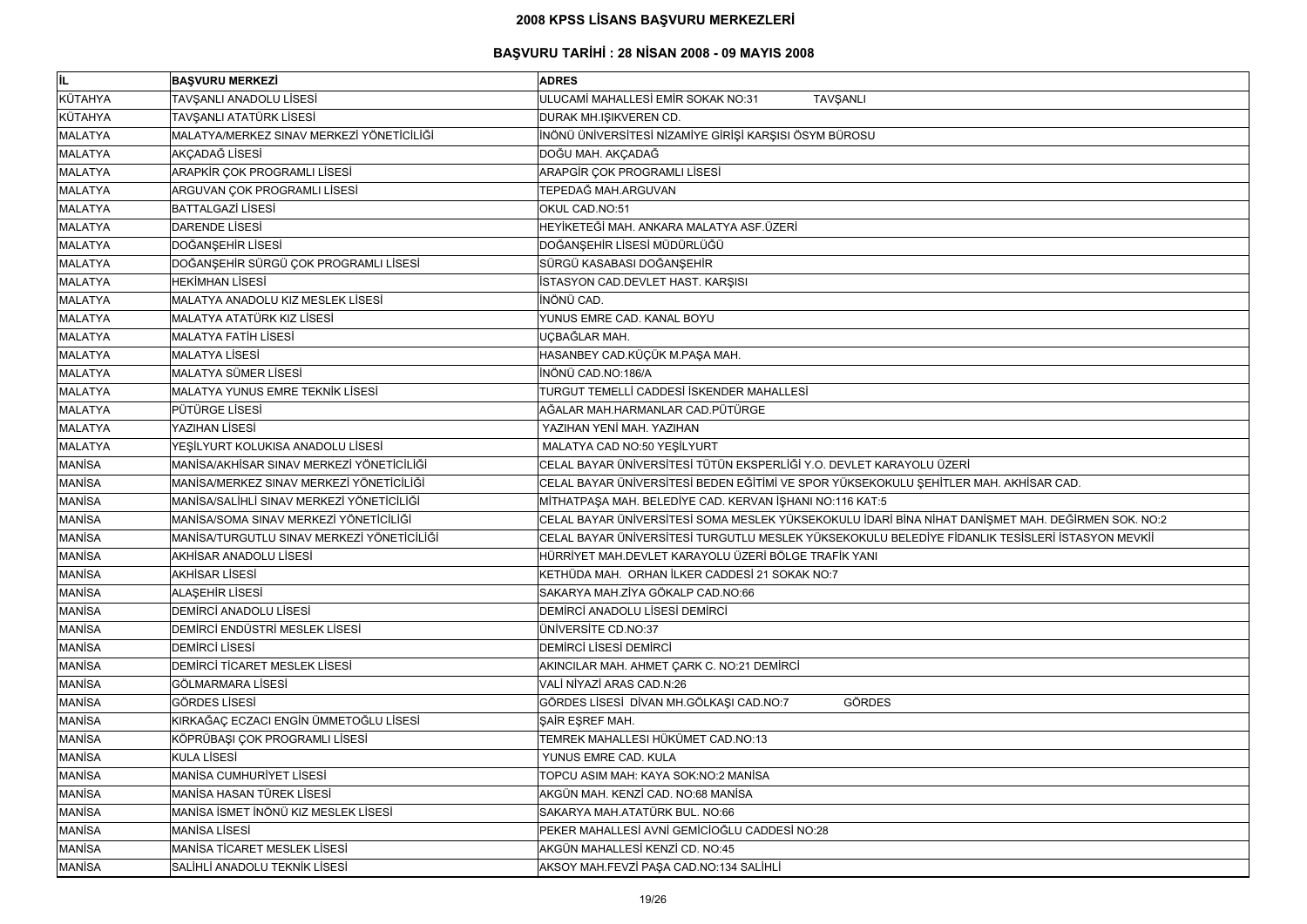#### **BAŞVURU TARİHİ : 28 NİSAN 2008 - 09 MAYIS 2008**

| IL.            | <b>BAŞVURU MERKEZİ</b>                     | <b>ADRES</b>                                                           |
|----------------|--------------------------------------------|------------------------------------------------------------------------|
| KÜTAHYA        | TAVŞANLI ANADOLU LİSESİ                    | ULUCAMİ MAHALLESİ EMİR SOKAK NO:31<br><b>TAVŞANLI</b>                  |
| KÜTAHYA        | TAVŞANLI ATATÜRK LİSESİ                    | DURAK MH.IŞIKVEREN CD.                                                 |
| <b>MALATYA</b> | MALATYA/MERKEZ SINAV MERKEZİ YÖNETİCİLİĞİ  | İNÖNÜ ÜNİVERSİTESİ NİZAMİYE GİRİŞİ KARŞISI ÖSYM BÜROSU                 |
| <b>MALATYA</b> | AKÇADAĞ LİSESİ                             | DOĞU MAH. AKÇADAĞ                                                      |
| <b>MALATYA</b> | ARAPKİR ÇOK PROGRAMLI LİSESİ               | ARAPGİR ÇOK PROGRAMLI LİSESİ                                           |
| <b>MALATYA</b> | ARGUVAN ÇOK PROGRAMLI LİSESİ               | TEPEDAĞ MAH.ARGUVAN                                                    |
| <b>MALATYA</b> | <b>BATTALGAZİ LİSESİ</b>                   | OKUL CAD.NO:51                                                         |
| <b>MALATYA</b> | <b>DARENDE LİSESİ</b>                      | HEYİKETEĞİ MAH. ANKARA MALATYA ASF.ÜZERİ                               |
| <b>MALATYA</b> | DOĞANŞEHİR LİSESİ                          | DOĞANŞEHİR LİSESİ MÜDÜRLÜĞÜ                                            |
| <b>MALATYA</b> | DOĞANŞEHİR SÜRGÜ ÇOK PROGRAMLI LİSESİ      | SÜRGÜ KASABASI DOĞANŞEHİR                                              |
| <b>MALATYA</b> | <b>HEKİMHAN LİSESİ</b>                     | İSTASYON CAD.DEVLET HAST. KARŞISI                                      |
| <b>MALATYA</b> | MALATYA ANADOLU KIZ MESLEK LİSESİ          | İNÖNÜ CAD.                                                             |
| <b>MALATYA</b> | MALATYA ATATÜRK KIZ LİSESİ                 | YUNUS EMRE CAD. KANAL BOYU                                             |
| <b>MALATYA</b> | <b>MALATYA FATIH LISESI</b>                | UÇBAĞLAR MAH.                                                          |
| <b>MALATYA</b> | <b>MALATYA LİSESİ</b>                      | HASANBEY CAD.KÜÇÜK M.PAŞA MAH.                                         |
| <b>MALATYA</b> | <b>MALATYA SÜMER LİSESİ</b>                | İNÖNÜ CAD.NO:186/A                                                     |
| <b>MALATYA</b> | MALATYA YUNUS EMRE TEKNİK LİSESİ           | TURGUT TEMELLİ CADDESİ İSKENDER MAHALLESİ                              |
| <b>MALATYA</b> | <b>PÜTÜRGE LİSESİ</b>                      | AĞALAR MAH.HARMANLAR CAD.PÜTÜRGE                                       |
| <b>MALATYA</b> | YAZIHAN LİSESİ                             | YAZIHAN YENİ MAH. YAZIHAN                                              |
| <b>MALATYA</b> | YEŞİLYURT KOLUKISA ANADOLU LİSESİ          | MALATYA CAD NO:50 YEŞİLYURT                                            |
| <b>MANISA</b>  | MANİSA/AKHİSAR SINAV MERKEZİ YÖNETİCİLİĞİ  | CELAL BAYAR ÜNİVERSİTESİ TÜTÜN EKSPERLİĞİ Y.O. DEVLET KARAYOLU ÜZERİ   |
| <b>MANISA</b>  | MANİSA/MERKEZ SINAV MERKEZİ YÖNETİCİLİĞİ   | CELAL BAYAR ÜNİVERSİTESİ BEDEN EĞİTİMİ VE SPOR YÜKSEKOKULU ŞEHİTLER MA |
| <b>MANISA</b>  | MANİSA/SALİHLİ SINAV MERKEZİ YÖNETİCİLİĞİ  | MİTHATPAŞA MAH. BELEDİYE CAD. KERVAN İŞHANI NO:116 KAT:5               |
| <b>MANISA</b>  | MANİSA/SOMA SINAV MERKEZİ YÖNETİCİLİĞİ     | CELAL BAYAR ÜNİVERSİTESİ SOMA MESLEK YÜKSEKOKULU İDARİ BİNA NİHAT DANİ |
| <b>MANISA</b>  | MANİSA/TURGUTLU SINAV MERKEZİ YÖNETİCİLİĞİ | CELAL BAYAR ÜNIVERSITESI TURGUTLU MESLEK YÜKSEKOKULU BELEDIYE FIDANL   |
| <b>MANISA</b>  | AKHISAR ANADOLU LISESI                     | HÜRRİYET MAH.DEVLET KARAYOLU ÜZERİ BÖLGE TRAFİK YANI                   |
| <b>MANISA</b>  | <b>AKHİSAR LİSESİ</b>                      | KETHÜDA MAH. ORHAN İLKER CADDESİ 21 SOKAK NO:7                         |
| <b>MANISA</b>  | <b>ALAŞEHİR LİSESİ</b>                     | SAKARYA MAH.ZİYA GÖKALP CAD.NO:66                                      |
| <b>MANISA</b>  | DEMIRCI ANADOLU LISESI                     | DEMIRCI ANADOLU LISESI DEMIRCI                                         |
| <b>MANISA</b>  | DEMİRCİ ENDÜSTRİ MESLEK LİSESİ             | <b>ÜNİVERSİTE CD.NO:37</b>                                             |
| <b>MANISA</b>  | <b>DEMIRCI LISESI</b>                      | DEMIRCI LISESI DEMIRCI                                                 |
| <b>MANISA</b>  | DEMIRCI TICARET MESLEK LISESI              | AKINCILAR MAH. AHMET ÇARK C. NO:21 DEMİRCİ                             |
| <b>MANISA</b>  | GÖLMARMARA LİSESİ                          | VALI NIYAZI ARAS CAD.N:26                                              |
| <b>MANISA</b>  | <b>GÖRDES LİSESİ</b>                       | GÖRDES LİSESİ DİVAN MH.GÖLKAŞI CAD.NO:7<br><b>GÖRDES</b>               |
| <b>MANISA</b>  | KIRKAĞAÇ ECZACI ENGİN ÜMMETOĞLU LİSESİ     | ŞAİR EŞREF MAH.                                                        |
| <b>MANISA</b>  | KÖPRÜBAŞI ÇOK PROGRAMLI LİSESİ             | TEMREK MAHALLESI HÜKÜMET CAD.NO:13                                     |
| <b>MANISA</b>  | <b>KULA LİSESİ</b>                         | YUNUS EMRE CAD. KULA                                                   |
| <b>MANISA</b>  | <b>MANISA CUMHURIYET LISESI</b>            | TOPCU ASIM MAH: KAYA SOK:NO:2 MANİSA                                   |
| <b>MANISA</b>  | MANISA HASAN TÜREK LISESI                  | AKGÜN MAH. KENZİ CAD. NO:68 MANİSA                                     |
| <b>MANİSA</b>  | MANISA İSMET İNÖNÜ KIZ MESLEK LİSESİ       | SAKARYA MAH.ATATÜRK BUL. NO:66                                         |
| <b>MANISA</b>  | <b>MANISA LISESI</b>                       | PEKER MAHALLESİ AVNİ GEMİCİOĞLU CADDESİ NO:28                          |
| <b>MANISA</b>  | MANISA TICARET MESLEK LISESI               | AKGÜN MAHALLESİ KENZİ CD. NO:45                                        |
| <b>MANISA</b>  | SALİHLİ ANADOLU TEKNİK LİSESİ              | AKSOY MAH.FEVZİ PAŞA CAD.NO:134 SALİHLİ                                |

| AH. AKHİSAR CAD. |  |
|------------------|--|

#### İŞMET MAH. DEĞİRMEN SOK. NO:2 **IK TESİSLERİ İSTASYON MEVKİİ**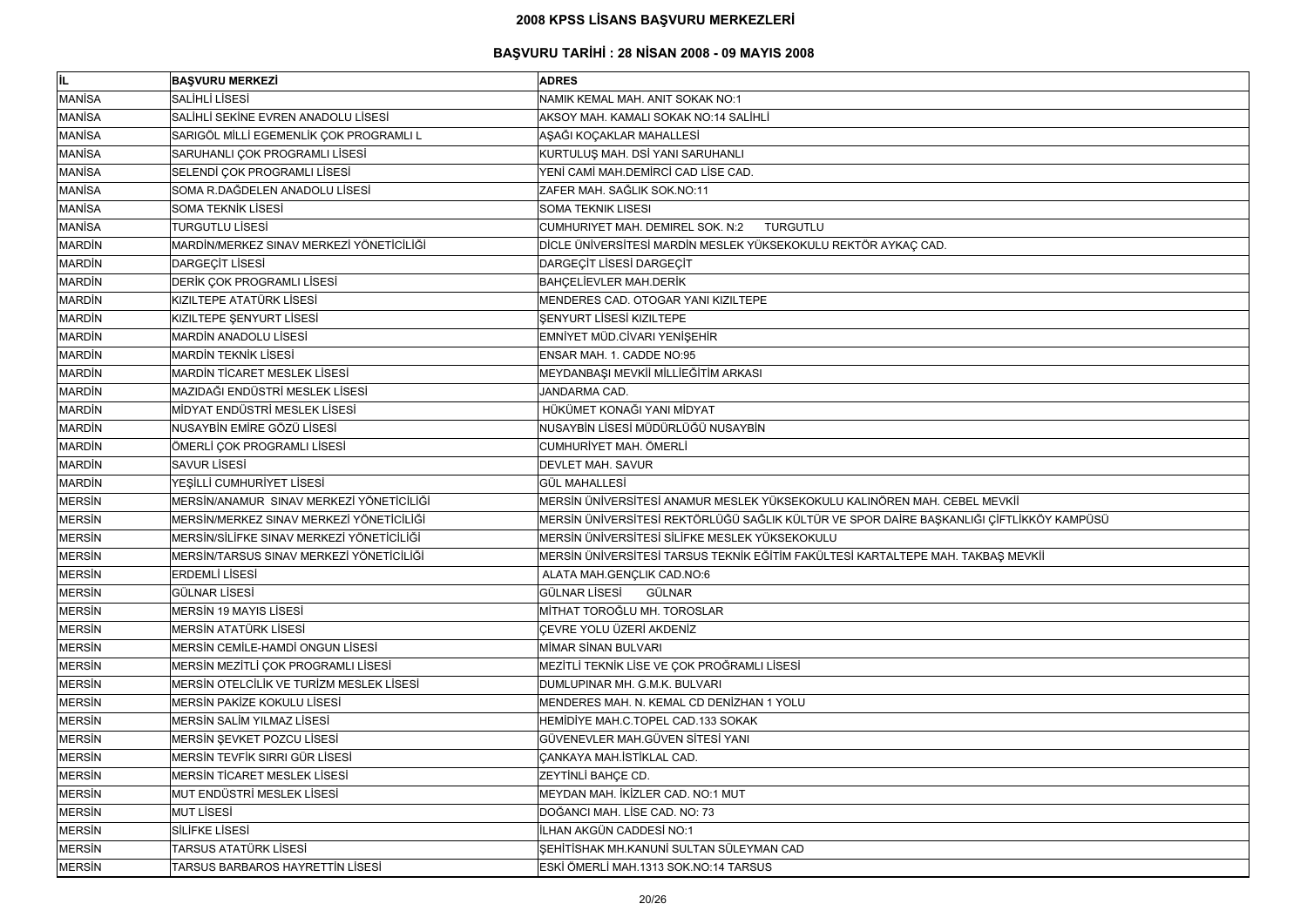| lil.          | <b>BASVURU MERKEZİ</b>                    | <b>ADRES</b>                                                                             |
|---------------|-------------------------------------------|------------------------------------------------------------------------------------------|
| <b>MANISA</b> | <b>SALİHLİ LİSESİ</b>                     | NAMIK KEMAL MAH. ANIT SOKAK NO:1                                                         |
| <b>MANISA</b> | SALİHLİ SEKİNE EVREN ANADOLU LİSESİ       | AKSOY MAH. KAMALI SOKAK NO:14 SALİHLİ                                                    |
| <b>MANİSA</b> | SARIGÖL MİLLİ EGEMENLİK ÇOK PROGRAMLI L   | AŞAĞI KOÇAKLAR MAHALLESİ                                                                 |
| <b>MANISA</b> | SARUHANLI ÇOK PROGRAMLI LİSESİ            | KURTULUŞ MAH. DSİ YANI SARUHANLI                                                         |
| <b>MANISA</b> | SELENDİ ÇOK PROGRAMLI LİSESİ              | YENİ CAMİ MAH.DEMİRCİ CAD LİSE CAD.                                                      |
| <b>MANISA</b> | SOMA R.DAĞDELEN ANADOLU LİSESİ            | ZAFER MAH. SAĞLIK SOK.NO:11                                                              |
| <b>MANISA</b> | SOMA TEKNİK LİSESİ                        | <b>SOMA TEKNIK LISESI</b>                                                                |
| <b>MANISA</b> | <b>TURGUTLU LİSESİ</b>                    | <b>CUMHURIYET MAH. DEMIREL SOK. N:2</b><br><b>TURGUTLU</b>                               |
| <b>MARDIN</b> | MARDİN/MERKEZ SINAV MERKEZİ YÖNETİCİLİĞİ  | DİCLE ÜNİVERSİTESİ MARDİN MESLEK YÜKSEKOKULU REKTÖR AYKAÇ CAD.                           |
| <b>MARDIN</b> | <b>DARGEÇİT LİSESİ</b>                    | DARGEÇİT LİSESİ DARGEÇİT                                                                 |
| <b>MARDIN</b> | DERİK ÇOK PROGRAMLI LİSESİ                | <b>BAHÇELİEVLER MAH.DERİK</b>                                                            |
| <b>MARDIN</b> | KIZILTEPE ATATÜRK LİSESİ                  | MENDERES CAD. OTOGAR YANI KIZILTEPE                                                      |
| <b>MARDIN</b> | KIZILTEPE ŞENYURT LİSESİ                  | <b>SENYURT LISESİ KIZILTEPE</b>                                                          |
| <b>MARDIN</b> | MARDIN ANADOLU LISESI                     | EMNİYET MÜD.CİVARI YENİŞEHİR                                                             |
| <b>MARDIN</b> | <b>MARDIN TEKNIK LISESI</b>               | ENSAR MAH. 1. CADDE NO:95                                                                |
| <b>MARDIN</b> | <b>MARDIN TICARET MESLEK LISESI</b>       | MEYDANBAŞI MEVKİİ MİLLİEĞİTİM ARKASI                                                     |
| <b>MARDIN</b> | MAZIDAĞI ENDÜSTRİ MESLEK LİSESİ           | JANDARMA CAD.                                                                            |
| <b>MARDIN</b> | MİDYAT ENDÜSTRİ MESLEK LİSESİ             | HÜKÜMET KONAĞI YANI MİDYAT                                                               |
| <b>MARDIN</b> | NUSAYBİN EMİRE GÖZÜ LİSESİ                | NUSAYBİN LİSESİ MÜDÜRLÜĞÜ NUSAYBİN                                                       |
| <b>MARDIN</b> | ÖMERLİ ÇOK PROGRAMLI LİSESİ               | CUMHURİYET MAH. ÖMERLİ                                                                   |
| <b>MARDIN</b> | <b>SAVUR LISESI</b>                       | <b>DEVLET MAH. SAVUR</b>                                                                 |
| <b>MARDIN</b> | YEŞİLLİ CUMHURİYET LİSESİ                 | <b>GÜL MAHALLESİ</b>                                                                     |
| <b>MERSIN</b> | MERSİN/ANAMUR SINAV MERKEZİ YÖNETİCİLİĞİ  | MERSİN ÜNİVERSİTESİ ANAMUR MESLEK YÜKSEKOKULU KALINÖREN MAH. CEBEL MEVKİİ                |
| <b>MERSIN</b> | MERSİN/MERKEZ SINAV MERKEZİ YÖNETİCİLİĞİ  | MERSİN ÜNİVERSİTESİ REKTÖRLÜĞÜ SAĞLIK KÜLTÜR VE SPOR DAİRE BAŞKANLIĞI ÇİFTLİKKÖY KAMPÜSÜ |
| <b>MERSIN</b> | MERSİN/SİLİFKE SINAV MERKEZİ YÖNETİCİLİĞİ | MERSIN ÜNIVERSITESI SILIFKE MESLEK YÜKSEKOKULU                                           |
| <b>MERSIN</b> | MERSİN/TARSUS SINAV MERKEZİ YÖNETİCİLİĞİ  | MERSİN ÜNİVERSİTESİ TARSUS TEKNİK EĞİTİM FAKÜLTESİ KARTALTEPE MAH. TAKBAŞ MEVKİİ         |
| <b>MERSIN</b> | <b>ERDEMLİ LİSESİ</b>                     | ALATA MAH.GENÇLIK CAD.NO:6                                                               |
| <b>MERSIN</b> | <b>GÜLNAR LİSESİ</b>                      | <b>GÜLNAR LİSESİ</b><br><b>GÜLNAR</b>                                                    |
| <b>MERSIN</b> | <b>MERSIN 19 MAYIS LISESI</b>             | MİTHAT TOROĞLU MH. TOROSLAR                                                              |
| <b>MERSIN</b> | MERSİN ATATÜRK LİSESİ                     | ÇEVRE YOLU ÜZERİ AKDENİZ                                                                 |
| <b>MERSIN</b> | MERSIN CEMILE-HAMDI ONGUN LISESI          | MİMAR SİNAN BULVARI                                                                      |
| <b>MERSIN</b> | MERSIN MEZITLI ÇOK PROGRAMLI LISESİ       | MEZİTLİ TEKNİK LİSE VE ÇOK PROĞRAMLI LİSESİ                                              |
| <b>MERSIN</b> | MERSIN OTELCILIK VE TURIZM MESLEK LISESI  | DUMLUPINAR MH. G.M.K. BULVARI                                                            |
| <b>MERSIN</b> | MERSIN PAKIZE KOKULU LISESI               | MENDERES MAH. N. KEMAL CD DENİZHAN 1 YOLU                                                |
| <b>MERSIN</b> | MERSIN SALIM YILMAZ LISESİ                | HEMIDIYE MAH.C.TOPEL CAD.133 SOKAK                                                       |
| <b>MERSIN</b> | MERSIN ŞEVKET POZCU LISESİ                | GÜVENEVLER MAH.GÜVEN SİTESİ YANI                                                         |
| <b>MERSIN</b> | MERSİN TEVFİK SIRRI GÜR LİSESİ            | <b>ÇANKAYA MAH.İSTİKLAL CAD.</b>                                                         |
| <b>MERSIN</b> | <b>MERSIN TICARET MESLEK LISESI</b>       | ZEYTİNLİ BAHÇE CD.                                                                       |
| <b>MERSIN</b> | MUT ENDÜSTRİ MESLEK LİSESİ                | MEYDAN MAH. İKİZLER CAD. NO:1 MUT                                                        |
| <b>MERSIN</b> | <b>MUT LISESI</b>                         | DOĞANCI MAH. LİSE CAD. NO: 73                                                            |
| <b>MERSIN</b> | <b>SİLİFKE LİSESİ</b>                     | İLHAN AKGÜN CADDESİ NO:1                                                                 |
| <b>MERSIN</b> | TARSUS ATATÜRK LİSESİ                     | ŞEHİTİSHAK MH.KANUNİ SULTAN SÜLEYMAN CAD                                                 |
| <b>MERSIN</b> | TARSUS BARBAROS HAYRETTİN LİSESİ          | ESKİ ÖMERLİ MAH.1313 SOK.NO:14 TARSUS                                                    |

| IEVKİİ<br>ÇİFTLİKKÖY KAMPÜSÜ |  |
|------------------------------|--|
|                              |  |
|                              |  |
|                              |  |
| <b>BAŞ MEVKİİ</b>            |  |
|                              |  |
|                              |  |
|                              |  |
|                              |  |
|                              |  |
|                              |  |
|                              |  |
|                              |  |
|                              |  |
|                              |  |
|                              |  |
|                              |  |
|                              |  |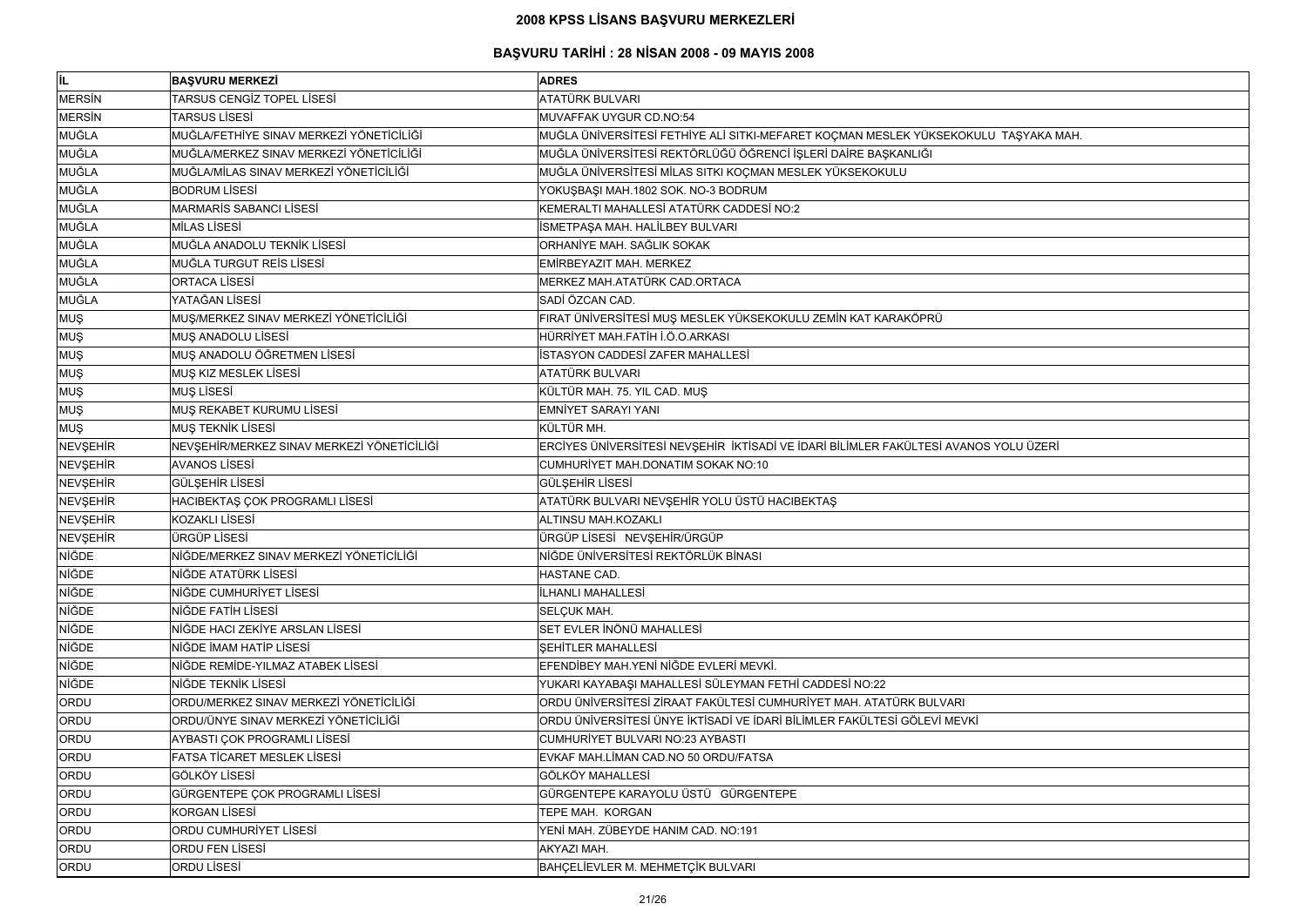| İL              | <b>BAŞVURU MERKEZİ</b>                     | <b>ADRES</b>                                                                         |
|-----------------|--------------------------------------------|--------------------------------------------------------------------------------------|
| <b>MERSIN</b>   | TARSUS CENGİZ TOPEL LİSESİ                 | ATATÜRK BULVARI                                                                      |
| <b>MERSIN</b>   | <b>TARSUS LISESI</b>                       | MUVAFFAK UYGUR CD.NO:54                                                              |
| MUĞLA           | MUĞLA/FETHİYE SINAV MERKEZİ YÖNETİCİLİĞİ   | MUĞLA ÜNİVERSİTESİ FETHİYE ALİ SITKI-MEFARET KOÇMAN MESLEK YÜKSEKOKULU TAŞYAKA MAH.  |
| <b>MUĞLA</b>    | MUĞLA/MERKEZ SINAV MERKEZİ YÖNETİCİLİĞİ    | MUĞLA ÜNİVERSİTESİ REKTÖRLÜĞÜ ÖĞRENCİ İŞLERİ DAİRE BAŞKANLIĞI                        |
| <b>MUĞLA</b>    | MUĞLA/MİLAS SINAV MERKEZİ YÖNETİCİLİĞİ     | MUĞLA ÜNİVERSİTESİ MİLAS SITKI KOÇMAN MESLEK YÜKSEKOKULU                             |
| <b>MUĞLA</b>    | <b>BODRUM LİSESİ</b>                       | YOKUŞBAŞI MAH.1802 SOK. NO-3 BODRUM                                                  |
| <b>MUĞLA</b>    | <b>MARMARÍS SABANCI LÍSESÍ</b>             | KEMERALTI MAHALLESİ ATATÜRK CADDESİ NO:2                                             |
| MUĞLA           | MİLAS LİSESİ                               | İSMETPAŞA MAH. HALİLBEY BULVARI                                                      |
| <b>MUĞLA</b>    | MUĞLA ANADOLU TEKNİK LİSESİ                | ORHANİYE MAH. SAĞLIK SOKAK                                                           |
| MUĞLA           | MUĞLA TURGUT REİS LİSESİ                   | EMİRBEYAZIT MAH. MERKEZ                                                              |
| <b>MUĞLA</b>    | <b>ORTACA LISESI</b>                       | MERKEZ MAH.ATATÜRK CAD.ORTACA                                                        |
| <b>MUĞLA</b>    | YATAĞAN LİSESİ                             | SADİ ÖZCAN CAD.                                                                      |
| <b>MUŞ</b>      | MUŞ/MERKEZ SINAV MERKEZİ YÖNETİCİLİĞİ      | FIRAT ÜNİVERSİTESİ MUŞ MESLEK YÜKSEKOKULU ZEMİN KAT KARAKÖPRÜ                        |
| <b>MUŞ</b>      | MUŞ ANADOLU LİSESİ                         | HÜRRİYET MAH.FATİH İ.Ö.O.ARKASI                                                      |
| <b>MUŞ</b>      | MUŞ ANADOLU ÖĞRETMEN LİSESİ                | İSTASYON CADDESİ ZAFER MAHALLESİ                                                     |
| <b>MUŞ</b>      | MUŞ KIZ MESLEK LİSESİ                      | ATATÜRK BULVARI                                                                      |
| <b>MUŞ</b>      | <b>MUŞ LİSESİ</b>                          | KÜLTÜR MAH. 75. YIL CAD. MUŞ                                                         |
| <b>MUŞ</b>      | MUŞ REKABET KURUMU LİSESİ                  | <b>EMNİYET SARAYI YANI</b>                                                           |
| <b>MUŞ</b>      | MUŞ TEKNİK LİSESİ                          | KÜLTÜR MH.                                                                           |
| <b>NEVŞEHİR</b> | NEVŞEHİR/MERKEZ SINAV MERKEZİ YÖNETİCİLİĞİ | ERCİYES ÜNİVERSİTESİ NEVŞEHİR İKTİSADİ VE İDARİ BİLİMLER FAKÜLTESİ AVANOS YOLU ÜZERİ |
| <b>NEVŞEHİR</b> | <b>AVANOS LİSESİ</b>                       | CUMHURİYET MAH.DONATIM SOKAK NO:10                                                   |
| NEVŞEHİR        | <b>GÜLŞEHİR LİSESİ</b>                     | GÜLŞEHİR LİSESİ                                                                      |
| <b>NEVŞEHİR</b> | HACIBEKTAŞ ÇOK PROGRAMLI LİSESİ            | ATATÜRK BULVARI NEVŞEHİR YOLU ÜSTÜ HACIBEKTAŞ                                        |
| NEVŞEHİR        | <b>KOZAKLI LİSESİ</b>                      | ALTINSU MAH.KOZAKLI                                                                  |
| NEVŞEHİR        | ÜRGÜP LİSESİ                               | ÜRGÜP LİSESİ NEVŞEHİR/ÜRGÜP                                                          |
| <b>NİĞDE</b>    | NİĞDE/MERKEZ SINAV MERKEZİ YÖNETİCİLİĞİ    | NİĞDE ÜNİVERSİTESİ REKTÖRLÜK BİNASI                                                  |
| <b>NİĞDE</b>    | NİĞDE ATATÜRK LİSESİ                       | HASTANE CAD.                                                                         |
| NİĞDE           | NİĞDE CUMHURİYET LİSESİ                    | İLHANLI MAHALLESİ                                                                    |
| <b>NİĞDE</b>    | NİĞDE FATİH LİSESİ                         | SELÇUK MAH.                                                                          |
| <b>NİĞDE</b>    | NİĞDE HACI ZEKİYE ARSLAN LİSESİ            | SET EVLER İNÖNÜ MAHALLESİ                                                            |
| NİĞDE           | NİĞDE İMAM HATİP LİSESİ                    | <b>SEHİTLER MAHALLESİ</b>                                                            |
| <b>NİĞDE</b>    | NİĞDE REMİDE-YILMAZ ATABEK LİSESİ          | EFENDİBEY MAH.YENİ NİĞDE EVLERİ MEVKİ.                                               |
| NİĞDE           | NİĞDE TEKNİK LİSESİ                        | YUKARI KAYABAŞI MAHALLESİ SÜLEYMAN FETHİ CADDESİ NO:22                               |
| ORDU            | ORDU/MERKEZ SINAV MERKEZİ YÖNETİCİLİĞİ     | ORDU ÜNİVERSİTESİ ZİRAAT FAKÜLTESİ CUMHURİYET MAH. ATATÜRK BULVARI                   |
| ORDU            | ORDU/ÜNYE SINAV MERKEZİ YÖNETİCİLİĞİ       | ORDU ÜNİVERSİTESİ ÜNYE İKTİSADİ VE İDARİ BİLİMLER FAKÜLTESİ GÖLEVİ MEVKİ             |
| ORDU            | AYBASTI ÇOK PROGRAMLI LİSESİ               | CUMHURİYET BULVARI NO:23 AYBASTI                                                     |
| ORDU            | FATSA TİCARET MESLEK LİSESİ                | EVKAF MAH.LİMAN CAD.NO 50 ORDU/FATSA                                                 |
| ORDU            | <b>GÖLKÖY LİSESİ</b>                       | <b>GÖLKÖY MAHALLESİ</b>                                                              |
| ORDU            | GÜRGENTEPE ÇOK PROGRAMLI LİSESİ            | GÜRGENTEPE KARAYOLU ÜSTÜ GÜRGENTEPE                                                  |
| ORDU            | <b>KORGAN LİSESİ</b>                       | TEPE MAH. KORGAN                                                                     |
| ORDU            | ORDU CUMHURİYET LİSESİ                     | YENİ MAH. ZÜBEYDE HANIM CAD. NO:191                                                  |
| ORDU            | ORDU FEN LİSESİ                            | AKYAZI MAH.                                                                          |
| ORDU            | ORDU LİSESİ                                | BAHÇELİEVLER M. MEHMETÇİK BULVARI                                                    |

| U TAŞYAKA MAH. |
|----------------|
|                |
|                |
|                |
|                |
|                |
|                |
|                |
|                |
|                |
|                |
|                |
|                |
|                |
|                |
|                |
|                |
|                |
|                |
| S YOLU ÜZERİ   |
|                |
|                |
|                |
|                |
|                |
|                |
|                |
|                |
|                |
|                |
|                |
|                |
|                |
|                |
|                |
|                |
|                |
|                |
|                |
|                |
|                |
|                |
|                |
|                |
|                |
|                |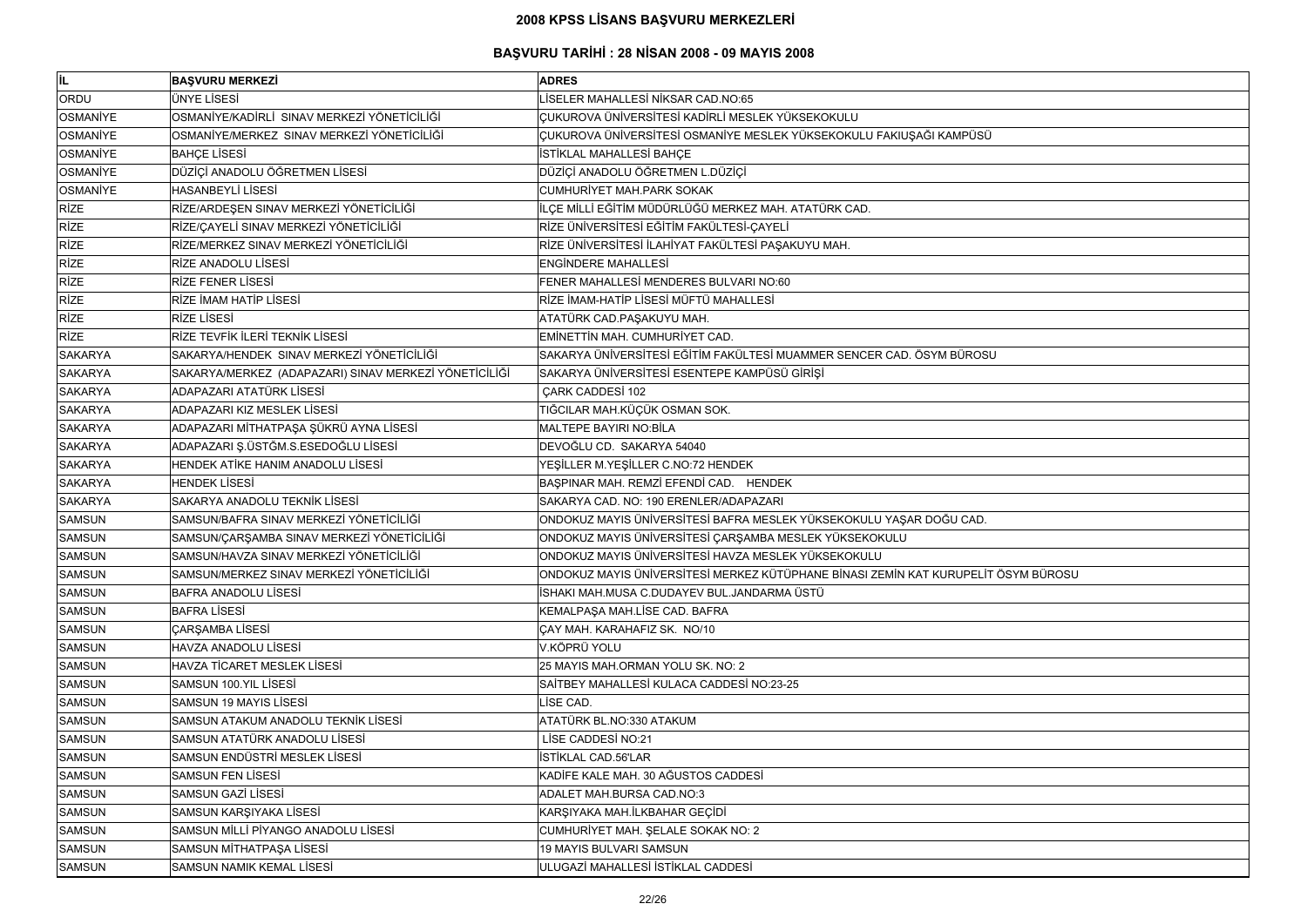| İL              | <b>BAŞVURU MERKEZİ</b>                                | <b>ADRES</b>                                                                       |
|-----------------|-------------------------------------------------------|------------------------------------------------------------------------------------|
| ORDU            | ÜNYE LİSESİ                                           | LİSELER MAHALLESİ NİKSAR CAD.NO:65                                                 |
| OSMANIYE        | OSMANİYE/KADİRLİ SINAV MERKEZİ YÖNETİCİLİĞİ           | ÇUKUROVA ÜNİVERSİTESİ KADİRLİ MESLEK YÜKSEKOKULU                                   |
| <b>OSMANIYE</b> | OSMANİYE/MERKEZ SINAV MERKEZİ YÖNETİCİLİĞİ            | ÇUKUROVA ÜNİVERSİTESİ OSMANİYE MESLEK YÜKSEKOKULU FAKIUŞAĞI KAMPÜSÜ                |
| OSMANIYE        | <b>BAHÇE LİSESİ</b>                                   | İSTİKLAL MAHALLESİ BAHÇE                                                           |
| <b>OSMANIYE</b> | DÜZİÇİ ANADOLU ÖĞRETMEN LİSESİ                        | DÜZİÇİ ANADOLU ÖĞRETMEN L.DÜZİÇİ                                                   |
| <b>OSMANIYE</b> | <b>HASANBEYLİ LİSESİ</b>                              | <b>CUMHURİYET MAH.PARK SOKAK</b>                                                   |
| <b>RİZE</b>     | RİZE/ARDEŞEN SINAV MERKEZİ YÖNETİCİLİĞİ               | İLÇE MİLLİ EĞİTİM MÜDÜRLÜĞÜ MERKEZ MAH. ATATÜRK CAD.                               |
| <b>RİZE</b>     | RİZE/ÇAYELİ SINAV MERKEZİ YÖNETİCİLİĞİ                | RİZE ÜNİVERSİTESİ EĞİTİM FAKÜLTESİ-ÇAYELİ                                          |
| <b>RİZE</b>     | RİZE/MERKEZ SINAV MERKEZİ YÖNETİCİLİĞİ                | RİZE ÜNİVERSİTESİ İLAHİYAT FAKÜLTESİ PAŞAKUYU MAH.                                 |
| <b>RİZE</b>     | RİZE ANADOLU LİSESİ                                   | <b>ENGINDERE MAHALLESI</b>                                                         |
| <b>RİZE</b>     | <b>RİZE FENER LİSESİ</b>                              | FENER MAHALLESİ MENDERES BULVARI NO:60                                             |
| <b>RİZE</b>     | RİZE İMAM HATİP LİSESİ                                | RİZE İMAM-HATİP LİSESİ MÜFTÜ MAHALLESİ                                             |
| <b>RİZE</b>     | <b>RİZE LİSESİ</b>                                    | ATATÜRK CAD.PAŞAKUYU MAH.                                                          |
| <b>RİZE</b>     | RİZE TEVFİK İLERİ TEKNİK LİSESİ                       | EMINETTIN MAH. CUMHURIYET CAD.                                                     |
| <b>SAKARYA</b>  | SAKARYA/HENDEK SINAV MERKEZİ YÖNETİCİLİĞİ             | SAKARYA ÜNIVERSITESI EĞITIM FAKÜLTESI MUAMMER SENCER CAD. ÖSYM BÜROSU              |
| <b>SAKARYA</b>  | SAKARYA/MERKEZ (ADAPAZARI) SINAV MERKEZİ YÖNETİCİLİĞİ | SAKARYA ÜNİVERSİTESİ ESENTEPE KAMPÜSÜ GİRİŞİ                                       |
| <b>SAKARYA</b>  | ADAPAZARI ATATÜRK LİSESİ                              | ÇARK CADDESİ 102                                                                   |
| <b>SAKARYA</b>  | ADAPAZARI KIZ MESLEK LİSESİ                           | TIĞCILAR MAH.KÜÇÜK OSMAN SOK.                                                      |
| <b>SAKARYA</b>  | ADAPAZARI MİTHATPAŞA ŞÜKRÜ AYNA LİSESİ                | MALTEPE BAYIRI NO:BİLA                                                             |
| <b>SAKARYA</b>  | ADAPAZARI Ş.ÜSTĞM.S.ESEDOĞLU LİSESİ                   | DEVOĞLU CD. SAKARYA 54040                                                          |
| <b>SAKARYA</b>  | HENDEK ATİKE HANIM ANADOLU LİSESİ                     | YEŞİLLER M.YEŞİLLER C.NO:72 HENDEK                                                 |
| <b>SAKARYA</b>  | <b>HENDEK LİSESİ</b>                                  | BAŞPINAR MAH. REMZİ EFENDİ CAD. HENDEK                                             |
| <b>SAKARYA</b>  | SAKARYA ANADOLU TEKNİK LİSESİ                         | SAKARYA CAD. NO: 190 ERENLER/ADAPAZARI                                             |
| <b>SAMSUN</b>   | SAMSUN/BAFRA SINAV MERKEZİ YÖNETİCİLİĞİ               | ONDOKUZ MAYIS ÜNİVERSİTESİ BAFRA MESLEK YÜKSEKOKULU YAŞAR DOĞU CAD.                |
| <b>SAMSUN</b>   | SAMSUN/ÇARŞAMBA SINAV MERKEZİ YÖNETİCİLİĞİ            | ONDOKUZ MAYIS ÜNİVERSİTESİ ÇARŞAMBA MESLEK YÜKSEKOKULU                             |
| <b>SAMSUN</b>   | SAMSUN/HAVZA SINAV MERKEZİ YÖNETİCİLİĞİ               | ONDOKUZ MAYIS ÜNİVERSİTESİ HAVZA MESLEK YÜKSEKOKULU                                |
| <b>SAMSUN</b>   | SAMSUN/MERKEZ SINAV MERKEZİ YÖNETİCİLİĞİ              | ONDOKUZ MAYIS ÜNİVERSİTESİ MERKEZ KÜTÜPHANE BİNASI ZEMİN KAT KURUPELİT ÖSYM BÜROSU |
| <b>SAMSUN</b>   | <b>BAFRA ANADOLU LISESI</b>                           | İSHAKI MAH.MUSA C.DUDAYEV BUL.JANDARMA ÜSTÜ                                        |
| <b>SAMSUN</b>   | <b>BAFRA LISESI</b>                                   | KEMALPAŞA MAH.LİSE CAD. BAFRA                                                      |
| <b>SAMSUN</b>   | <b>ÇARŞAMBA LİSESİ</b>                                | ÇAY MAH. KARAHAFIZ SK. NO/10                                                       |
| <b>SAMSUN</b>   | HAVZA ANADOLU LİSESİ                                  | V.KÖPRÜ YOLU                                                                       |
| <b>SAMSUN</b>   | HAVZA TİCARET MESLEK LİSESİ                           | 25 MAYIS MAH.ORMAN YOLU SK. NO: 2                                                  |
| <b>SAMSUN</b>   | SAMSUN 100.YIL LİSESİ                                 | SAİTBEY MAHALLESİ KULACA CADDESİ NO:23-25                                          |
| <b>SAMSUN</b>   | SAMSUN 19 MAYIS LİSESİ                                | LISE CAD.                                                                          |
| <b>SAMSUN</b>   | SAMSUN ATAKUM ANADOLU TEKNIK LISESI                   | ATATÜRK BL.NO:330 ATAKUM                                                           |
| <b>SAMSUN</b>   | SAMSUN ATATÜRK ANADOLU LİSESİ                         | LİSE CADDESİ NO:21                                                                 |
| <b>SAMSUN</b>   | SAMSUN ENDÜSTRİ MESLEK LİSESİ                         | İSTİKLAL CAD.56'LAR                                                                |
| <b>SAMSUN</b>   | <b>SAMSUN FEN LİSESİ</b>                              | KADİFE KALE MAH. 30 AĞUSTOS CADDESİ                                                |
| <b>SAMSUN</b>   | SAMSUN GAZİ LİSESİ                                    | ADALET MAH.BURSA CAD.NO:3                                                          |
| <b>SAMSUN</b>   | SAMSUN KARŞIYAKA LİSESİ                               | KARŞIYAKA MAH.İLKBAHAR GEÇİDİ                                                      |
| <b>SAMSUN</b>   | SAMSUN MİLLİ PİYANGO ANADOLU LİSESİ                   | CUMHURİYET MAH. ŞELALE SOKAK NO: 2                                                 |
| <b>SAMSUN</b>   | SAMSUN MİTHATPAŞA LİSESİ                              | 19 MAYIS BULVARI SAMSUN                                                            |
| <b>SAMSUN</b>   | SAMSUN NAMIK KEMAL LİSESİ                             | ULUGAZİ MAHALLESİ İSTİKLAL CADDESİ                                                 |

| U             |
|---------------|
|               |
|               |
|               |
|               |
|               |
|               |
|               |
|               |
|               |
|               |
|               |
| T ÖSYM BÜROSU |
|               |
|               |
|               |
|               |
|               |
|               |
|               |
|               |
|               |
|               |
|               |
|               |
|               |
|               |
|               |
|               |
|               |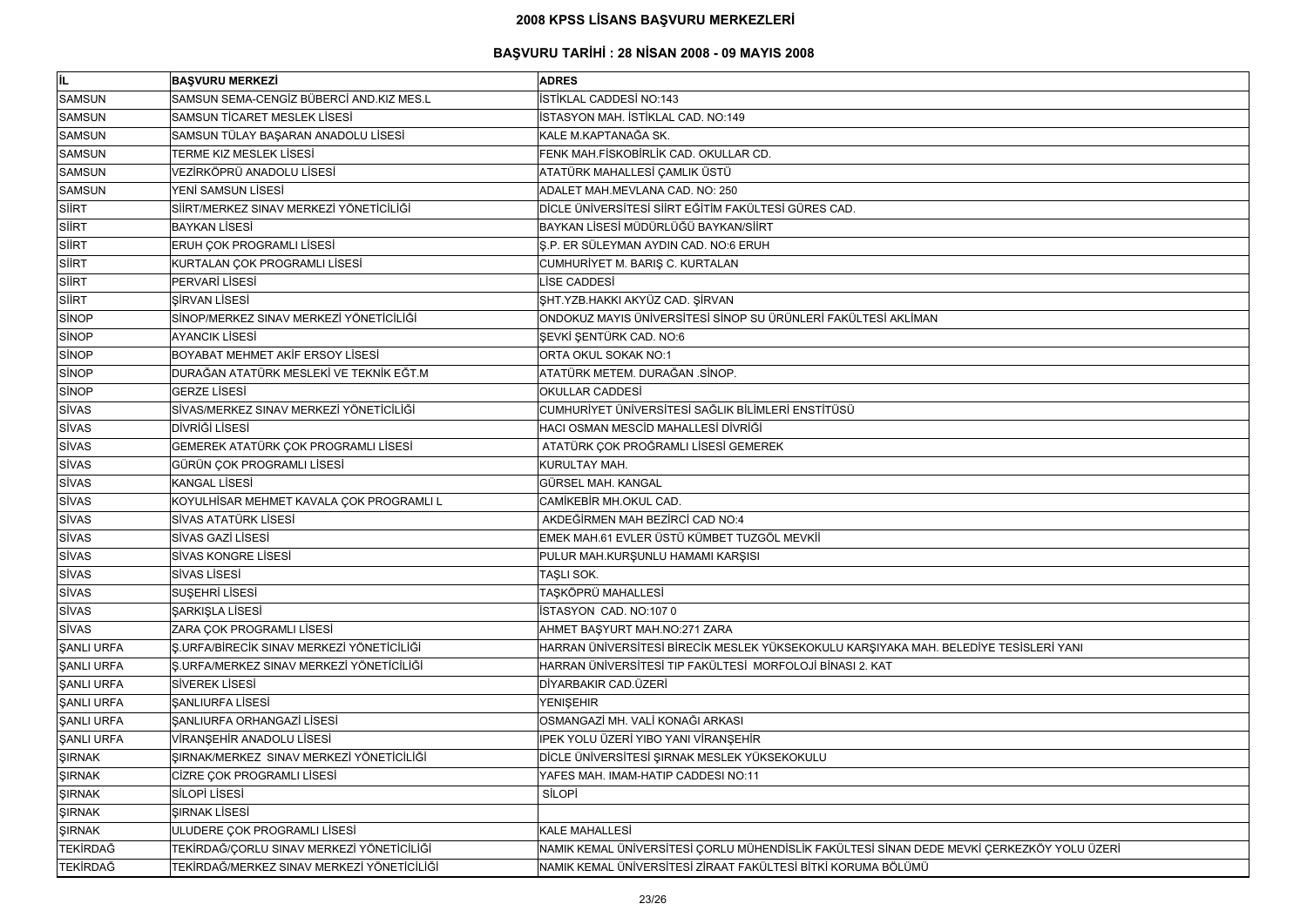| lil.              | <b>BAŞVURU MERKEZİ</b>                     | <b>ADRES</b>                                                                              |
|-------------------|--------------------------------------------|-------------------------------------------------------------------------------------------|
| <b>SAMSUN</b>     | SAMSUN SEMA-CENGİZ BÜBERCİ AND.KIZ MES.L   | İSTİKLAL CADDESİ NO:143                                                                   |
| <b>SAMSUN</b>     | SAMSUN TİCARET MESLEK LİSESİ               | İSTASYON MAH. İSTİKLAL CAD. NO:149                                                        |
| <b>SAMSUN</b>     | SAMSUN TÜLAY BAŞARAN ANADOLU LİSESİ        | KALE M.KAPTANAĞA SK.                                                                      |
| <b>SAMSUN</b>     | TERME KIZ MESLEK LİSESİ                    | FENK MAH.FİSKOBİRLİK CAD. OKULLAR CD.                                                     |
| <b>SAMSUN</b>     | VEZİRKÖPRÜ ANADOLU LİSESİ                  | ATATÜRK MAHALLESİ ÇAMLIK ÜSTÜ                                                             |
| <b>SAMSUN</b>     | YENİ SAMSUN LİSESİ                         | ADALET MAH.MEVLANA CAD. NO: 250                                                           |
| SİİRT             | SİİRT/MERKEZ SINAV MERKEZİ YÖNETİCİLİĞİ    | DİCLE ÜNİVERSİTESİ SİİRT EĞİTİM FAKÜLTESİ GÜRES CAD.                                      |
| SIIRT             | <b>BAYKAN LİSESİ</b>                       | BAYKAN LİSESİ MÜDÜRLÜĞÜ BAYKAN/SİİRT                                                      |
| SIIRT             | ERUH ÇOK PROGRAMLI LİSESİ                  | Ş.P. ER SÜLEYMAN AYDIN CAD. NO:6 ERUH                                                     |
| SIIRT             | KURTALAN ÇOK PROGRAMLI LİSESİ              | CUMHURİYET M. BARIŞ C. KURTALAN                                                           |
| SIIRT             | PERVARİ LİSESİ                             | LİSE CADDESİ                                                                              |
| SIIRT             | <b>ŞİRVAN LİSESİ</b>                       | ŞHT.YZB.HAKKI AKYÜZ CAD. ŞİRVAN                                                           |
| SİNOP             | SİNOP/MERKEZ SINAV MERKEZİ YÖNETİCİLİĞİ    | ONDOKUZ MAYIS ÜNİVERSİTESİ SİNOP SU ÜRÜNLERİ FAKÜLTESİ AKLİMAN                            |
| SİNOP             | <b>AYANCIK LISESI</b>                      | ŞEVKİ ŞENTÜRK CAD. NO:6                                                                   |
| <b>SINOP</b>      | BOYABAT MEHMET AKİF ERSOY LİSESİ           | ORTA OKUL SOKAK NO:1                                                                      |
| <b>SINOP</b>      | DURAĞAN ATATÜRK MESLEKİ VE TEKNİK EĞT.M    | ATATÜRK METEM. DURAĞAN .SİNOP.                                                            |
| SİNOP             | <b>GERZE LISESI</b>                        | <b>OKULLAR CADDESİ</b>                                                                    |
| <b>SİVAS</b>      | SİVAS/MERKEZ SINAV MERKEZİ YÖNETİCİLİĞİ    | CUMHURİYET ÜNİVERSİTESİ SAĞLIK BİLİMLERİ ENSTİTÜSÜ                                        |
| <b>SİVAS</b>      | DİVRİĞİ LİSESİ                             | HACI OSMAN MESCÍD MAHALLESÍ DÍVRÍĞÍ                                                       |
| <b>SİVAS</b>      | GEMEREK ATATÜRK ÇOK PROGRAMLI LİSESİ       | ATATÜRK ÇOK PROĞRAMLI LİSESİ GEMEREK                                                      |
| <b>SİVAS</b>      | GÜRÜN ÇOK PROGRAMLI LİSESİ                 | KURULTAY MAH.                                                                             |
| <b>SİVAS</b>      | <b>KANGAL LİSESİ</b>                       | GÜRSEL MAH. KANGAL                                                                        |
| <b>SİVAS</b>      | KOYULHİSAR MEHMET KAVALA ÇOK PROGRAMLI L   | CAMİKEBİR MH.OKUL CAD.                                                                    |
| <b>SİVAS</b>      | SİVAS ATATÜRK LİSESİ                       | AKDEĞİRMEN MAH BEZİRCİ CAD NO:4                                                           |
| <b>SİVAS</b>      | SİVAS GAZİ LİSESİ                          | EMEK MAH.61 EVLER ÜSTÜ KÜMBET TUZGÖL MEVKİİ                                               |
| <b>SİVAS</b>      | SİVAS KONGRE LİSESİ                        | PULUR MAH.KURŞUNLU HAMAMI KARŞISI                                                         |
| <b>SİVAS</b>      | <b>SİVAS LİSESİ</b>                        | TAŞLI SOK.                                                                                |
| <b>SİVAS</b>      | SUSEHRİ LİSESİ                             | TAŞKÖPRÜ MAHALLESİ                                                                        |
| <b>SİVAS</b>      | ŞARKIŞLA LİSESİ                            | <b>İSTASYON CAD. NO:107 0</b>                                                             |
| <b>SİVAS</b>      | ZARA ÇOK PROGRAMLI LİSESİ                  | AHMET BAŞYURT MAH.NO:271 ZARA                                                             |
| <b>ŞANLI URFA</b> | Ş.URFA/BİRECİK SINAV MERKEZİ YÖNETİCİLİĞİ  | HARRAN ÜNİVERSİTESİ BİRECİK MESLEK YÜKSEKOKULU KARŞIYAKA MAH. BELEDİYE TESİSLERİ YANI     |
| <b>ŞANLI URFA</b> | Ş.URFA/MERKEZ SINAV MERKEZİ YÖNETİCİLİĞİ   | HARRAN ÜNİVERSİTESİ TIP FAKÜLTESİ MORFOLOJİ BİNASI 2. KAT                                 |
| <b>ŞANLI URFA</b> | <b>SİVEREK LİSESİ</b>                      | DİYARBAKIR CAD.ÜZERİ                                                                      |
| <b>ŞANLI URFA</b> | <b>SANLIURFA LISESI</b>                    | <b>YENIŞEHIR</b>                                                                          |
| <b>ŞANLI URFA</b> | ŞANLIURFA ORHANGAZİ LİSESİ                 | OSMANGAZİ MH. VALİ KONAĞI ARKASI                                                          |
| <b>ŞANLI URFA</b> | VİRANŞEHİR ANADOLU LİSESİ                  | IPEK YOLU ÜZERİ YIBO YANI VİRANŞEHİR                                                      |
| <b>ŞIRNAK</b>     | ŞIRNAK/MERKEZ SINAV MERKEZİ YÖNETİCİLİĞİ   | DİCLE ÜNİVERSİTESİ ŞIRNAK MESLEK YÜKSEKOKULU                                              |
| <b>ŞIRNAK</b>     | CİZRE ÇOK PROGRAMLI LİSESİ                 | YAFES MAH. IMAM-HATIP CADDESI NO:11                                                       |
| <b>ŞIRNAK</b>     | SİLOPİ LİSESİ                              | SİLOPİ                                                                                    |
| <b>ŞIRNAK</b>     | <b>ŞIRNAK LİSESİ</b>                       |                                                                                           |
| <b>ŞIRNAK</b>     | ULUDERE ÇOK PROGRAMLI LİSESİ               | <b>KALE MAHALLESİ</b>                                                                     |
| TEKİRDAĞ          | TEKİRDAĞ/ÇORLU SINAV MERKEZİ YÖNETİCİLİĞİ  | NAMIK KEMAL ÜNİVERSİTESİ ÇORLU MÜHENDİSLİK FAKÜLTESİ SİNAN DEDE MEVKİ ÇERKEZKÖY YOLU ÜZER |
| <b>TEKİRDAĞ</b>   | TEKİRDAĞ/MERKEZ SINAV MERKEZİ YÖNETİCİLİĞİ | NAMIK KEMAL ÜNİVERSİTESİ ZİRAAT FAKÜLTESİ BİTKİ KORUMA BÖLÜMÜ                             |

| E TESİSLERİ YANI      |
|-----------------------|
|                       |
|                       |
|                       |
|                       |
|                       |
|                       |
|                       |
|                       |
|                       |
|                       |
|                       |
|                       |
|                       |
|                       |
|                       |
|                       |
|                       |
| CERKEZKÖY YOLU ÜZERİ, |
|                       |
|                       |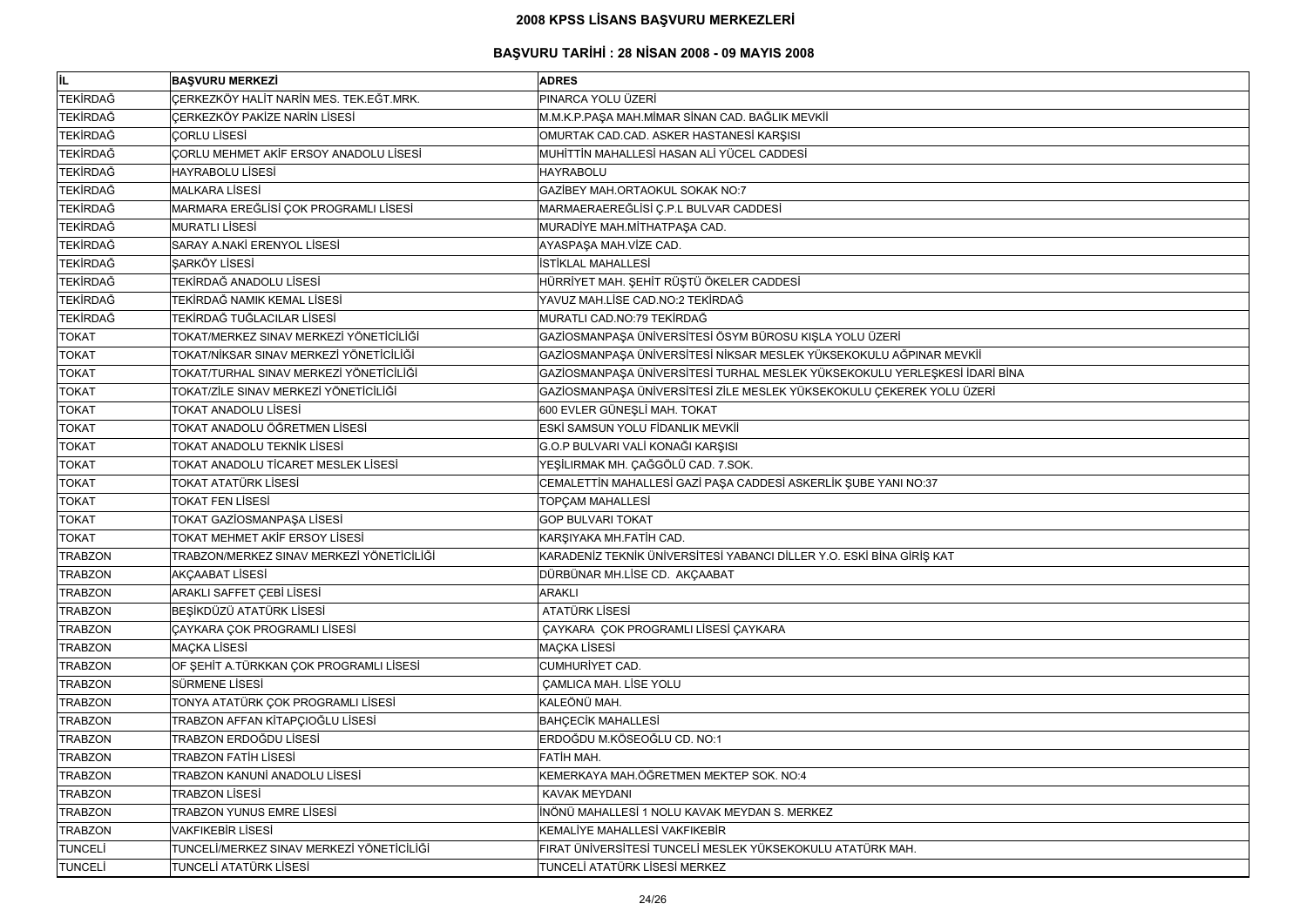| <b>IL</b>      | <b>BASVURU MERKEZİ</b>                    | <b>ADRES</b>                                                               |
|----------------|-------------------------------------------|----------------------------------------------------------------------------|
| TEKİRDAĞ       | CERKEZKÖY HALİT NARİN MES. TEK.EĞT.MRK.   | PINARCA YOLU ÜZERİ                                                         |
| TEKİRDAĞ       | ÇERKEZKÖY PAKİZE NARİN LİSESİ             | M.M.K.P.PAŞA MAH.MİMAR SİNAN CAD. BAĞLIK MEVKİİ                            |
| TEKİRDAĞ       | <b>ÇORLU LISESI</b>                       | OMURTAK CAD.CAD. ASKER HASTANESİ KARŞISI                                   |
| TEKİRDAĞ       | CORLU MEHMET AKİF ERSOY ANADOLU LİSESİ    | MUHİTTİN MAHALLESİ HASAN ALİ YÜCEL CADDESİ                                 |
| TEKİRDAĞ       | <b>HAYRABOLU LİSESİ</b>                   | <b>HAYRABOLU</b>                                                           |
| TEKİRDAĞ       | <b>MALKARA LİSESİ</b>                     | GAZİBEY MAH.ORTAOKUL SOKAK NO:7                                            |
| TEKİRDAĞ       | MARMARA EREĞLİSİ ÇOK PROGRAMLI LİSESİ     | MARMAERAEREĞLİSİ Ç.P.L BULVAR CADDESİ                                      |
| TEKİRDAĞ       | <b>MURATLI LİSESİ</b>                     | MURADİYE MAH.MİTHATPAŞA CAD.                                               |
| TEKİRDAĞ       | SARAY A.NAKİ ERENYOL LİSESİ               | AYASPAŞA MAH.VİZE CAD.                                                     |
| TEKİRDAĞ       | ŞARKÖY LİSESİ                             | <b>İSTİKLAL MAHALLESİ</b>                                                  |
| TEKİRDAĞ       | TEKİRDAĞ ANADOLU LİSESİ                   | HÜRRİYET MAH. ŞEHİT RÜŞTÜ ÖKELER CADDESİ                                   |
| TEKİRDAĞ       | TEKİRDAĞ NAMIK KEMAL LİSESİ               | YAVUZ MAH.LİSE CAD.NO:2 TEKİRDAĞ                                           |
| TEKİRDAĞ       | TEKİRDAĞ TUĞLACILAR LİSESİ                | MURATLI CAD.NO:79 TEKİRDAĞ                                                 |
| <b>TOKAT</b>   | TOKAT/MERKEZ SINAV MERKEZİ YÖNETİCİLİĞİ   | GAZİOSMANPAŞA ÜNİVERSİTESİ ÖSYM BÜROSU KIŞLA YOLU ÜZERİ                    |
| <b>TOKAT</b>   | TOKAT/NİKSAR SINAV MERKEZİ YÖNETİCİLİĞİ   | GAZİOSMANPAŞA ÜNİVERSİTESİ NİKSAR MESLEK YÜKSEKOKULU AĞPINAR MEVKİİ        |
| <b>TOKAT</b>   | TOKAT/TURHAL SINAV MERKEZİ YÖNETİCİLİĞİ   | GAZİOSMANPAŞA ÜNİVERSİTESİ TURHAL MESLEK YÜKSEKOKULU YERLEŞKESİ İDARİ BİNA |
| <b>TOKAT</b>   | TOKAT/ZİLE SINAV MERKEZİ YÖNETİCİLİĞİ     | GAZİOSMANPAŞA ÜNİVERSİTESİ ZİLE MESLEK YÜKSEKOKULU ÇEKEREK YOLU ÜZERİ      |
| <b>TOKAT</b>   | <b>TOKAT ANADOLU LİSESİ</b>               | 600 EVLER GÜNEŞLİ MAH. TOKAT                                               |
| <b>TOKAT</b>   | TOKAT ANADOLU ÖĞRETMEN LİSESİ             | ESKİ SAMSUN YOLU FİDANLIK MEVKİİ                                           |
| <b>TOKAT</b>   | TOKAT ANADOLU TEKNİK LİSESİ               | G.O.P BULVARI VALİ KONAĞI KARŞISI                                          |
| <b>TOKAT</b>   | TOKAT ANADOLU TİCARET MESLEK LİSESİ       | YEŞİLIRMAK MH. ÇAĞGÖLÜ CAD. 7.SOK.                                         |
| <b>TOKAT</b>   | <b>TOKAT ATATÜRK LİSESİ</b>               | CEMALETTİN MAHALLESİ GAZİ PAŞA CADDESİ ASKERLİK ŞUBE YANI NO:37            |
| <b>TOKAT</b>   | <b>TOKAT FEN LİSESİ</b>                   | <b>TOPÇAM MAHALLESİ</b>                                                    |
| <b>TOKAT</b>   | TOKAT GAZİOSMANPAŞA LİSESİ                | <b>GOP BULVARI TOKAT</b>                                                   |
| <b>TOKAT</b>   | <b>TOKAT MEHMET AKİF ERSOY LİSESİ</b>     | KARŞIYAKA MH.FATİH CAD.                                                    |
| <b>TRABZON</b> | TRABZON/MERKEZ SINAV MERKEZİ YÖNETİCİLİĞİ | KARADENİZ TEKNİK ÜNİVERSİTESİ YABANCI DİLLER Y.O. ESKİ BİNA GİRİŞ KAT      |
| <b>TRABZON</b> | <b>AKÇAABAT LİSESİ</b>                    | DÜRBÜNAR MH.LİSE CD. AKÇAABAT                                              |
| <b>TRABZON</b> | ARAKLI SAFFET ÇEBİ LİSESİ                 | <b>ARAKLI</b>                                                              |
| <b>TRABZON</b> | BEŞİKDÜZÜ ATATÜRK LİSESİ                  | ATATÜRK LİSESİ                                                             |
| <b>TRABZON</b> | <b>CAYKARA COK PROGRAMLI LİSESİ</b>       | ÇAYKARA ÇOK PROGRAMLI LİSESİ ÇAYKARA                                       |
| <b>TRABZON</b> | <b>MAÇKA LİSESİ</b>                       | <b>MAÇKA LİSESİ</b>                                                        |
| <b>TRABZON</b> | OF ŞEHİT A.TÜRKKAN ÇOK PROGRAMLI LİSESİ   | <b>CUMHURİYET CAD.</b>                                                     |
| <b>TRABZON</b> | SÜRMENE LİSESİ                            | <b>CAMLICA MAH. LİSE YOLU</b>                                              |
| <b>TRABZON</b> | TONYA ATATÜRK ÇOK PROGRAMLI LİSESİ        | KALEÖNÜ MAH.                                                               |
| <b>TRABZON</b> | TRABZON AFFAN KİTAPÇIOĞLU LİSESİ          | <b>BAHÇECİK MAHALLESİ</b>                                                  |
| <b>TRABZON</b> | TRABZON ERDOĞDU LİSESİ                    | ERDOĞDU M.KÖSEOĞLU CD. NO:1                                                |
| <b>TRABZON</b> | <b>TRABZON FATIH LISESI</b>               | FATİH MAH.                                                                 |
| <b>TRABZON</b> | TRABZON KANUNİ ANADOLU LİSESİ             | KEMERKAYA MAH.ÖĞRETMEN MEKTEP SOK. NO:4                                    |
| <b>TRABZON</b> | <b>TRABZON LİSESİ</b>                     | <b>KAVAK MEYDANI</b>                                                       |
| <b>TRABZON</b> | <b>TRABZON YUNUS EMRE LİSESİ</b>          | İNÖNÜ MAHALLESİ 1 NOLU KAVAK MEYDAN S. MERKEZ                              |
| <b>TRABZON</b> | <b>VAKFIKEBİR LİSESİ</b>                  | KEMALİYE MAHALLESİ VAKFIKEBİR                                              |
| TUNCELİ        | TUNCELİ/MERKEZ SINAV MERKEZİ YÖNETİCİLİĞİ | FIRAT ÜNİVERSİTESİ TUNCELİ MESLEK YÜKSEKOKULU ATATÜRK MAH.                 |
| TUNCELİ        | TUNCELİ ATATÜRK LİSESİ                    | TUNCELİ ATATÜRK LİSESİ MERKEZ                                              |

| AVIB İS |  |
|---------|--|
| ξį      |  |
|         |  |
|         |  |
|         |  |
|         |  |
|         |  |
|         |  |
|         |  |
|         |  |
|         |  |
|         |  |
|         |  |
|         |  |
|         |  |
|         |  |
|         |  |
|         |  |
|         |  |
|         |  |
|         |  |
|         |  |
|         |  |
|         |  |
|         |  |
|         |  |
|         |  |
|         |  |
|         |  |
|         |  |
|         |  |
|         |  |
|         |  |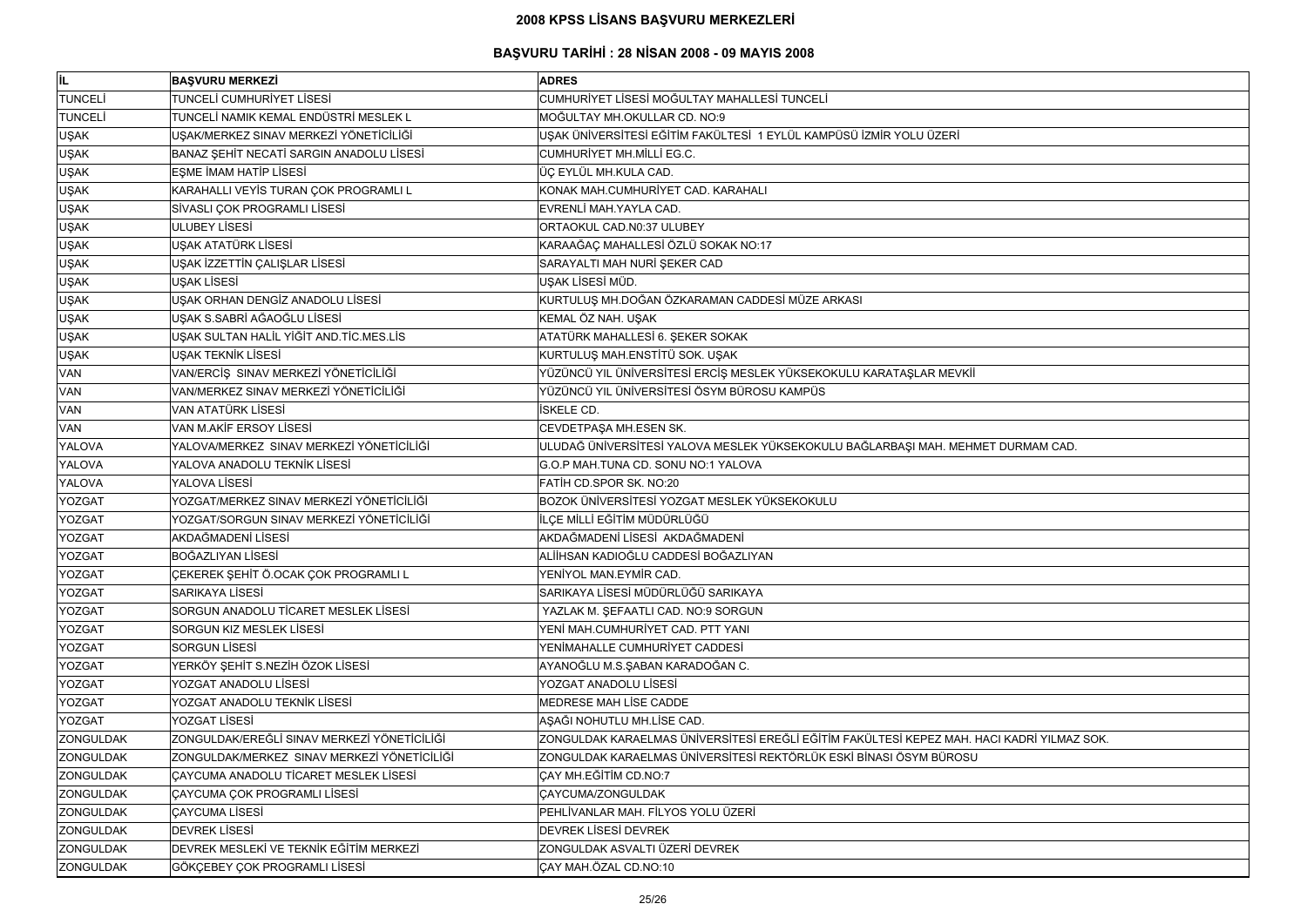| İL.              | <b>BASVURU MERKEZİ</b>                       | <b>ADRES</b>                                                                               |
|------------------|----------------------------------------------|--------------------------------------------------------------------------------------------|
| <b>TUNCELI</b>   | TUNCELİ CUMHURİYET LİSESİ                    | CUMHURİYET LİSESİ MOĞULTAY MAHALLESİ TUNCELİ                                               |
| <b>TUNCELI</b>   | TUNCELİ NAMIK KEMAL ENDÜSTRİ MESLEK L        | MOĞULTAY MH.OKULLAR CD. NO:9                                                               |
| <b>UŞAK</b>      | UŞAK/MERKEZ SINAV MERKEZİ YÖNETİCİLİĞİ       | UŞAK ÜNİVERSİTESİ EĞİTİM FAKÜLTESİ 1 EYLÜL KAMPÜSÜ İZMİR YOLU ÜZERİ                        |
| UŞAK             | BANAZ ŞEHİT NECATİ SARGIN ANADOLU LİSESİ     | <b>CUMHURİYET MH.MİLLİ EG.C.</b>                                                           |
| <b>UŞAK</b>      | EŞME İMAM HATİP LİSESİ                       | ÜÇ EYLÜL MH.KULA CAD.                                                                      |
| <b>UŞAK</b>      | KARAHALLI VEYİS TURAN ÇOK PROGRAMLI L        | KONAK MAH.CUMHURİYET CAD. KARAHALI                                                         |
| <b>UŞAK</b>      | SİVASLI ÇOK PROGRAMLI LİSESİ                 | EVRENLİ MAH.YAYLA CAD.                                                                     |
| <b>UŞAK</b>      | <b>ULUBEY LISESI</b>                         | ORTAOKUL CAD.N0:37 ULUBEY                                                                  |
| <b>UŞAK</b>      | UŞAK ATATÜRK LİSESİ                          | KARAAĞAÇ MAHALLESİ ÖZLÜ SOKAK NO:17                                                        |
| <b>UŞAK</b>      | UŞAK İZZETTİN ÇALIŞLAR LİSESİ                | SARAYALTI MAH NURİ ŞEKER CAD                                                               |
| <b>UŞAK</b>      | <b>UŞAK LİSESİ</b>                           | UŞAK LİSESİ MÜD.                                                                           |
| <b>UŞAK</b>      | UŞAK ORHAN DENGİZ ANADOLU LİSESİ             | KURTULUŞ MH.DOĞAN ÖZKARAMAN CADDESİ MÜZE ARKASI                                            |
| <b>UŞAK</b>      | UŞAK S.SABRİ AĞAOĞLU LİSESİ                  | KEMAL ÖZ NAH. UŞAK                                                                         |
| <b>UŞAK</b>      | UŞAK SULTAN HALİL YİĞİT AND.TİC.MES.LİS      | ATATÜRK MAHALLESİ 6. ŞEKER SOKAK                                                           |
| <b>UŞAK</b>      | UŞAK TEKNİK LİSESİ                           | KURTULUŞ MAH.ENSTİTÜ SOK. UŞAK                                                             |
| <b>VAN</b>       | VAN/ERCİŞ SINAV MERKEZİ YÖNETİCİLİĞİ         | YÜZÜNCÜ YIL ÜNİVERSİTESİ ERCİŞ MESLEK YÜKSEKOKULU KARATAŞLAR MEVKİİ                        |
| <b>VAN</b>       | VAN/MERKEZ SINAV MERKEZİ YÖNETİCİLİĞİ        | YÜZÜNCÜ YIL ÜNİVERSİTESİ ÖSYM BÜROSU KAMPÜS                                                |
| <b>VAN</b>       | <b>VAN ATATÜRK LİSESİ</b>                    | <b>İSKELE CD.</b>                                                                          |
| <b>VAN</b>       | VAN M.AKİF ERSOY LİSESİ                      | CEVDETPAŞA MH.ESEN SK.                                                                     |
| YALOVA           | YALOVA/MERKEZ SINAV MERKEZİ YÖNETİCİLİĞİ     | ULUDAĞ ÜNİVERSİTESİ YALOVA MESLEK YÜKSEKOKULU BAĞLARBAŞI MAH. MEHMET DURMAM CAD.           |
| YALOVA           | YALOVA ANADOLU TEKNİK LİSESİ                 | G.O.P MAH.TUNA CD. SONU NO:1 YALOVA                                                        |
| YALOVA           | YALOVA LİSESİ                                | FATIH CD.SPOR SK. NO:20                                                                    |
| <b>YOZGAT</b>    | YOZGAT/MERKEZ SINAV MERKEZİ YÖNETİCİLİĞİ     | BOZOK ÜNİVERSİTESİ YOZGAT MESLEK YÜKSEKOKULU                                               |
| <b>YOZGAT</b>    | YOZGAT/SORGUN SINAV MERKEZİ YÖNETİCİLİĞİ     | İLÇE MİLLİ EĞİTİM MÜDÜRLÜĞÜ                                                                |
| <b>YOZGAT</b>    | AKDAĞMADENİ LİSESİ                           | AKDAĞMADENİ LİSESİ AKDAĞMADENİ                                                             |
| <b>YOZGAT</b>    | <b>BOĞAZLIYAN LİSESİ</b>                     | ALİİHSAN KADIOĞLU CADDESİ BOĞAZLIYAN                                                       |
| <b>YOZGAT</b>    | ÇEKEREK ŞEHİT Ö.OCAK ÇOK PROGRAMLI L         | YENİYOL MAN.EYMİR CAD.                                                                     |
| <b>YOZGAT</b>    | <b>SARIKAYA LİSESİ</b>                       | SARIKAYA LİSESİ MÜDÜRLÜĞÜ SARIKAYA                                                         |
| <b>YOZGAT</b>    | SORGUN ANADOLU TİCARET MESLEK LİSESİ         | YAZLAK M. ŞEFAATLI CAD. NO:9 SORGUN                                                        |
| <b>YOZGAT</b>    | SORGUN KIZ MESLEK LİSESİ                     | YENİ MAH.CUMHURİYET CAD. PTT YANI                                                          |
| <b>YOZGAT</b>    | <b>SORGUN LISESI</b>                         | YENİMAHALLE CUMHURİYET CADDESİ                                                             |
| <b>YOZGAT</b>    | YERKÖY ŞEHİT S.NEZİH ÖZOK LİSESİ             | AYANOĞLU M.S.ŞABAN KARADOĞAN C.                                                            |
| <b>YOZGAT</b>    | YOZGAT ANADOLU LİSESİ                        | YOZGAT ANADOLU LİSESİ                                                                      |
| <b>YOZGAT</b>    | YOZGAT ANADOLU TEKNİK LİSESİ                 | MEDRESE MAH LİSE CADDE                                                                     |
| <b>YOZGAT</b>    | YOZGAT LİSESİ                                | AŞAĞI NOHUTLU MH.LİSE CAD.                                                                 |
| <b>ZONGULDAK</b> | ZONGULDAK/EREĞLİ SINAV MERKEZİ YÖNETİCİLİĞİ  | ZONGULDAK KARAELMAS ÜNİVERSİTESİ EREĞLİ EĞİTİM FAKÜLTESİ KEPEZ MAH. HACI KADRİ YILMAZ SOK. |
| <b>ZONGULDAK</b> | ZONGULDAK/MERKEZ SINAV MERKEZİ YÖNETİCİLİĞİ  | ZONGULDAK KARAELMAS ÜNİVERSİTESİ REKTÖRLÜK ESKİ BİNASI ÖSYM BÜROSU                         |
| <b>ZONGULDAK</b> | <b>ÇAYCUMA ANADOLU TİCARET MESLEK LİSESİ</b> | CAY MH.EĞİTİM CD.NO:7                                                                      |
| <b>ZONGULDAK</b> | <b>ÇAYCUMA ÇOK PROGRAMLI LİSESİ</b>          | <b>CAYCUMA/ZONGULDAK</b>                                                                   |
| <b>ZONGULDAK</b> | <b>ÇAYCUMA LİSESİ</b>                        | PEHLİVANLAR MAH. FİLYOS YOLU ÜZERİ                                                         |
| <b>ZONGULDAK</b> | <b>DEVREK LISESI</b>                         | <b>DEVREK LİSESİ DEVREK</b>                                                                |
| <b>ZONGULDAK</b> | DEVREK MESLEKİ VE TEKNİK EĞİTİM MERKEZİ      | ZONGULDAK ASVALTI ÜZERİ DEVREK                                                             |
| <b>ZONGULDAK</b> | GÖKÇEBEY ÇOK PROGRAMLI LİSESİ                | ÇAY MAH.ÖZAL CD.NO:10                                                                      |
|                  |                                              |                                                                                            |

| T DURMAM CAD.        |
|----------------------|
|                      |
|                      |
|                      |
|                      |
|                      |
|                      |
|                      |
|                      |
|                      |
|                      |
|                      |
|                      |
|                      |
|                      |
|                      |
|                      |
|                      |
|                      |
|                      |
|                      |
| CI KADRİ YILMAZ SOK. |
|                      |
|                      |
|                      |
|                      |
|                      |
|                      |
|                      |
|                      |
|                      |
|                      |
|                      |